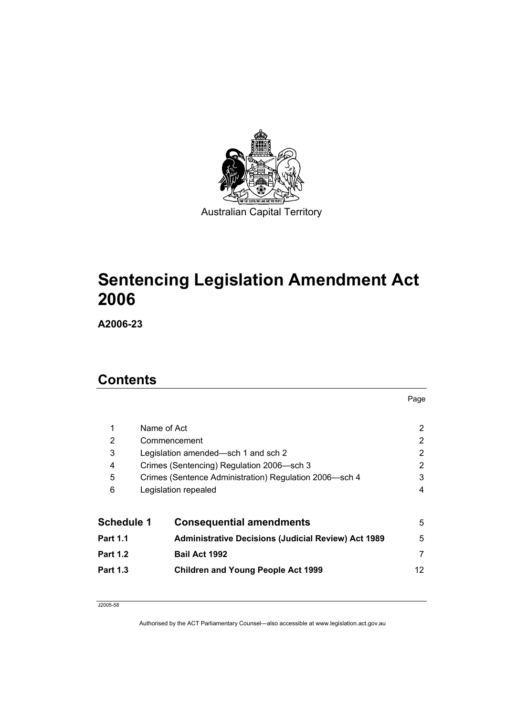

# **Sentencing Legislation Amendment Act 2006**

**A2006-23** 

## **Contents**

|                   |             |                                                            | Page                  |
|-------------------|-------------|------------------------------------------------------------|-----------------------|
| 1                 | Name of Act |                                                            | $\mathbf{2}^{\prime}$ |
| 2                 |             | Commencement                                               | $\mathbf{2}^{\prime}$ |
| 3                 |             | Legislation amended—sch 1 and sch 2                        | $\overline{2}$        |
| 4                 |             | Crimes (Sentencing) Regulation 2006—sch 3                  | 2                     |
| 5                 |             | Crimes (Sentence Administration) Regulation 2006-sch 4     | 3                     |
| 6                 |             | Legislation repealed                                       | 4                     |
| <b>Schedule 1</b> |             | <b>Consequential amendments</b>                            | 5                     |
| Part 1.1          |             | <b>Administrative Decisions (Judicial Review) Act 1989</b> | 5                     |
| Part 1.2          |             | Bail Act 1992                                              | 7                     |
| Part 1.3          |             | <b>Children and Young People Act 1999</b>                  | 12                    |

J2005-58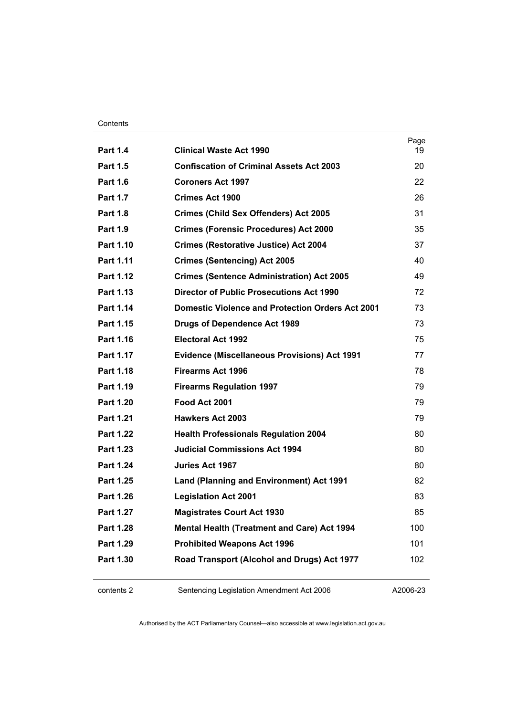#### **Contents**

| <b>Part 1.4</b>  | <b>Clinical Waste Act 1990</b>                          | Page<br>19 |
|------------------|---------------------------------------------------------|------------|
|                  |                                                         |            |
| <b>Part 1.5</b>  | <b>Confiscation of Criminal Assets Act 2003</b>         | 20         |
| <b>Part 1.6</b>  | <b>Coroners Act 1997</b>                                | 22         |
| <b>Part 1.7</b>  | <b>Crimes Act 1900</b>                                  | 26         |
| <b>Part 1.8</b>  | <b>Crimes (Child Sex Offenders) Act 2005</b>            | 31         |
| <b>Part 1.9</b>  | <b>Crimes (Forensic Procedures) Act 2000</b>            | 35         |
| <b>Part 1.10</b> | <b>Crimes (Restorative Justice) Act 2004</b>            | 37         |
| Part 1.11        | <b>Crimes (Sentencing) Act 2005</b>                     | 40         |
| <b>Part 1.12</b> | <b>Crimes (Sentence Administration) Act 2005</b>        | 49         |
| <b>Part 1.13</b> | <b>Director of Public Prosecutions Act 1990</b>         | 72         |
| Part 1.14        | <b>Domestic Violence and Protection Orders Act 2001</b> | 73         |
| Part 1.15        | <b>Drugs of Dependence Act 1989</b>                     | 73         |
| Part 1.16        | <b>Electoral Act 1992</b>                               | 75         |
| Part 1.17        | Evidence (Miscellaneous Provisions) Act 1991            | 77         |
| <b>Part 1.18</b> | <b>Firearms Act 1996</b>                                | 78         |
| Part 1.19        | <b>Firearms Regulation 1997</b>                         | 79         |
| <b>Part 1.20</b> | Food Act 2001                                           | 79         |
| Part 1.21        | <b>Hawkers Act 2003</b>                                 | 79         |
| <b>Part 1.22</b> | <b>Health Professionals Regulation 2004</b>             | 80         |
| <b>Part 1.23</b> | <b>Judicial Commissions Act 1994</b>                    | 80         |
| <b>Part 1.24</b> | <b>Juries Act 1967</b>                                  | 80         |
| <b>Part 1.25</b> | Land (Planning and Environment) Act 1991                | 82         |
| <b>Part 1.26</b> | <b>Legislation Act 2001</b>                             | 83         |
| Part 1.27        | <b>Magistrates Court Act 1930</b>                       | 85         |
| Part 1.28        | Mental Health (Treatment and Care) Act 1994             | 100        |
| Part 1.29        | <b>Prohibited Weapons Act 1996</b>                      | 101        |
| Part 1.30        | Road Transport (Alcohol and Drugs) Act 1977             | 102        |
|                  |                                                         |            |
|                  |                                                         |            |

contents 2 Sentencing Legislation Amendment Act 2006

A2006-23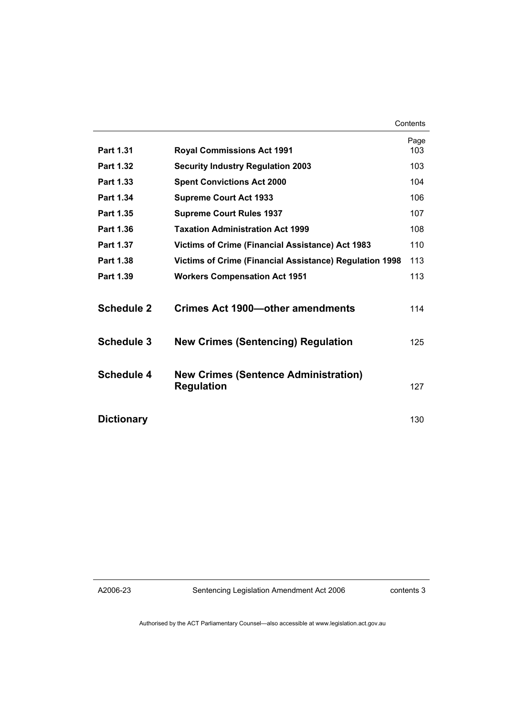**Contents** 

| <b>Part 1.31</b>  | <b>Royal Commissions Act 1991</b>                                | Page<br>103 |
|-------------------|------------------------------------------------------------------|-------------|
| Part 1.32         | <b>Security Industry Regulation 2003</b>                         | 103         |
| Part 1.33         | <b>Spent Convictions Act 2000</b>                                | 104         |
| Part 1.34         | <b>Supreme Court Act 1933</b>                                    | 106         |
| Part 1.35         | <b>Supreme Court Rules 1937</b>                                  | 107         |
| Part 1.36         | <b>Taxation Administration Act 1999</b>                          | 108         |
| Part 1.37         | <b>Victims of Crime (Financial Assistance) Act 1983</b>          | 110         |
| Part 1.38         | Victims of Crime (Financial Assistance) Regulation 1998          | 113         |
| Part 1.39         | <b>Workers Compensation Act 1951</b>                             | 113         |
| <b>Schedule 2</b> | Crimes Act 1900-other amendments                                 | 114         |
| <b>Schedule 3</b> | <b>New Crimes (Sentencing) Regulation</b>                        | 125         |
| <b>Schedule 4</b> | <b>New Crimes (Sentence Administration)</b><br><b>Regulation</b> | 127         |
| <b>Dictionary</b> |                                                                  | 130         |

A2006-23

Sentencing Legislation Amendment Act 2006

contents 3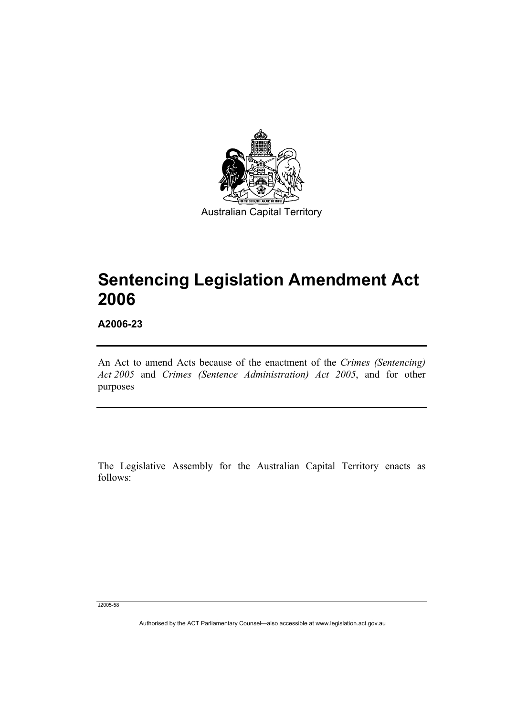

# **Sentencing Legislation Amendment Act 2006**

**A2006-23** 

I

An Act to amend Acts because of the enactment of the *Crimes (Sentencing) Act 2005* and *Crimes (Sentence Administration) Act 2005*, and for other purposes

The Legislative Assembly for the Australian Capital Territory enacts as follows:

J2005-58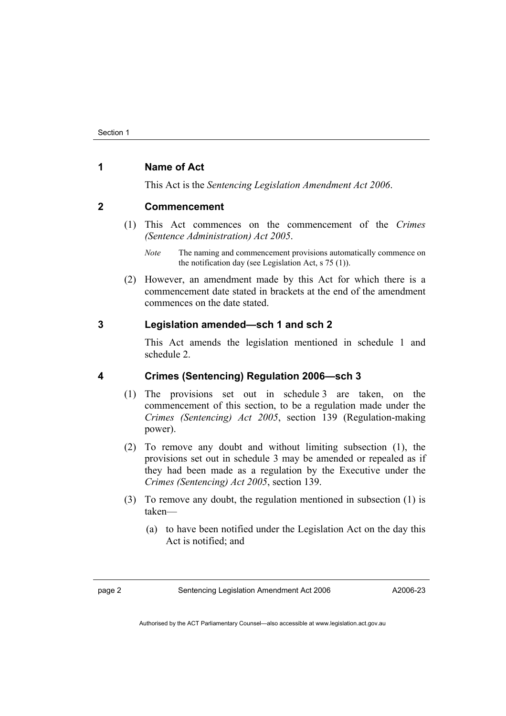#### **1 Name of Act**

This Act is the *Sentencing Legislation Amendment Act 2006*.

#### **2 Commencement**

 (1) This Act commences on the commencement of the *Crimes (Sentence Administration) Act 2005*.

 (2) However, an amendment made by this Act for which there is a commencement date stated in brackets at the end of the amendment commences on the date stated.

#### **3 Legislation amended—sch 1 and sch 2**

This Act amends the legislation mentioned in schedule 1 and schedule 2.

#### **4 Crimes (Sentencing) Regulation 2006—sch 3**

- (1) The provisions set out in schedule 3 are taken, on the commencement of this section, to be a regulation made under the *Crimes (Sentencing) Act 2005*, section 139 (Regulation-making power).
- (2) To remove any doubt and without limiting subsection (1), the provisions set out in schedule 3 may be amended or repealed as if they had been made as a regulation by the Executive under the *Crimes (Sentencing) Act 2005*, section 139.
- (3) To remove any doubt, the regulation mentioned in subsection (1) is taken—
	- (a) to have been notified under the Legislation Act on the day this Act is notified; and

*Note* The naming and commencement provisions automatically commence on the notification day (see Legislation Act, s 75 (1)).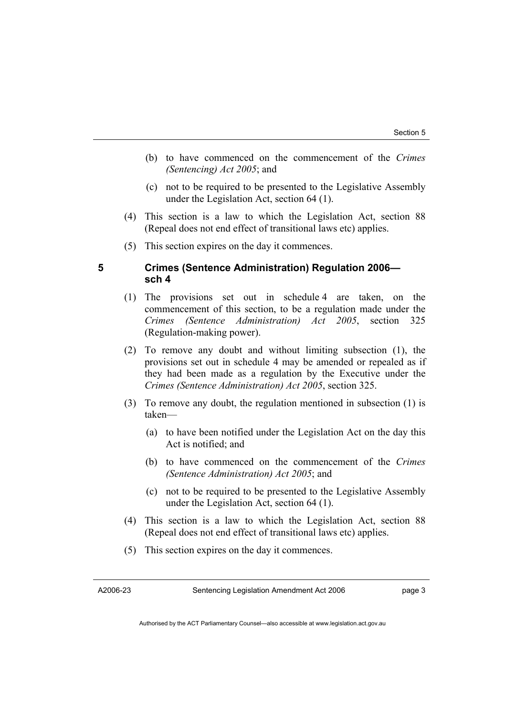- (b) to have commenced on the commencement of the *Crimes (Sentencing) Act 2005*; and
- (c) not to be required to be presented to the Legislative Assembly under the Legislation Act, section 64 (1).
- (4) This section is a law to which the Legislation Act, section 88 (Repeal does not end effect of transitional laws etc) applies.
- (5) This section expires on the day it commences.

#### **5 Crimes (Sentence Administration) Regulation 2006 sch 4**

- (1) The provisions set out in schedule 4 are taken, on the commencement of this section, to be a regulation made under the *Crimes (Sentence Administration) Act 2005*, section 325 (Regulation-making power).
- (2) To remove any doubt and without limiting subsection (1), the provisions set out in schedule 4 may be amended or repealed as if they had been made as a regulation by the Executive under the *Crimes (Sentence Administration) Act 2005*, section 325.
- (3) To remove any doubt, the regulation mentioned in subsection (1) is taken—
	- (a) to have been notified under the Legislation Act on the day this Act is notified; and
	- (b) to have commenced on the commencement of the *Crimes (Sentence Administration) Act 2005*; and
	- (c) not to be required to be presented to the Legislative Assembly under the Legislation Act, section 64 (1).
- (4) This section is a law to which the Legislation Act, section 88 (Repeal does not end effect of transitional laws etc) applies.
- (5) This section expires on the day it commences.

A2006-23

Sentencing Legislation Amendment Act 2006

page 3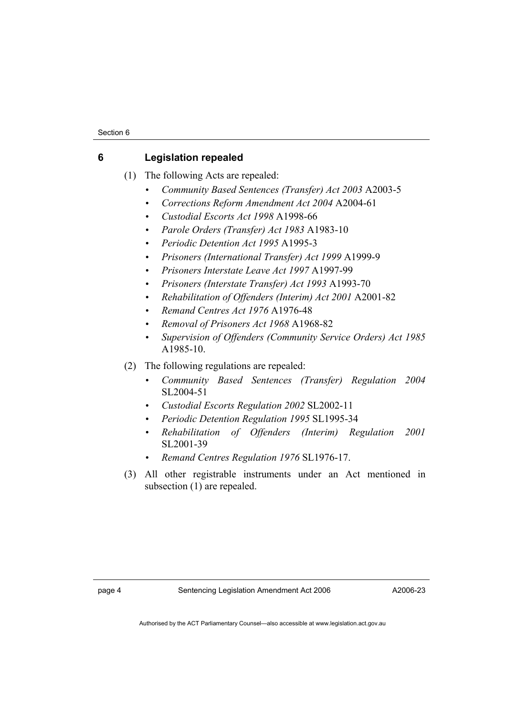#### **6 Legislation repealed**

- (1) The following Acts are repealed:
	- *Community Based Sentences (Transfer) Act 2003* A2003-5
	- *Corrections Reform Amendment Act 2004* A2004-61
	- *Custodial Escorts Act 1998* A1998-66
	- *Parole Orders (Transfer) Act 1983* A1983-10
	- *Periodic Detention Act 1995* A1995-3
	- *Prisoners (International Transfer) Act 1999* A1999-9
	- *Prisoners Interstate Leave Act 1997* A1997-99
	- *Prisoners (Interstate Transfer) Act 1993* A1993-70
	- *Rehabilitation of Offenders (Interim) Act 2001* A2001-82
	- *Remand Centres Act 1976* A1976-48
	- *Removal of Prisoners Act 1968* A1968-82
	- *Supervision of Offenders (Community Service Orders) Act 1985* A1985-10.
- (2) The following regulations are repealed:
	- *Community Based Sentences (Transfer) Regulation 2004* SL2004-51
	- *Custodial Escorts Regulation 2002* SL2002-11
	- *Periodic Detention Regulation 1995* SL1995-34
	- *Rehabilitation of Offenders (Interim) Regulation 2001* SL2001-39
	- *Remand Centres Regulation 1976* SL1976-17.
- (3) All other registrable instruments under an Act mentioned in subsection (1) are repealed.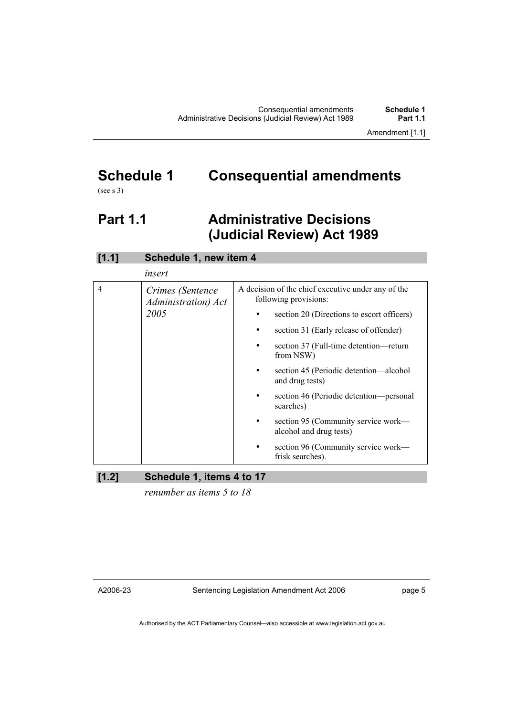Amendment [1.1]

### **Schedule 1 Consequential amendments**  (see s  $3)$ )

# **Part 1.1 Administrative Decisions (Judicial Review) Act 1989**

| [1.1] | Schedule 1, new item 4                  |  |                                                                             |
|-------|-----------------------------------------|--|-----------------------------------------------------------------------------|
|       | insert                                  |  |                                                                             |
| 4     | Crimes (Sentence<br>Administration) Act |  | A decision of the chief executive under any of the<br>following provisions: |
|       | 2005                                    |  | section 20 (Directions to escort officers)                                  |
|       |                                         |  | section 31 (Early release of offender)                                      |
|       |                                         |  | section 37 (Full-time detention—return<br>from NSW)                         |
|       |                                         |  | section 45 (Periodic detention—alcohol<br>and drug tests)                   |
|       |                                         |  | section 46 (Periodic detention—personal<br>searches)                        |
|       |                                         |  | section 95 (Community service work—<br>alcohol and drug tests)              |
|       |                                         |  | section 96 (Community service work—<br>frisk searches).                     |
| .21   | Schedule 1, items 4 to 17               |  |                                                                             |

*renumber as items 5 to 18* 

A2006-23

Sentencing Legislation Amendment Act 2006

page 5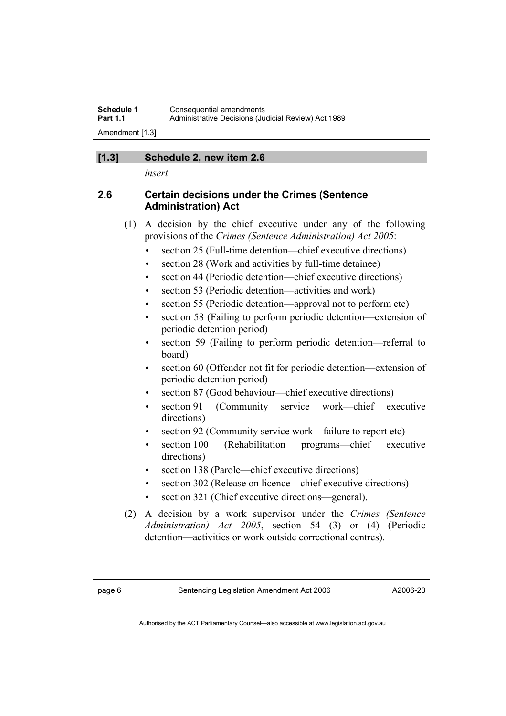**Schedule 1 Consequential amendments**<br>**Part 1.1 Administrative Decisions (Ju** Administrative Decisions (Judicial Review) Act 1989 Amendment [1.3]

#### **[1.3] Schedule 2, new item 2.6**

*insert* 

#### **2.6 Certain decisions under the Crimes (Sentence Administration) Act**

- (1) A decision by the chief executive under any of the following provisions of the *Crimes (Sentence Administration) Act 2005*:
	- section 25 (Full-time detention—chief executive directions)
	- section 28 (Work and activities by full-time detainee)
	- section 44 (Periodic detention—chief executive directions)
	- section 53 (Periodic detention—activities and work)
	- section 55 (Periodic detention—approval not to perform etc)
	- section 58 (Failing to perform periodic detention—extension of periodic detention period)
	- section 59 (Failing to perform periodic detention—referral to board)
	- section 60 (Offender not fit for periodic detention—extension of periodic detention period)
	- section 87 (Good behaviour—chief executive directions)
	- section 91 (Community service work—chief executive directions)
	- section 92 (Community service work—failure to report etc)
	- section 100 (Rehabilitation programs—chief executive directions)
	- section 138 (Parole—chief executive directions)
	- section 302 (Release on licence—chief executive directions)
	- section 321 (Chief executive directions—general).
- (2) A decision by a work supervisor under the *Crimes (Sentence Administration) Act 2005*, section 54 (3) or (4) (Periodic detention—activities or work outside correctional centres).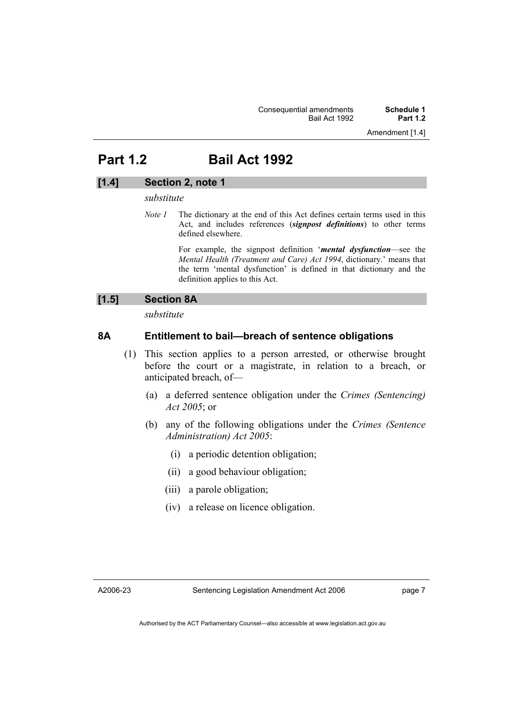### **Part 1.2 Bail Act 1992**

#### **[1.4] Section 2, note 1**

#### *substitute*

*Note 1* The dictionary at the end of this Act defines certain terms used in this Act, and includes references (*signpost definitions*) to other terms defined elsewhere.

> For example, the signpost definition '*mental dysfunction*—see the *Mental Health (Treatment and Care) Act 1994*, dictionary.' means that the term 'mental dysfunction' is defined in that dictionary and the definition applies to this Act.

#### **[1.5] Section 8A**

*substitute* 

#### **8A Entitlement to bail—breach of sentence obligations**

- (1) This section applies to a person arrested, or otherwise brought before the court or a magistrate, in relation to a breach, or anticipated breach, of—
	- (a) a deferred sentence obligation under the *Crimes (Sentencing) Act 2005*; or
	- (b) any of the following obligations under the *Crimes (Sentence Administration) Act 2005*:
		- (i) a periodic detention obligation;
		- (ii) a good behaviour obligation;
		- (iii) a parole obligation;
		- (iv) a release on licence obligation.

A2006-23

page 7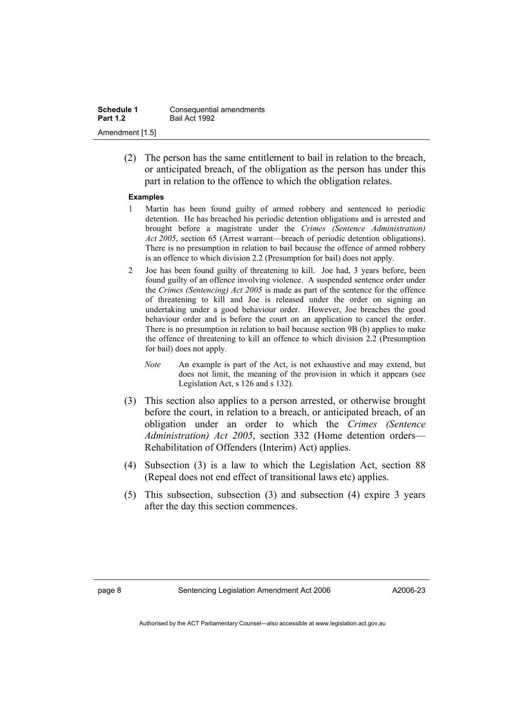| Schedule 1      | Consequential amendments |
|-----------------|--------------------------|
| <b>Part 1.2</b> | Bail Act 1992            |
| Amendment [1.5] |                          |

 (2) The person has the same entitlement to bail in relation to the breach, or anticipated breach, of the obligation as the person has under this part in relation to the offence to which the obligation relates.

#### **Examples**

- 1 Martin has been found guilty of armed robbery and sentenced to periodic detention. He has breached his periodic detention obligations and is arrested and brought before a magistrate under the *Crimes (Sentence Administration) Act 2005*, section 65 (Arrest warrant—breach of periodic detention obligations). There is no presumption in relation to bail because the offence of armed robbery is an offence to which division 2.2 (Presumption for bail) does not apply.
- 2 Joe has been found guilty of threatening to kill. Joe had, 3 years before, been found guilty of an offence involving violence. A suspended sentence order under the *Crimes (Sentencing) Act 2005* is made as part of the sentence for the offence of threatening to kill and Joe is released under the order on signing an undertaking under a good behaviour order. However, Joe breaches the good behaviour order and is before the court on an application to cancel the order. There is no presumption in relation to bail because section 9B (b) applies to make the offence of threatening to kill an offence to which division 2.2 (Presumption for bail) does not apply.
	- *Note* An example is part of the Act, is not exhaustive and may extend, but does not limit, the meaning of the provision in which it appears (see Legislation Act, s 126 and s 132).
- (3) This section also applies to a person arrested, or otherwise brought before the court, in relation to a breach, or anticipated breach, of an obligation under an order to which the *Crimes (Sentence Administration) Act 2005*, section 332 (Home detention orders— Rehabilitation of Offenders (Interim) Act) applies.
- (4) Subsection (3) is a law to which the Legislation Act, section 88 (Repeal does not end effect of transitional laws etc) applies.
- (5) This subsection, subsection (3) and subsection (4) expire 3 years after the day this section commences.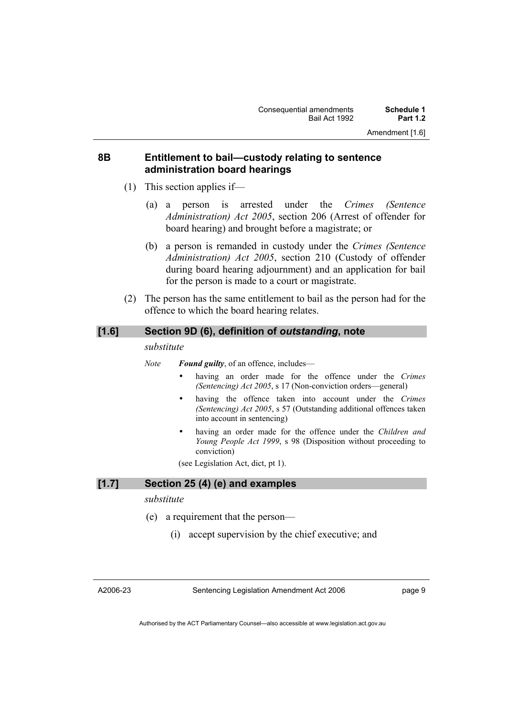#### **8B Entitlement to bail—custody relating to sentence administration board hearings**

- (1) This section applies if—
	- (a) a person is arrested under the *Crimes (Sentence Administration) Act 2005*, section 206 (Arrest of offender for board hearing) and brought before a magistrate; or
	- (b) a person is remanded in custody under the *Crimes (Sentence Administration) Act 2005*, section 210 (Custody of offender during board hearing adjournment) and an application for bail for the person is made to a court or magistrate.
- (2) The person has the same entitlement to bail as the person had for the offence to which the board hearing relates.

#### **[1.6] Section 9D (6), definition of** *outstanding***, note**

#### *substitute*

*Note Found guilty*, of an offence, includes—

- having an order made for the offence under the *Crimes (Sentencing) Act 2005*, s 17 (Non-conviction orders—general)
- having the offence taken into account under the *Crimes (Sentencing) Act 2005*, s 57 (Outstanding additional offences taken into account in sentencing)
- having an order made for the offence under the *Children and Young People Act 1999*, s 98 (Disposition without proceeding to conviction)

(see Legislation Act, dict, pt 1).

#### **[1.7] Section 25 (4) (e) and examples**

#### *substitute*

- (e) a requirement that the person—
	- (i) accept supervision by the chief executive; and

A2006-23

Sentencing Legislation Amendment Act 2006

page 9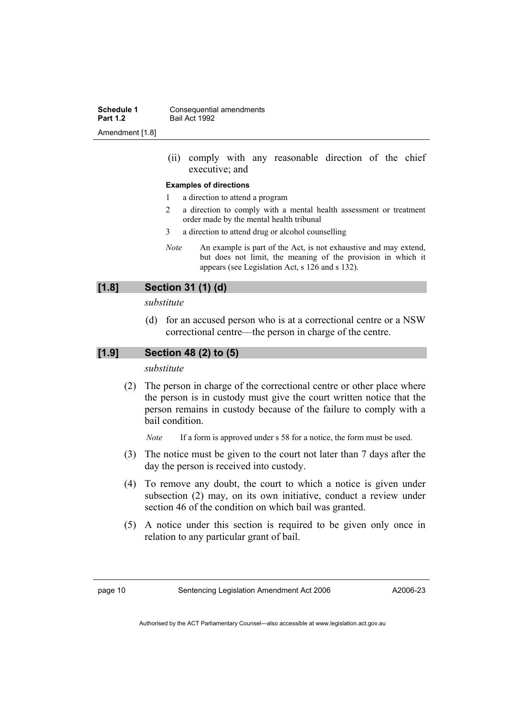| Schedule 1      | Consequential amendments |
|-----------------|--------------------------|
| <b>Part 1.2</b> | Bail Act 1992            |
| Amendment [1.8] |                          |

 (ii) comply with any reasonable direction of the chief executive; and

#### **Examples of directions**

- 1 a direction to attend a program
- 2 a direction to comply with a mental health assessment or treatment order made by the mental health tribunal
- 3 a direction to attend drug or alcohol counselling
- *Note* An example is part of the Act, is not exhaustive and may extend, but does not limit, the meaning of the provision in which it appears (see Legislation Act, s 126 and s 132).

#### **[1.8] Section 31 (1) (d)**

*substitute* 

 (d) for an accused person who is at a correctional centre or a NSW correctional centre—the person in charge of the centre.

#### **[1.9] Section 48 (2) to (5)**

*substitute* 

 (2) The person in charge of the correctional centre or other place where the person is in custody must give the court written notice that the person remains in custody because of the failure to comply with a bail condition.

*Note* If a form is approved under s 58 for a notice, the form must be used.

- (3) The notice must be given to the court not later than 7 days after the day the person is received into custody.
- (4) To remove any doubt, the court to which a notice is given under subsection (2) may, on its own initiative, conduct a review under section 46 of the condition on which bail was granted.
- (5) A notice under this section is required to be given only once in relation to any particular grant of bail.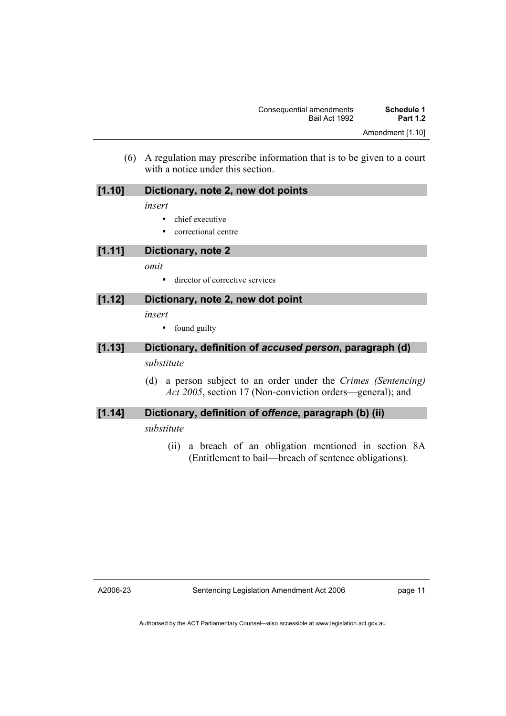(6) A regulation may prescribe information that is to be given to a court with a notice under this section.

| [1.10] | Dictionary, note 2, new dot points                                                                                             |
|--------|--------------------------------------------------------------------------------------------------------------------------------|
|        | insert<br>chief executive<br>$\bullet$                                                                                         |
|        | correctional centre                                                                                                            |
| [1.11] | Dictionary, note 2                                                                                                             |
|        | omit                                                                                                                           |
|        | director of corrective services                                                                                                |
| [1.12] | Dictionary, note 2, new dot point                                                                                              |
|        | insert                                                                                                                         |
|        | found guilty                                                                                                                   |
| [1.13] | Dictionary, definition of accused person, paragraph (d)                                                                        |
|        | substitute                                                                                                                     |
|        | a person subject to an order under the Crimes (Sentencing)<br>(d)<br>Act 2005, section 17 (Non-conviction orders—general); and |
| [1.14] | Dictionary, definition of offence, paragraph (b) (ii)                                                                          |

*substitute* 

 (ii) a breach of an obligation mentioned in section 8A (Entitlement to bail—breach of sentence obligations).

A2006-23

page 11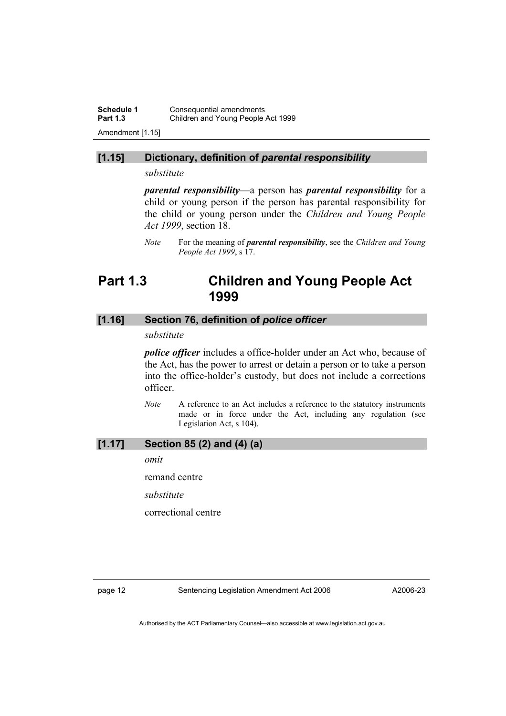**Schedule 1 Consequential amendments**<br>**Part 1.3 Children and Young People Part 1.3** Children and Young People Act 1999 Amendment [1.15]

#### **[1.15] Dictionary, definition of** *parental responsibility*

#### *substitute*

*parental responsibility*—a person has *parental responsibility* for a child or young person if the person has parental responsibility for the child or young person under the *Children and Young People Act 1999*, section 18.

### **Part 1.3 Children and Young People Act 1999**

#### **[1.16] Section 76, definition of** *police officer*

#### *substitute*

*police officer* includes a office-holder under an Act who, because of the Act, has the power to arrest or detain a person or to take a person into the office-holder's custody, but does not include a corrections officer.

*Note* A reference to an Act includes a reference to the statutory instruments made or in force under the Act, including any regulation (see Legislation Act, s 104).

#### **[1.17] Section 85 (2) and (4) (a)**

*omit* 

remand centre

*substitute* 

correctional centre

page 12 Sentencing Legislation Amendment Act 2006

A2006-23

*Note* For the meaning of *parental responsibility*, see the *Children and Young People Act 1999*, s 17.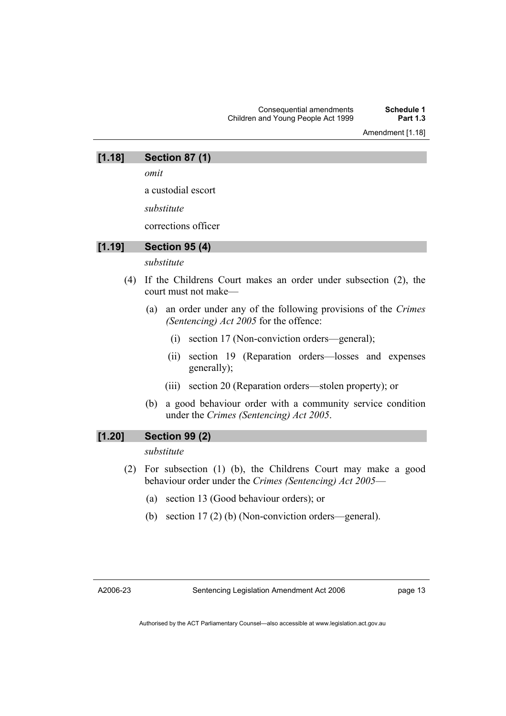#### **[1.18] Section 87 (1)**

*omit* 

a custodial escort

*substitute* 

corrections officer

#### **[1.19] Section 95 (4)**

*substitute* 

- (4) If the Childrens Court makes an order under subsection (2), the court must not make—
	- (a) an order under any of the following provisions of the *Crimes (Sentencing) Act 2005* for the offence:
		- (i) section 17 (Non-conviction orders—general);
		- (ii) section 19 (Reparation orders—losses and expenses generally);
		- (iii) section 20 (Reparation orders—stolen property); or
	- (b) a good behaviour order with a community service condition under the *Crimes (Sentencing) Act 2005*.

#### **[1.20] Section 99 (2)**

*substitute* 

- (2) For subsection (1) (b), the Childrens Court may make a good behaviour order under the *Crimes (Sentencing) Act 2005*—
	- (a) section 13 (Good behaviour orders); or
	- (b) section 17 (2) (b) (Non-conviction orders—general).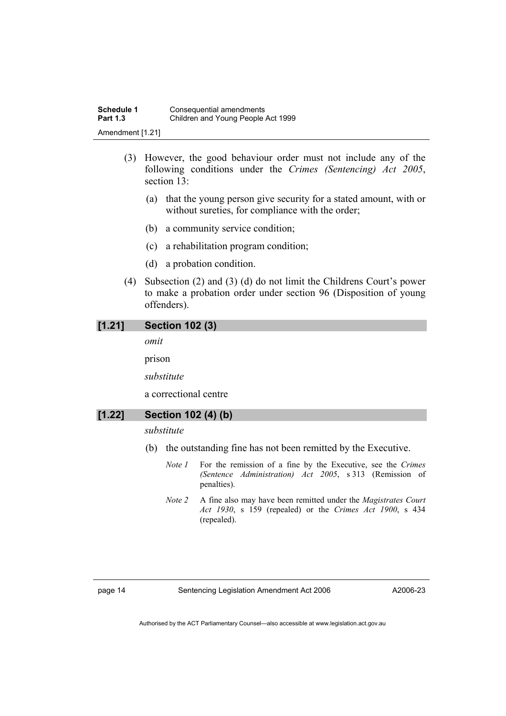- (3) However, the good behaviour order must not include any of the following conditions under the *Crimes (Sentencing) Act 2005*, section 13:
	- (a) that the young person give security for a stated amount, with or without sureties, for compliance with the order;
	- (b) a community service condition;
	- (c) a rehabilitation program condition;
	- (d) a probation condition.
- (4) Subsection (2) and (3) (d) do not limit the Childrens Court's power to make a probation order under section 96 (Disposition of young offenders).

#### **[1.21] Section 102 (3)**

*omit* 

prison

*substitute* 

a correctional centre

#### **[1.22] Section 102 (4) (b)**

#### *substitute*

- (b) the outstanding fine has not been remitted by the Executive.
	- *Note 1* For the remission of a fine by the Executive, see the *Crimes (Sentence Administration) Act 2005*, s 313 (Remission of penalties).
	- *Note 2* A fine also may have been remitted under the *Magistrates Court Act 1930*, s 159 (repealed) or the *Crimes Act 1900*, s 434 (repealed).

page 14 Sentencing Legislation Amendment Act 2006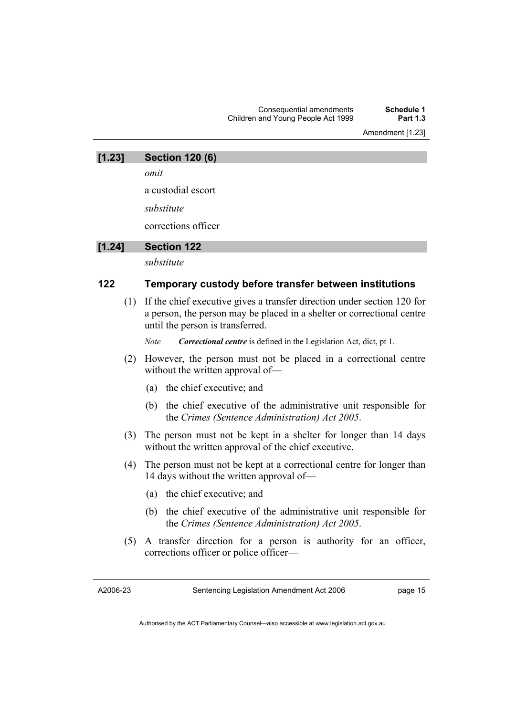| [1.23] | <b>Section 120 (6)</b> |  |  |
|--------|------------------------|--|--|
|--------|------------------------|--|--|

*omit* 

a custodial escort

*substitute* 

corrections officer

#### **[1.24] Section 122**

*substitute* 

#### **122 Temporary custody before transfer between institutions**

 (1) If the chief executive gives a transfer direction under section 120 for a person, the person may be placed in a shelter or correctional centre until the person is transferred.

*Note Correctional centre* is defined in the Legislation Act, dict, pt 1.

- (2) However, the person must not be placed in a correctional centre without the written approval of—
	- (a) the chief executive; and
	- (b) the chief executive of the administrative unit responsible for the *Crimes (Sentence Administration) Act 2005*.
- (3) The person must not be kept in a shelter for longer than 14 days without the written approval of the chief executive.
- (4) The person must not be kept at a correctional centre for longer than 14 days without the written approval of—
	- (a) the chief executive; and
	- (b) the chief executive of the administrative unit responsible for the *Crimes (Sentence Administration) Act 2005*.
- (5) A transfer direction for a person is authority for an officer, corrections officer or police officer—

A2006-23

Sentencing Legislation Amendment Act 2006

page 15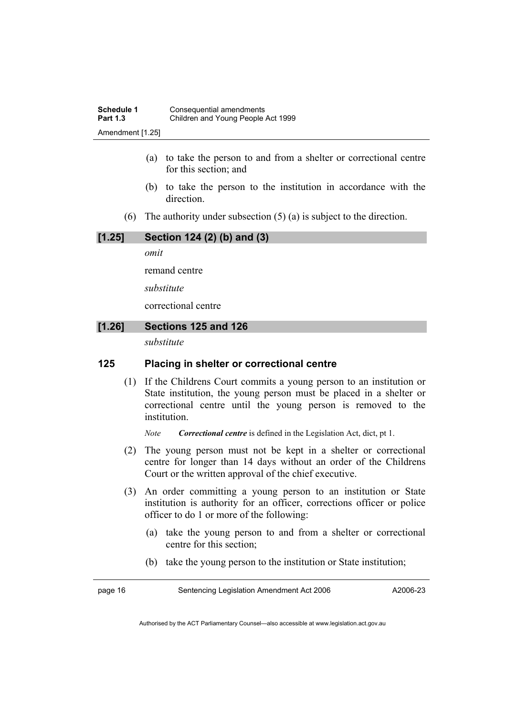- (a) to take the person to and from a shelter or correctional centre for this section; and
- (b) to take the person to the institution in accordance with the direction.
- (6) The authority under subsection (5) (a) is subject to the direction.

#### **[1.25] Section 124 (2) (b) and (3)**

*omit* 

remand centre

*substitute* 

correctional centre

#### **[1.26] Sections 125 and 126**

*substitute* 

#### **125 Placing in shelter or correctional centre**

 (1) If the Childrens Court commits a young person to an institution or State institution, the young person must be placed in a shelter or correctional centre until the young person is removed to the institution.

*Note Correctional centre* is defined in the Legislation Act, dict, pt 1.

- (2) The young person must not be kept in a shelter or correctional centre for longer than 14 days without an order of the Childrens Court or the written approval of the chief executive.
- (3) An order committing a young person to an institution or State institution is authority for an officer, corrections officer or police officer to do 1 or more of the following:
	- (a) take the young person to and from a shelter or correctional centre for this section;
	- (b) take the young person to the institution or State institution;

page 16 Sentencing Legislation Amendment Act 2006

A2006-23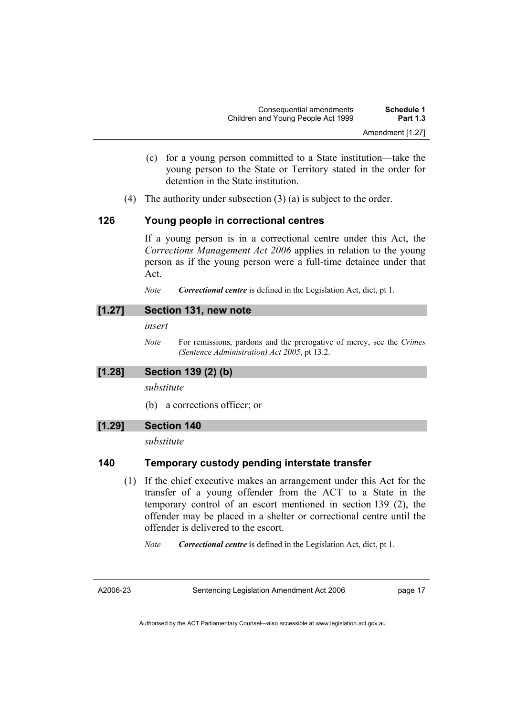- (c) for a young person committed to a State institution—take the young person to the State or Territory stated in the order for detention in the State institution.
- (4) The authority under subsection (3) (a) is subject to the order.

#### **126 Young people in correctional centres**

If a young person is in a correctional centre under this Act, the *Corrections Management Act 2006* applies in relation to the young person as if the young person were a full-time detainee under that Act.

*Note Correctional centre* is defined in the Legislation Act, dict, pt 1.

#### **[1.27] Section 131, new note**

*insert* 

*Note* For remissions, pardons and the prerogative of mercy, see the *Crimes (Sentence Administration) Act 2005*, pt 13.2.

#### **[1.28] Section 139 (2) (b)**

*substitute* 

(b) a corrections officer; or

#### **[1.29] Section 140**

*substitute* 

#### **140 Temporary custody pending interstate transfer**

 (1) If the chief executive makes an arrangement under this Act for the transfer of a young offender from the ACT to a State in the temporary control of an escort mentioned in section 139 (2), the offender may be placed in a shelter or correctional centre until the offender is delivered to the escort.

*Note Correctional centre* is defined in the Legislation Act, dict, pt 1.

A2006-23

Sentencing Legislation Amendment Act 2006

page 17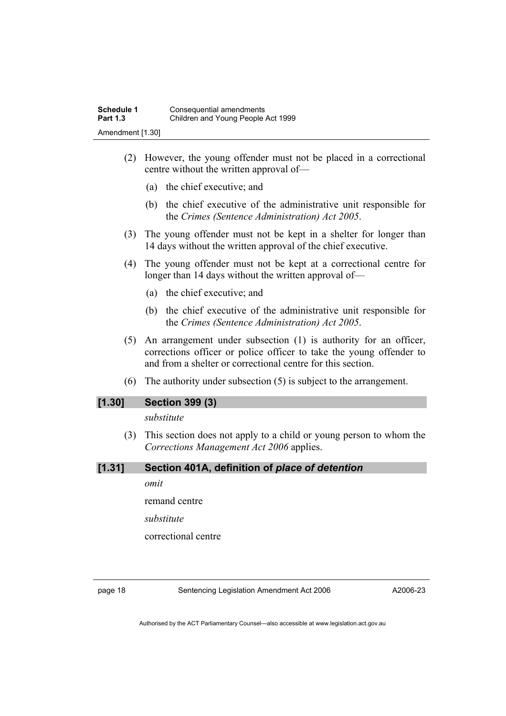- (2) However, the young offender must not be placed in a correctional centre without the written approval of—
	- (a) the chief executive; and
	- (b) the chief executive of the administrative unit responsible for the *Crimes (Sentence Administration) Act 2005*.
- (3) The young offender must not be kept in a shelter for longer than 14 days without the written approval of the chief executive.
- (4) The young offender must not be kept at a correctional centre for longer than 14 days without the written approval of-
	- (a) the chief executive; and
	- (b) the chief executive of the administrative unit responsible for the *Crimes (Sentence Administration) Act 2005*.
- (5) An arrangement under subsection (1) is authority for an officer, corrections officer or police officer to take the young offender to and from a shelter or correctional centre for this section.
- (6) The authority under subsection (5) is subject to the arrangement.

#### **[1.30] Section 399 (3)**

*substitute* 

 (3) This section does not apply to a child or young person to whom the *Corrections Management Act 2006* applies.

#### **[1.31] Section 401A, definition of** *place of detention*

*omit* 

remand centre

*substitute* 

correctional centre

page 18 Sentencing Legislation Amendment Act 2006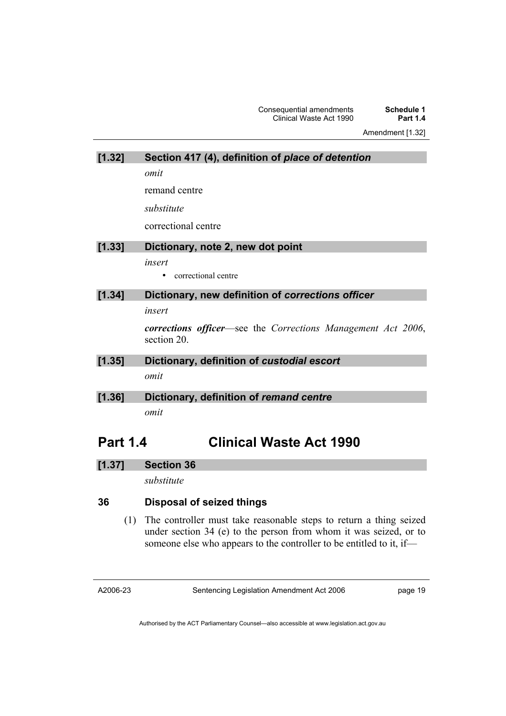Amendment [1.32]

| [1.32]          | Section 417 (4), definition of place of detention                           |
|-----------------|-----------------------------------------------------------------------------|
|                 | omit                                                                        |
|                 | remand centre                                                               |
|                 | substitute                                                                  |
|                 | correctional centre                                                         |
| [1.33]          | Dictionary, note 2, new dot point                                           |
|                 | insert                                                                      |
|                 | correctional centre                                                         |
| [1.34]          | Dictionary, new definition of corrections officer                           |
|                 | insert                                                                      |
|                 | corrections officer—see the Corrections Management Act 2006,<br>section 20. |
| [1.35]          | Dictionary, definition of custodial escort                                  |
|                 | omit                                                                        |
| [1.36]          | Dictionary, definition of remand centre                                     |
|                 | omit                                                                        |
|                 |                                                                             |
| <b>Part 1.4</b> | <b>Clinical Waste Act 1990</b>                                              |
|                 |                                                                             |

#### **[1.37] Section 36**

*substitute* 

### **36 Disposal of seized things**

 (1) The controller must take reasonable steps to return a thing seized under section 34 (e) to the person from whom it was seized, or to someone else who appears to the controller to be entitled to it, if—

A2006-23

Sentencing Legislation Amendment Act 2006

page 19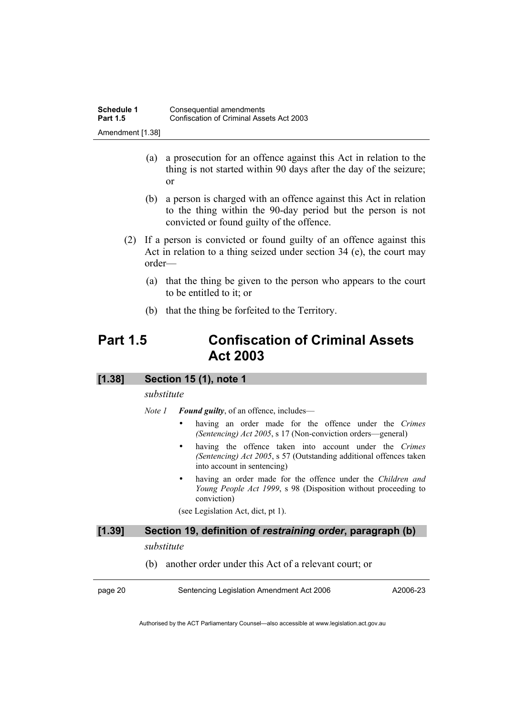- (a) a prosecution for an offence against this Act in relation to the thing is not started within 90 days after the day of the seizure; or
- (b) a person is charged with an offence against this Act in relation to the thing within the 90-day period but the person is not convicted or found guilty of the offence.
- (2) If a person is convicted or found guilty of an offence against this Act in relation to a thing seized under section 34 (e), the court may order—
	- (a) that the thing be given to the person who appears to the court to be entitled to it; or
	- (b) that the thing be forfeited to the Territory.

### **Part 1.5 Confiscation of Criminal Assets Act 2003**

#### **[1.38] Section 15 (1), note 1**

#### *substitute*

*Note 1 Found guilty*, of an offence, includes—

- having an order made for the offence under the *Crimes (Sentencing) Act 2005*, s 17 (Non-conviction orders—general)
- having the offence taken into account under the *Crimes (Sentencing) Act 2005*, s 57 (Outstanding additional offences taken into account in sentencing)
- having an order made for the offence under the *Children and Young People Act 1999*, s 98 (Disposition without proceeding to conviction)

(see Legislation Act, dict, pt 1).

#### **[1.39] Section 19, definition of** *restraining order***, paragraph (b)**

#### *substitute*

(b) another order under this Act of a relevant court; or

| page 20 | Sentencing Legislation Amendment Act 2006 | A2006-23 |
|---------|-------------------------------------------|----------|
|         |                                           |          |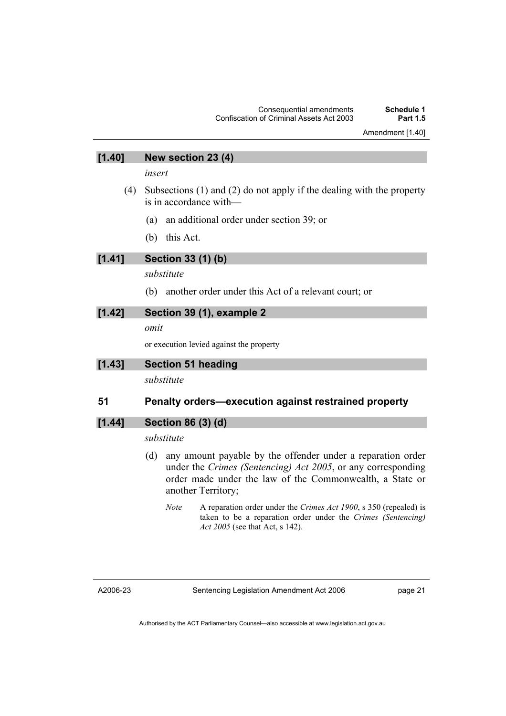#### **[1.40] New section 23 (4)**

*insert* 

- (4) Subsections (1) and (2) do not apply if the dealing with the property is in accordance with—
	- (a) an additional order under section 39; or
	- (b) this Act.

#### **[1.41] Section 33 (1) (b)**

#### *substitute*

(b) another order under this Act of a relevant court; or

#### **[1.42] Section 39 (1), example 2**

*omit* 

or execution levied against the property

| [1.43] | <b>Section 51 heading</b> |  |
|--------|---------------------------|--|
|        | substitute                |  |
|        |                           |  |

#### **51 Penalty orders—execution against restrained property**

#### **[1.44] Section 86 (3) (d)**

#### *substitute*

- (d) any amount payable by the offender under a reparation order under the *Crimes (Sentencing) Act 2005*, or any corresponding order made under the law of the Commonwealth, a State or another Territory;
	- *Note* A reparation order under the *Crimes Act 1900*, s 350 (repealed) is taken to be a reparation order under the *Crimes (Sentencing) Act 2005* (see that Act, s 142).

A2006-23

page 21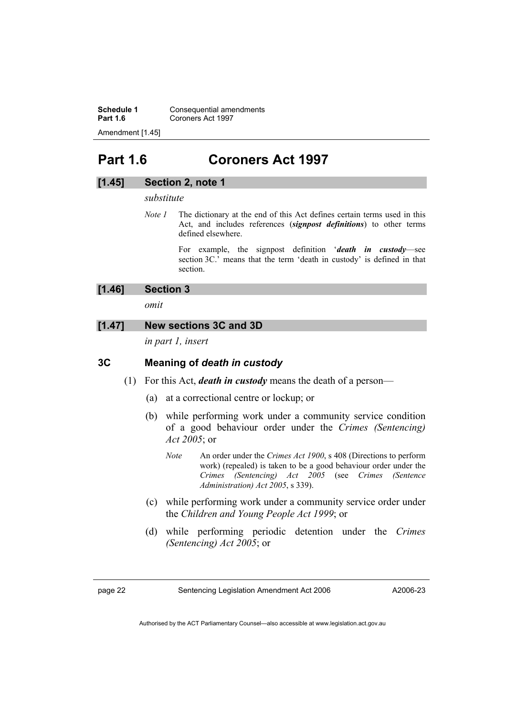**Schedule 1 Consequential amendments Part 1.6** Coroners Act 1997 Amendment [1.45]

### **Part 1.6 Coroners Act 1997**

#### **[1.45] Section 2, note 1**

#### *substitute*

*Note 1* The dictionary at the end of this Act defines certain terms used in this Act, and includes references (*signpost definitions*) to other terms defined elsewhere.

> For example, the signpost definition '*death in custody*—see section 3C.' means that the term 'death in custody' is defined in that section.

#### **[1.46] Section 3**

*omit* 

#### **[1.47] New sections 3C and 3D**

*in part 1, insert* 

#### **3C Meaning of** *death in custody*

- (1) For this Act, *death in custody* means the death of a person—
	- (a) at a correctional centre or lockup; or
	- (b) while performing work under a community service condition of a good behaviour order under the *Crimes (Sentencing) Act 2005*; or
		- *Note* An order under the *Crimes Act 1900*, s 408 (Directions to perform work) (repealed) is taken to be a good behaviour order under the *Crimes (Sentencing) Act 2005* (see *Crimes (Sentence Administration) Act 2005*, s 339).
	- (c) while performing work under a community service order under the *Children and Young People Act 1999*; or
	- (d) while performing periodic detention under the *Crimes (Sentencing) Act 2005*; or

page 22 Sentencing Legislation Amendment Act 2006

A2006-23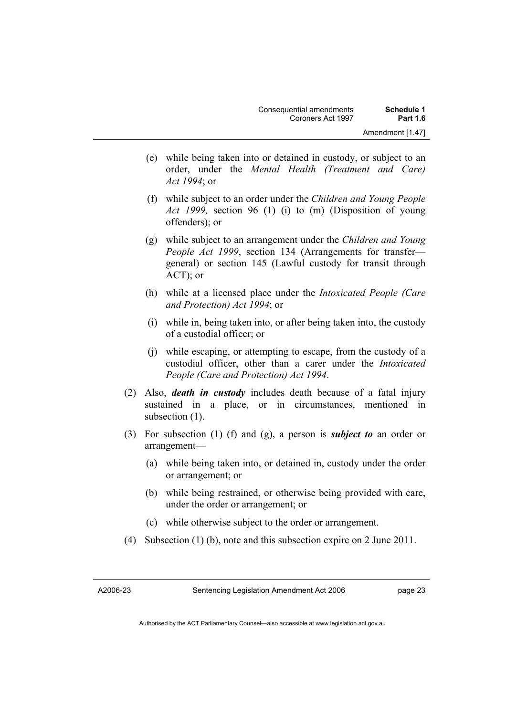- (e) while being taken into or detained in custody, or subject to an order, under the *Mental Health (Treatment and Care) Act 1994*; or
- (f) while subject to an order under the *Children and Young People Act 1999,* section 96 (1) (i) to (m) (Disposition of young offenders); or
- (g) while subject to an arrangement under the *Children and Young People Act 1999*, section 134 (Arrangements for transfer general) or section 145 (Lawful custody for transit through ACT); or
- (h) while at a licensed place under the *Intoxicated People (Care and Protection) Act 1994*; or
- (i) while in, being taken into, or after being taken into, the custody of a custodial officer; or
- (j) while escaping, or attempting to escape, from the custody of a custodial officer, other than a carer under the *Intoxicated People (Care and Protection) Act 1994*.
- (2) Also, *death in custody* includes death because of a fatal injury sustained in a place, or in circumstances, mentioned in subsection  $(1)$ .
- (3) For subsection (1) (f) and (g), a person is *subject to* an order or arrangement—
	- (a) while being taken into, or detained in, custody under the order or arrangement; or
	- (b) while being restrained, or otherwise being provided with care, under the order or arrangement; or
	- (c) while otherwise subject to the order or arrangement.
- (4) Subsection (1) (b), note and this subsection expire on 2 June 2011.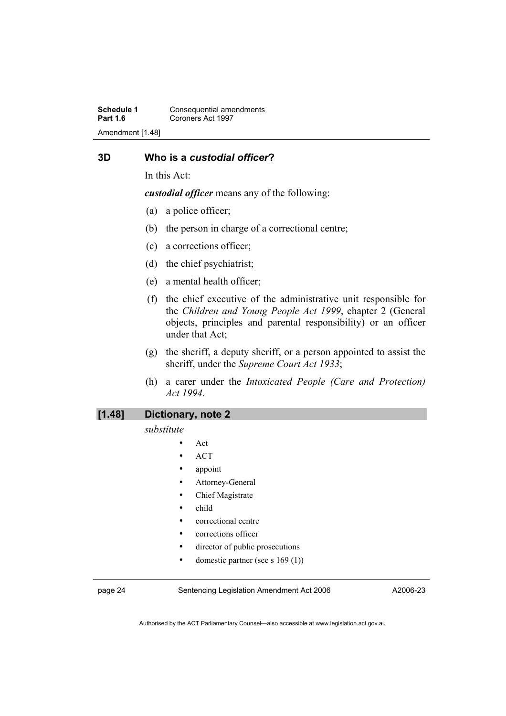**Schedule 1 Consequential amendments**<br>**Part 1.6 Coroners Act 1997 Part 1.6** Coroners Act 1997 Amendment [1.48]

#### **3D Who is a** *custodial officer***?**

In this Act:

*custodial officer* means any of the following:

- (a) a police officer;
- (b) the person in charge of a correctional centre;
- (c) a corrections officer;
- (d) the chief psychiatrist;
- (e) a mental health officer;
- (f) the chief executive of the administrative unit responsible for the *Children and Young People Act 1999*, chapter 2 (General objects, principles and parental responsibility) or an officer under that Act;
- (g) the sheriff, a deputy sheriff, or a person appointed to assist the sheriff, under the *Supreme Court Act 1933*;
- (h) a carer under the *Intoxicated People (Care and Protection) Act 1994*.

#### **[1.48] Dictionary, note 2**

*substitute* 

- Act
	- ACT
	- appoint
	- Attorney-General
	- Chief Magistrate
- child
- correctional centre
- corrections officer
- director of public prosecutions
- domestic partner (see s 169 (1))

page 24 Sentencing Legislation Amendment Act 2006

A2006-23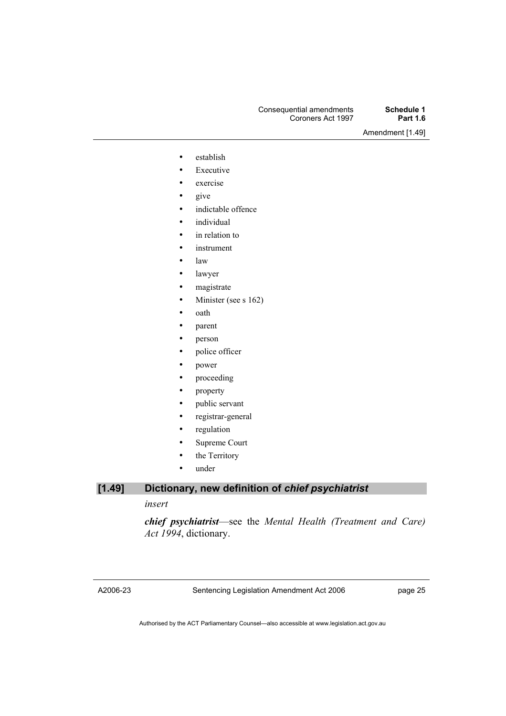#### Consequential amendments **Schedule 1**  Coroners Act 1997

Amendment [1.49]

- establish
- **Executive**
- exercise
- give
- indictable offence
- *individual*
- in relation to
- instrument
- law
- lawyer
- magistrate
- Minister (see s 162)
- oath
- parent
- person
- police officer
- power
- proceeding
- property
- public servant
- registrar-general
- regulation
- Supreme Court
- the Territory
- under

### **[1.49] Dictionary, new definition of** *chief psychiatrist*

#### *insert*

*chief psychiatrist*—see the *Mental Health (Treatment and Care) Act 1994*, dictionary.

A2006-23

Sentencing Legislation Amendment Act 2006

page 25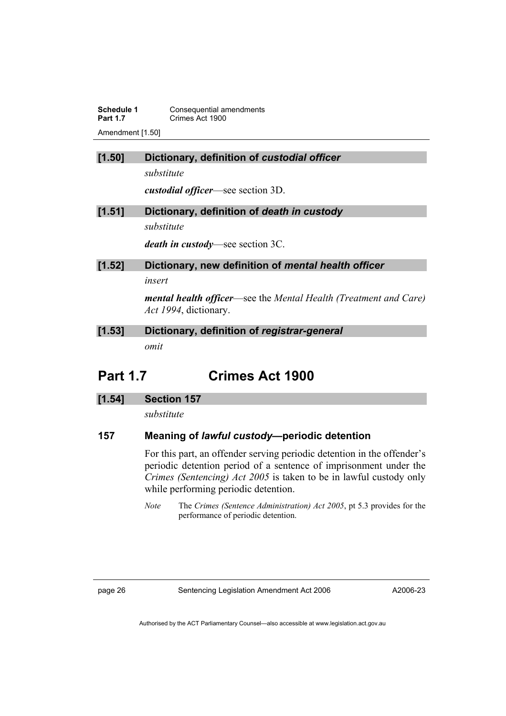**Schedule 1 Consequential amendments**<br>**Part 1.7 Crimes Act 1900 Part 1.7** Crimes Act 1900

Amendment [1.50]

#### **[1.50] Dictionary, definition of** *custodial officer*

*substitute* 

*custodial officer*—see section 3D.

#### **[1.51] Dictionary, definition of** *death in custody*

*substitute* 

*death in custody*—see section 3C.

## **[1.52] Dictionary, new definition of** *mental health officer*

*insert* 

*mental health officer*—see the *Mental Health (Treatment and Care) Act 1994*, dictionary.

#### **[1.53] Dictionary, definition of** *registrar-general omit*

### **Part 1.7 Crimes Act 1900**

#### **[1.54] Section 157**

*substitute* 

#### **157 Meaning of** *lawful custody***—periodic detention**

For this part, an offender serving periodic detention in the offender's periodic detention period of a sentence of imprisonment under the *Crimes (Sentencing) Act 2005* is taken to be in lawful custody only while performing periodic detention.

*Note* The *Crimes (Sentence Administration) Act 2005*, pt 5.3 provides for the performance of periodic detention.

page 26 Sentencing Legislation Amendment Act 2006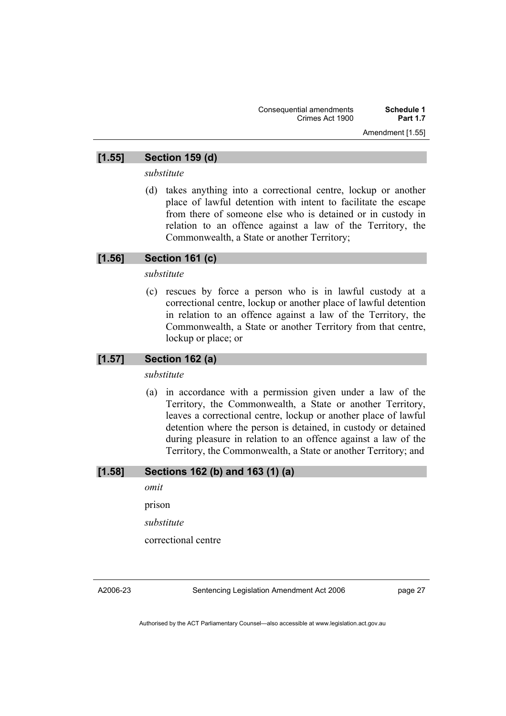#### **[1.55] Section 159 (d)**

*substitute* 

 (d) takes anything into a correctional centre, lockup or another place of lawful detention with intent to facilitate the escape from there of someone else who is detained or in custody in relation to an offence against a law of the Territory, the Commonwealth, a State or another Territory;

#### **[1.56] Section 161 (c)**

*substitute* 

 (c) rescues by force a person who is in lawful custody at a correctional centre, lockup or another place of lawful detention in relation to an offence against a law of the Territory, the Commonwealth, a State or another Territory from that centre, lockup or place; or

#### **[1.57] Section 162 (a)**

*substitute* 

 (a) in accordance with a permission given under a law of the Territory, the Commonwealth, a State or another Territory, leaves a correctional centre, lockup or another place of lawful detention where the person is detained, in custody or detained during pleasure in relation to an offence against a law of the Territory, the Commonwealth, a State or another Territory; and

#### **[1.58] Sections 162 (b) and 163 (1) (a)**

*omit* 

prison

*substitute* 

correctional centre

A2006-23

Sentencing Legislation Amendment Act 2006

page 27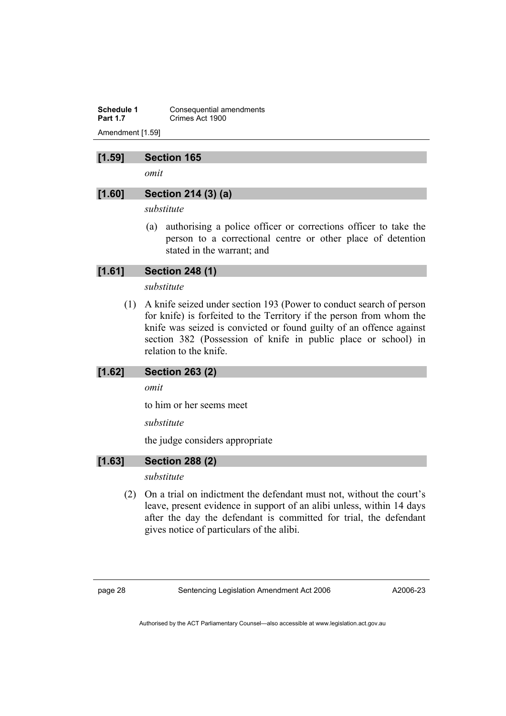**Schedule 1 Consequential amendments**<br>**Part 1.7 Crimes Act 1900 Part 1.7** Crimes Act 1900 Amendment [1.59]

#### **[1.59] Section 165**

*omit* 

#### **[1.60] Section 214 (3) (a)**

*substitute* 

 (a) authorising a police officer or corrections officer to take the person to a correctional centre or other place of detention stated in the warrant; and

#### **[1.61] Section 248 (1)**

#### *substitute*

 (1) A knife seized under section 193 (Power to conduct search of person for knife) is forfeited to the Territory if the person from whom the knife was seized is convicted or found guilty of an offence against section 382 (Possession of knife in public place or school) in relation to the knife.

#### **[1.62] Section 263 (2)**

*omit* 

to him or her seems meet

*substitute* 

the judge considers appropriate

#### **[1.63] Section 288 (2)**

#### *substitute*

 (2) On a trial on indictment the defendant must not, without the court's leave, present evidence in support of an alibi unless, within 14 days after the day the defendant is committed for trial, the defendant gives notice of particulars of the alibi.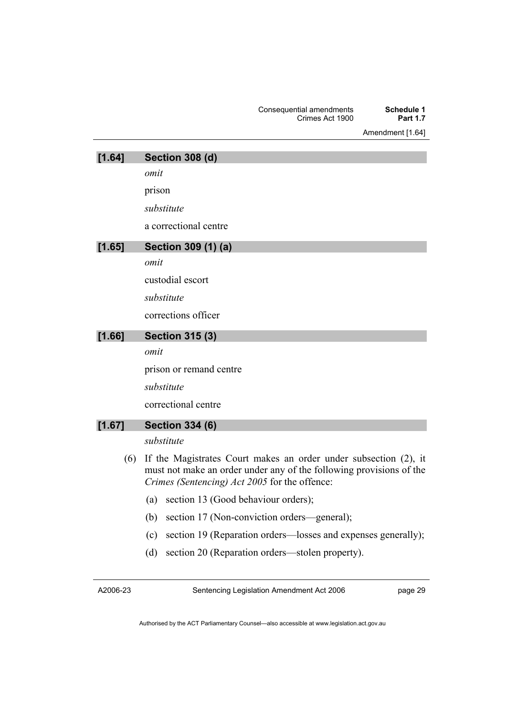Amendment [1.64]

| [1.64]   | Section 308 (d)                                                                                                                                                                          |
|----------|------------------------------------------------------------------------------------------------------------------------------------------------------------------------------------------|
|          | omit                                                                                                                                                                                     |
|          | prison                                                                                                                                                                                   |
|          | substitute                                                                                                                                                                               |
|          | a correctional centre                                                                                                                                                                    |
| [1.65]   | Section 309 (1) (a)                                                                                                                                                                      |
|          | omit                                                                                                                                                                                     |
|          | custodial escort                                                                                                                                                                         |
|          | substitute                                                                                                                                                                               |
|          | corrections officer                                                                                                                                                                      |
| [1.66]   | <b>Section 315 (3)</b>                                                                                                                                                                   |
|          | omit                                                                                                                                                                                     |
|          | prison or remand centre                                                                                                                                                                  |
|          | substitute                                                                                                                                                                               |
|          | correctional centre                                                                                                                                                                      |
| [1.67]   | <b>Section 334 (6)</b>                                                                                                                                                                   |
|          | substitute                                                                                                                                                                               |
| (6)      | If the Magistrates Court makes an order under subsection (2), it<br>must not make an order under any of the following provisions of the<br>Crimes (Sentencing) Act 2005 for the offence: |
|          | section 13 (Good behaviour orders);<br>(a)                                                                                                                                               |
|          | section 17 (Non-conviction orders—general);<br>(b)                                                                                                                                       |
|          | section 19 (Reparation orders—losses and expenses generally);<br>(c)                                                                                                                     |
|          | section 20 (Reparation orders—stolen property).<br>(d)                                                                                                                                   |
|          |                                                                                                                                                                                          |
| A2006-23 | Sentencing Legislation Amendment Act 2006<br>page 29                                                                                                                                     |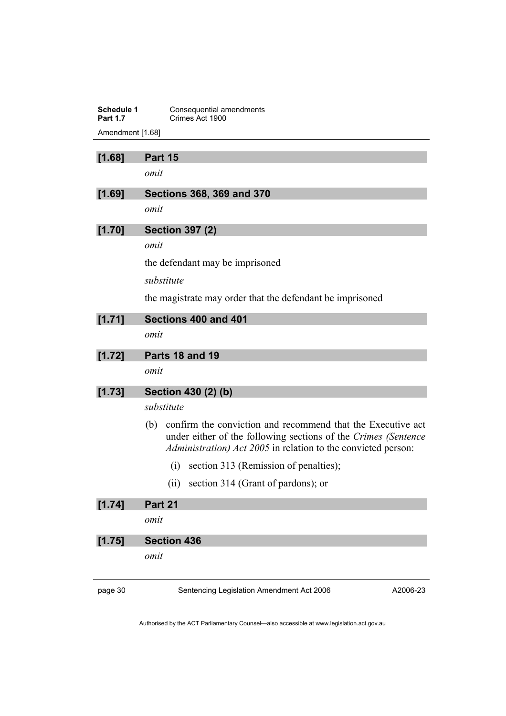**Schedule 1 Consequential amendments**<br>**Part 1.7 Crimes Act 1900 Part 1900** 

Amendment [1.68]

#### **[1.68] Part 15**

*omit* 

### **[1.69] Sections 368, 369 and 370**

*omit* 

#### **[1.70] Section 397 (2)**

*omit* 

the defendant may be imprisoned

*substitute* 

the magistrate may order that the defendant be imprisoned

| [1.71] | Sections 400 and 401                                                                                                                                                                                         |
|--------|--------------------------------------------------------------------------------------------------------------------------------------------------------------------------------------------------------------|
|        | omit                                                                                                                                                                                                         |
| [1.72] | Parts 18 and 19                                                                                                                                                                                              |
|        | omit                                                                                                                                                                                                         |
| [1.73] | Section 430 (2) (b)                                                                                                                                                                                          |
|        | substitute                                                                                                                                                                                                   |
|        | confirm the conviction and recommend that the Executive act<br>(b)<br>under either of the following sections of the Crimes (Sentence<br><i>Administration) Act 2005</i> in relation to the convicted person: |
|        | section 313 (Remission of penalties);<br>(i)                                                                                                                                                                 |
|        | section 314 (Grant of pardons); or<br>(11)                                                                                                                                                                   |
| [1.74] | Part 21                                                                                                                                                                                                      |
|        | omit                                                                                                                                                                                                         |
|        |                                                                                                                                                                                                              |

### **[1.75] Section 436**

*omit* 

page 30 Sentencing Legislation Amendment Act 2006

A2006-23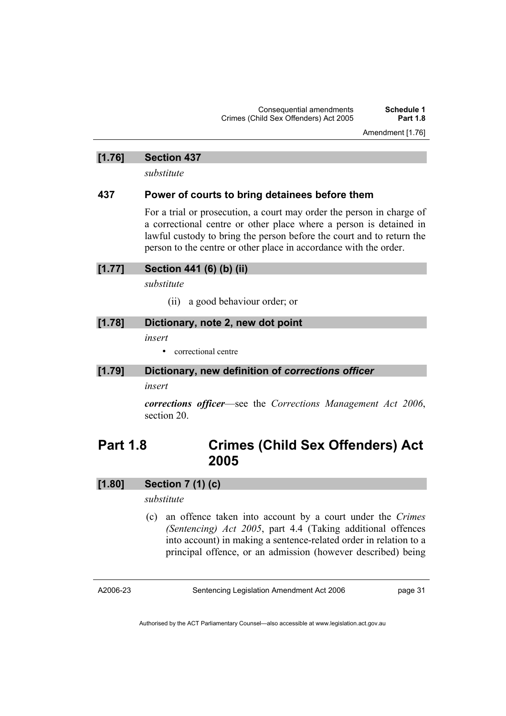Amendment [1.76]

#### **[1.76] Section 437**

*substitute* 

#### **437 Power of courts to bring detainees before them**

For a trial or prosecution, a court may order the person in charge of a correctional centre or other place where a person is detained in lawful custody to bring the person before the court and to return the person to the centre or other place in accordance with the order.

| [1.77]<br>Section 441 (6) (b) (ii) |  |  |  |
|------------------------------------|--|--|--|
|------------------------------------|--|--|--|

*substitute* 

(ii) a good behaviour order; or

#### **[1.78] Dictionary, note 2, new dot point**

*insert* 

• correctional centre

#### **[1.79] Dictionary, new definition of** *corrections officer*

*insert* 

*corrections officer*—see the *Corrections Management Act 2006*, section 20.

### **Part 1.8 Crimes (Child Sex Offenders) Act 2005**

#### **[1.80] Section 7 (1) (c)**

#### *substitute*

 (c) an offence taken into account by a court under the *Crimes (Sentencing) Act 2005*, part 4.4 (Taking additional offences into account) in making a sentence-related order in relation to a principal offence, or an admission (however described) being

A2006-23

Sentencing Legislation Amendment Act 2006

page 31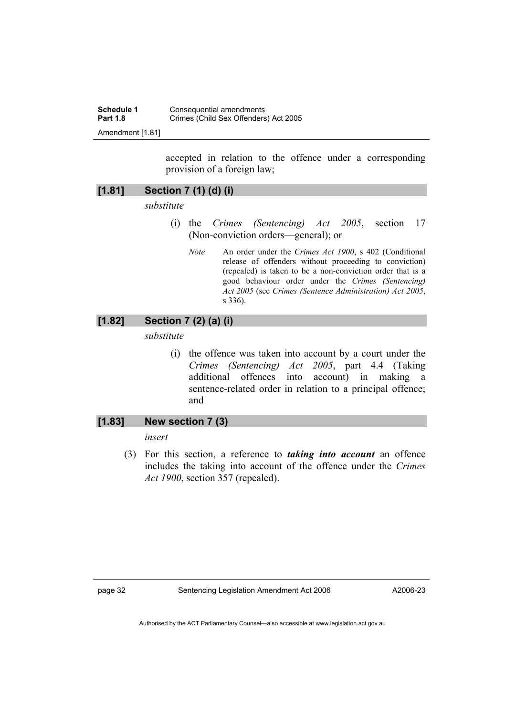| Schedule 1      | Consequential amendments              |
|-----------------|---------------------------------------|
| <b>Part 1.8</b> | Crimes (Child Sex Offenders) Act 2005 |
|                 |                                       |

Amendment [1.81]

accepted in relation to the offence under a corresponding provision of a foreign law;

| [1.81] | Section 7 (1) (d) (i) |  |  |  |
|--------|-----------------------|--|--|--|
|--------|-----------------------|--|--|--|

*substitute* 

- (i) the *Crimes (Sentencing) Act 2005*, section 17 (Non-conviction orders—general); or
	- *Note* An order under the *Crimes Act 1900*, s 402 (Conditional release of offenders without proceeding to conviction) (repealed) is taken to be a non-conviction order that is a good behaviour order under the *Crimes (Sentencing) Act 2005* (see *Crimes (Sentence Administration) Act 2005*, s 336).

#### **[1.82] Section 7 (2) (a) (i)**

*substitute* 

 (i) the offence was taken into account by a court under the *Crimes (Sentencing) Act 2005*, part 4.4 (Taking additional offences into account) in making a sentence-related order in relation to a principal offence; and

#### **[1.83] New section 7 (3)**

*insert* 

 (3) For this section, a reference to *taking into account* an offence includes the taking into account of the offence under the *Crimes Act 1900*, section 357 (repealed).

page 32 Sentencing Legislation Amendment Act 2006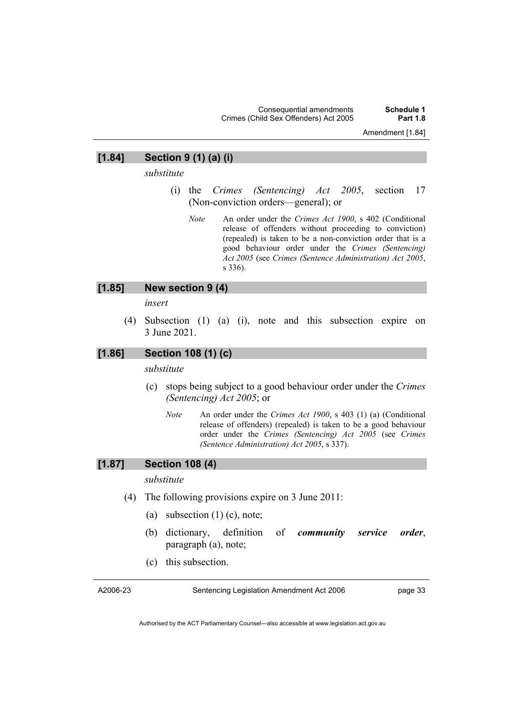Consequential amendments **Schedule 1**  Crimes (Child Sex Offenders) Act 2005

#### **[1.84] Section 9 (1) (a) (i)**

*substitute* 

- (i) the *Crimes (Sentencing) Act 2005*, section 17 (Non-conviction orders—general); or
	- *Note* An order under the *Crimes Act 1900*, s 402 (Conditional release of offenders without proceeding to conviction) (repealed) is taken to be a non-conviction order that is a good behaviour order under the *Crimes (Sentencing) Act 2005* (see *Crimes (Sentence Administration) Act 2005*, s 336).

#### **[1.85] New section 9 (4)**

*insert* 

 (4) Subsection (1) (a) (i), note and this subsection expire on 3 June 2021.

#### **[1.86] Section 108 (1) (c)**

*substitute* 

- (c) stops being subject to a good behaviour order under the *Crimes (Sentencing) Act 2005*; or
	- *Note* An order under the *Crimes Act 1900*, s 403 (1) (a) (Conditional release of offenders) (repealed) is taken to be a good behaviour order under the *Crimes (Sentencing) Act 2005* (see *Crimes (Sentence Administration) Act 2005*, s 337).

# **[1.87] Section 108 (4)**

#### *substitute*

- (4) The following provisions expire on 3 June 2011:
	- (a) subsection  $(1)$  (c), note;
	- (b) dictionary, definition of *community service order*, paragraph (a), note;
	- (c) this subsection.

A2006-23

Sentencing Legislation Amendment Act 2006

page 33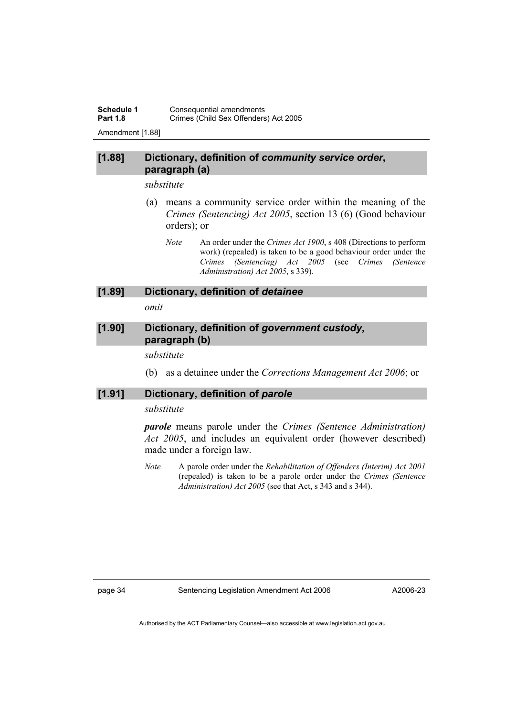**Schedule 1 Consequential amendments**<br>**Part 1.8 Crimes** (Child Sex Offenders **Crimes (Child Sex Offenders) Act 2005** Amendment [1.88]

# **[1.88] Dictionary, definition of** *community service order***, paragraph (a)**

#### *substitute*

- (a) means a community service order within the meaning of the *Crimes (Sentencing) Act 2005*, section 13 (6) (Good behaviour orders); or
	- *Note* An order under the *Crimes Act 1900*, s 408 (Directions to perform work) (repealed) is taken to be a good behaviour order under the *Crimes (Sentencing) Act 2005* (see *Crimes (Sentence Administration) Act 2005*, s 339).

#### **[1.89] Dictionary, definition of** *detainee*

*omit* 

# **[1.90] Dictionary, definition of** *government custody***, paragraph (b)**

*substitute* 

(b) as a detainee under the *Corrections Management Act 2006*; or

# **[1.91] Dictionary, definition of** *parole*

#### *substitute*

*parole* means parole under the *Crimes (Sentence Administration) Act 2005*, and includes an equivalent order (however described) made under a foreign law.

*Note* A parole order under the *Rehabilitation of Offenders (Interim) Act 2001* (repealed) is taken to be a parole order under the *Crimes (Sentence Administration) Act 2005* (see that Act, s 343 and s 344).

page 34 Sentencing Legislation Amendment Act 2006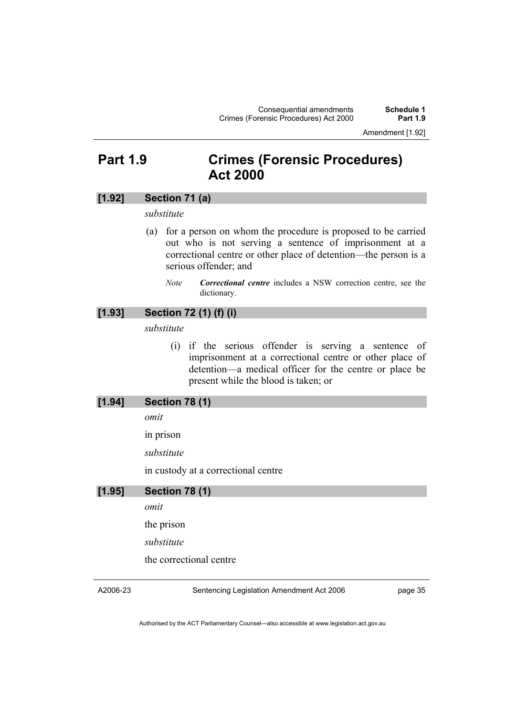# **Part 1.9 Crimes (Forensic Procedures) Act 2000**

# **[1.92] Section 71 (a)**

# *substitute*

- (a) for a person on whom the procedure is proposed to be carried out who is not serving a sentence of imprisonment at a correctional centre or other place of detention—the person is a serious offender; and
	- *Note Correctional centre* includes a NSW correction centre, see the dictionary.

# **[1.93] Section 72 (1) (f) (i)**

*substitute* 

 (i) if the serious offender is serving a sentence of imprisonment at a correctional centre or other place of detention—a medical officer for the centre or place be present while the blood is taken; or

### **[1.94] Section 78 (1)**

*omit* 

in prison

*substitute* 

in custody at a correctional centre

# **[1.95] Section 78 (1)**  *omit*  the prison *substitute*  the correctional centre

A2006-23

Sentencing Legislation Amendment Act 2006

page 35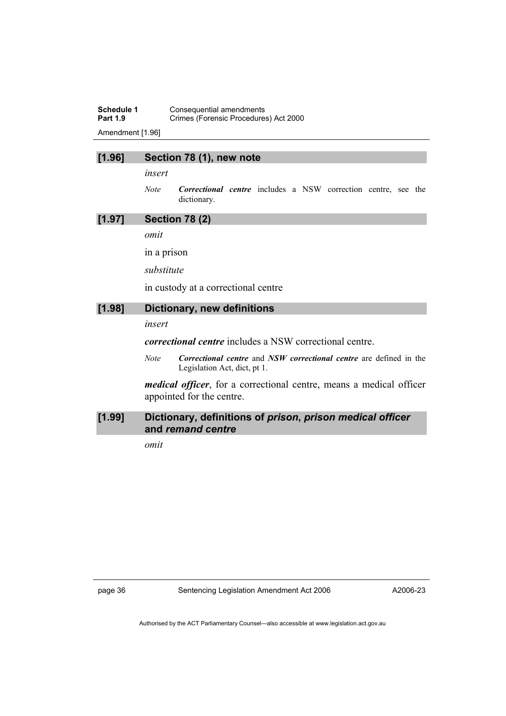# **Schedule 1 Consequential amendments**<br>**Part 1.9 Crimes (Forensic Procedure)** Crimes (Forensic Procedures) Act 2000

Amendment [1.96]

### **[1.96] Section 78 (1), new note**

*insert* 

*Note Correctional centre* includes a NSW correction centre, see the dictionary.

# **[1.97] Section 78 (2)**

*omit* 

in a prison

*substitute* 

in custody at a correctional centre

# **[1.98] Dictionary, new definitions**

*insert* 

*correctional centre* includes a NSW correctional centre.

*Note Correctional centre* and *NSW correctional centre* are defined in the Legislation Act, dict, pt 1.

*medical officer*, for a correctional centre, means a medical officer appointed for the centre.

# **[1.99] Dictionary, definitions of** *prison***,** *prison medical officer*  **and** *remand centre*

*omit* 

page 36 Sentencing Legislation Amendment Act 2006

A2006-23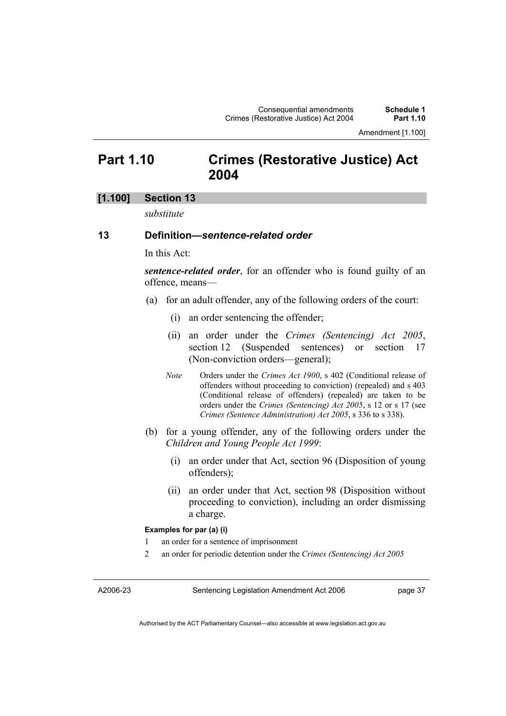# **Part 1.10 Crimes (Restorative Justice) Act 2004**

#### **[1.100] Section 13**

*substitute* 

### **13 Definition—***sentence-related order*

In this Act:

*sentence-related order*, for an offender who is found guilty of an offence, means—

- (a) for an adult offender, any of the following orders of the court:
	- (i) an order sentencing the offender;
	- (ii) an order under the *Crimes (Sentencing) Act 2005*, section 12 (Suspended sentences) or section 17 (Non-conviction orders—general);
	- *Note* Orders under the *Crimes Act 1900*, s 402 (Conditional release of offenders without proceeding to conviction) (repealed) and s 403 (Conditional release of offenders) (repealed) are taken to be orders under the *Crimes (Sentencing) Act 2005*, s 12 or s 17 (see *Crimes (Sentence Administration) Act 2005*, s 336 to s 338).
- (b) for a young offender, any of the following orders under the *Children and Young People Act 1999*:
	- (i) an order under that Act, section 96 (Disposition of young offenders);
	- (ii) an order under that Act, section 98 (Disposition without proceeding to conviction), including an order dismissing a charge.

#### **Examples for par (a) (i)**

- 1 an order for a sentence of imprisonment
- 2 an order for periodic detention under the *Crimes (Sentencing) Act 2005*

A2006-23

Sentencing Legislation Amendment Act 2006

page 37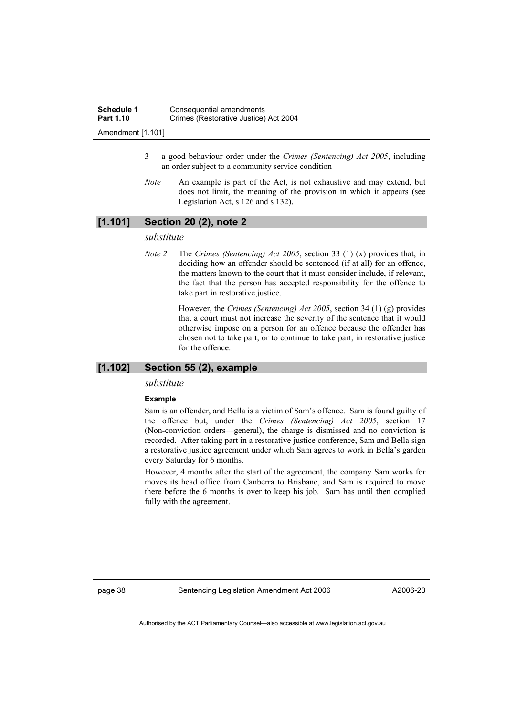- Amendment [1.101]
	- 3 a good behaviour order under the *Crimes (Sentencing) Act 2005*, including an order subject to a community service condition
	- *Note* An example is part of the Act, is not exhaustive and may extend, but does not limit, the meaning of the provision in which it appears (see Legislation Act, s 126 and s 132).

# **[1.101] Section 20 (2), note 2**

### *substitute*

*Note 2* The *Crimes (Sentencing) Act 2005*, section 33 (1) (x) provides that, in deciding how an offender should be sentenced (if at all) for an offence, the matters known to the court that it must consider include, if relevant, the fact that the person has accepted responsibility for the offence to take part in restorative justice.

> However, the *Crimes (Sentencing) Act 2005*, section 34 (1) (g) provides that a court must not increase the severity of the sentence that it would otherwise impose on a person for an offence because the offender has chosen not to take part, or to continue to take part, in restorative justice for the offence.

### **[1.102] Section 55 (2), example**

#### *substitute*

#### **Example**

Sam is an offender, and Bella is a victim of Sam's offence. Sam is found guilty of the offence but, under the *Crimes (Sentencing) Act 2005*, section 17 (Non-conviction orders—general), the charge is dismissed and no conviction is recorded. After taking part in a restorative justice conference, Sam and Bella sign a restorative justice agreement under which Sam agrees to work in Bella's garden every Saturday for 6 months.

However, 4 months after the start of the agreement, the company Sam works for moves its head office from Canberra to Brisbane, and Sam is required to move there before the 6 months is over to keep his job. Sam has until then complied fully with the agreement.

page 38 Sentencing Legislation Amendment Act 2006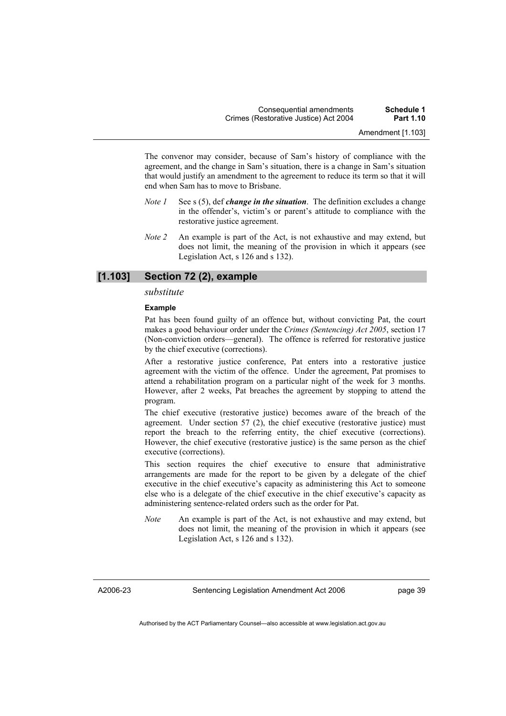The convenor may consider, because of Sam's history of compliance with the agreement, and the change in Sam's situation, there is a change in Sam's situation that would justify an amendment to the agreement to reduce its term so that it will end when Sam has to move to Brisbane.

- *Note 1* See s (5), def *change in the situation*. The definition excludes a change in the offender's, victim's or parent's attitude to compliance with the restorative justice agreement.
- *Note 2* An example is part of the Act, is not exhaustive and may extend, but does not limit, the meaning of the provision in which it appears (see Legislation Act, s 126 and s 132).

#### **[1.103] Section 72 (2), example**

#### *substitute*

#### **Example**

Pat has been found guilty of an offence but, without convicting Pat, the court makes a good behaviour order under the *Crimes (Sentencing) Act 2005*, section 17 (Non-conviction orders—general). The offence is referred for restorative justice by the chief executive (corrections).

After a restorative justice conference, Pat enters into a restorative justice agreement with the victim of the offence. Under the agreement, Pat promises to attend a rehabilitation program on a particular night of the week for 3 months. However, after 2 weeks, Pat breaches the agreement by stopping to attend the program.

The chief executive (restorative justice) becomes aware of the breach of the agreement. Under section 57 (2), the chief executive (restorative justice) must report the breach to the referring entity, the chief executive (corrections). However, the chief executive (restorative justice) is the same person as the chief executive (corrections).

This section requires the chief executive to ensure that administrative arrangements are made for the report to be given by a delegate of the chief executive in the chief executive's capacity as administering this Act to someone else who is a delegate of the chief executive in the chief executive's capacity as administering sentence-related orders such as the order for Pat.

*Note* An example is part of the Act, is not exhaustive and may extend, but does not limit, the meaning of the provision in which it appears (see Legislation Act, s 126 and s 132).

A2006-23

Sentencing Legislation Amendment Act 2006

page 39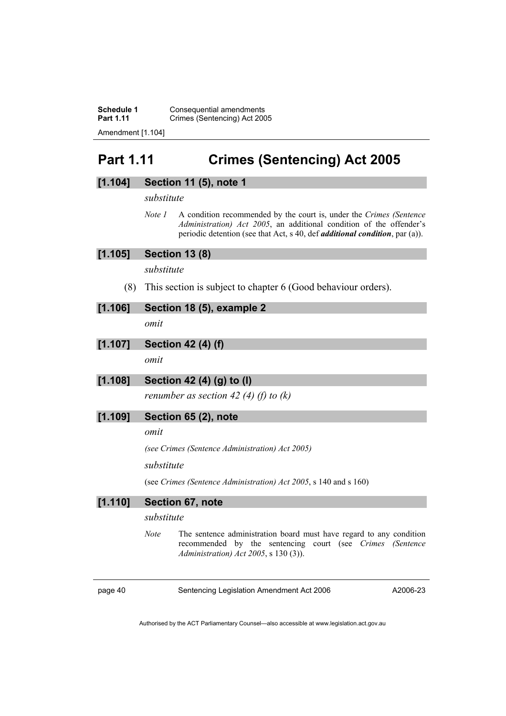**Schedule 1 Consequential amendments Part 1.11 Crimes (Sentencing) Act 2005** 

Amendment [1.104]

# **Part 1.11 Crimes (Sentencing) Act 2005**

#### **[1.104] Section 11 (5), note 1**

#### *substitute*

*Note 1* A condition recommended by the court is, under the *Crimes (Sentence Administration) Act 2005*, an additional condition of the offender's periodic detention (see that Act, s 40, def *additional condition*, par (a)).

**[1.105] Section 13 (8)** 

*substitute* 

(8) This section is subject to chapter 6 (Good behaviour orders).

#### **[1.106] Section 18 (5), example 2**

*omit* 

**[1.107] Section 42 (4) (f)** 

*omit* 

**[1.108] Section 42 (4) (g) to (l)** 

*renumber as section 42 (4) (f) to (k)* 

# **[1.109] Section 65 (2), note**

#### *omit*

*(see Crimes (Sentence Administration) Act 2005)* 

*substitute* 

(see *Crimes (Sentence Administration) Act 2005*, s 140 and s 160)

### **[1.110] Section 67, note**

#### *substitute*

*Note* The sentence administration board must have regard to any condition recommended by the sentencing court (see *Crimes (Sentence Administration) Act 2005*, s 130 (3)).

page 40 Sentencing Legislation Amendment Act 2006

A2006-23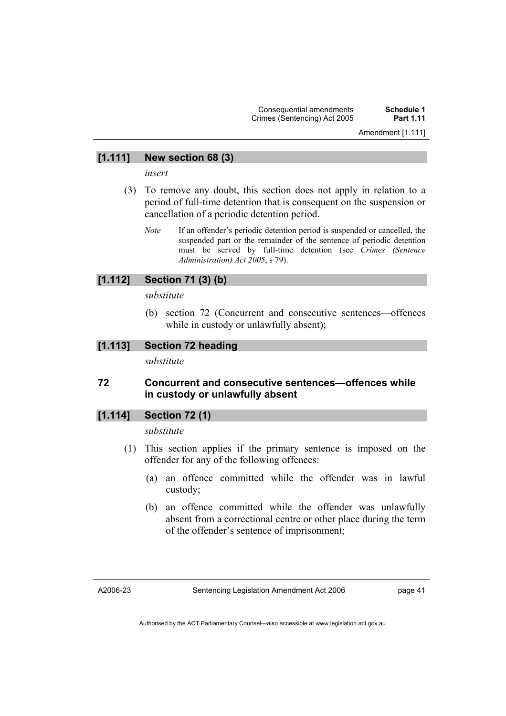Amendment [1.111]

#### **[1.111] New section 68 (3)**

*insert* 

- (3) To remove any doubt, this section does not apply in relation to a period of full-time detention that is consequent on the suspension or cancellation of a periodic detention period.
	- *Note* If an offender's periodic detention period is suspended or cancelled, the suspended part or the remainder of the sentence of periodic detention must be served by full-time detention (see *Crimes (Sentence Administration) Act 2005*, s 79).

# **[1.112] Section 71 (3) (b)**

*substitute* 

 (b) section 72 (Concurrent and consecutive sentences—offences while in custody or unlawfully absent);

### **[1.113] Section 72 heading**

*substitute* 

# **72 Concurrent and consecutive sentences—offences while in custody or unlawfully absent**

#### **[1.114] Section 72 (1)**

*substitute* 

- (1) This section applies if the primary sentence is imposed on the offender for any of the following offences:
	- (a) an offence committed while the offender was in lawful custody;
	- (b) an offence committed while the offender was unlawfully absent from a correctional centre or other place during the term of the offender's sentence of imprisonment;

A2006-23

page 41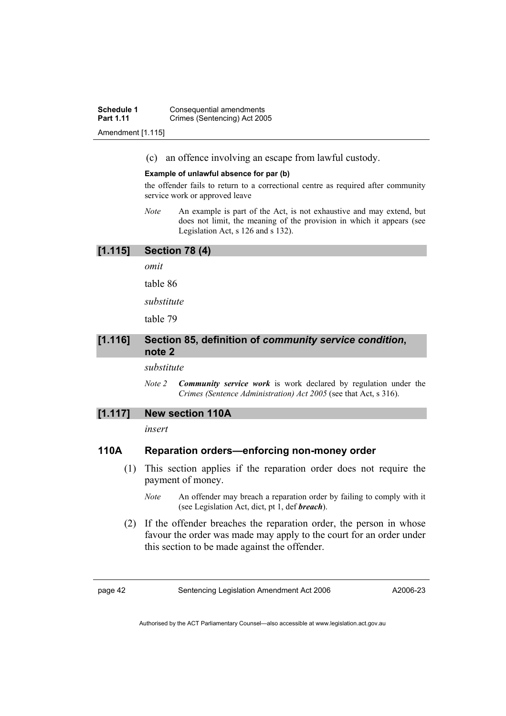(c) an offence involving an escape from lawful custody.

#### **Example of unlawful absence for par (b)**

the offender fails to return to a correctional centre as required after community service work or approved leave

*Note* An example is part of the Act, is not exhaustive and may extend, but does not limit, the meaning of the provision in which it appears (see Legislation Act, s 126 and s 132).

#### **[1.115] Section 78 (4)**

*omit* 

table 86

*substitute* 

table 79

# **[1.116] Section 85, definition of** *community service condition***, note 2**

#### *substitute*

*Note 2 Community service work* is work declared by regulation under the *Crimes (Sentence Administration) Act 2005* (see that Act, s 316).

#### **[1.117] New section 110A**

*insert* 

#### **110A Reparation orders—enforcing non-money order**

- (1) This section applies if the reparation order does not require the payment of money.
	- *Note* An offender may breach a reparation order by failing to comply with it (see Legislation Act, dict, pt 1, def *breach*).
- (2) If the offender breaches the reparation order, the person in whose favour the order was made may apply to the court for an order under this section to be made against the offender.

page 42 Sentencing Legislation Amendment Act 2006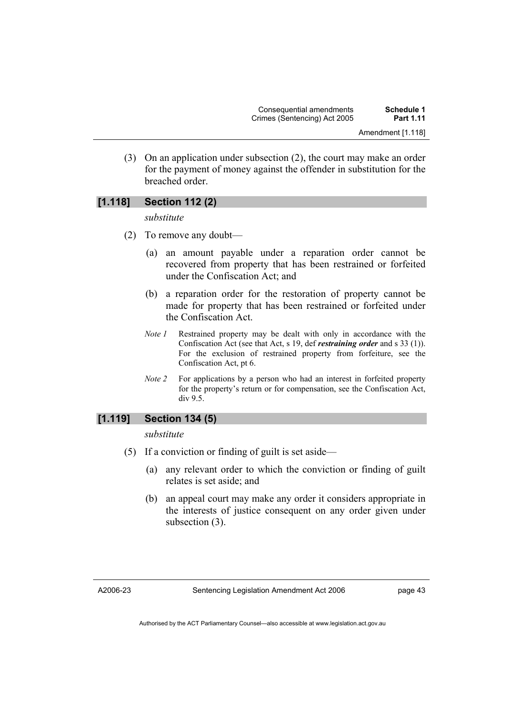(3) On an application under subsection (2), the court may make an order for the payment of money against the offender in substitution for the breached order.

# **[1.118] Section 112 (2)**

*substitute* 

- (2) To remove any doubt—
	- (a) an amount payable under a reparation order cannot be recovered from property that has been restrained or forfeited under the Confiscation Act; and
	- (b) a reparation order for the restoration of property cannot be made for property that has been restrained or forfeited under the Confiscation Act.
	- *Note 1* Restrained property may be dealt with only in accordance with the Confiscation Act (see that Act, s 19, def *restraining order* and s 33 (1)). For the exclusion of restrained property from forfeiture, see the Confiscation Act, pt 6.
	- *Note 2* For applications by a person who had an interest in forfeited property for the property's return or for compensation, see the Confiscation Act, div 9.5.

# **[1.119] Section 134 (5)**

*substitute* 

- (5) If a conviction or finding of guilt is set aside—
	- (a) any relevant order to which the conviction or finding of guilt relates is set aside; and
	- (b) an appeal court may make any order it considers appropriate in the interests of justice consequent on any order given under subsection (3).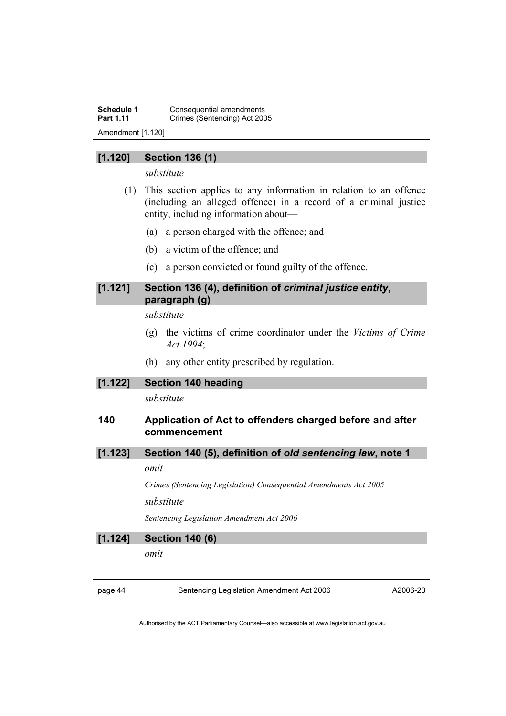**Schedule 1 Consequential amendments**<br>**Part 1.11 Crimes (Sentencing) Act 200 Crimes (Sentencing) Act 2005** Amendment [1.120]

# **[1.120] Section 136 (1)**

*substitute* 

- (1) This section applies to any information in relation to an offence (including an alleged offence) in a record of a criminal justice entity, including information about—
	- (a) a person charged with the offence; and
	- (b) a victim of the offence; and
	- (c) a person convicted or found guilty of the offence.

# **[1.121] Section 136 (4), definition of** *criminal justice entity***, paragraph (g)**

*substitute* 

- (g) the victims of crime coordinator under the *Victims of Crime Act 1994*;
- (h) any other entity prescribed by regulation.
- **[1.122] Section 140 heading**

*substitute* 

# **140 Application of Act to offenders charged before and after commencement**

# **[1.123] Section 140 (5), definition of** *old sentencing law***, note 1**

#### *omit*

*Crimes (Sentencing Legislation) Consequential Amendments Act 2005* 

*substitute* 

*Sentencing Legislation Amendment Act 2006* 

# **[1.124] Section 140 (6)**

*omit* 

page 44 Sentencing Legislation Amendment Act 2006

A2006-23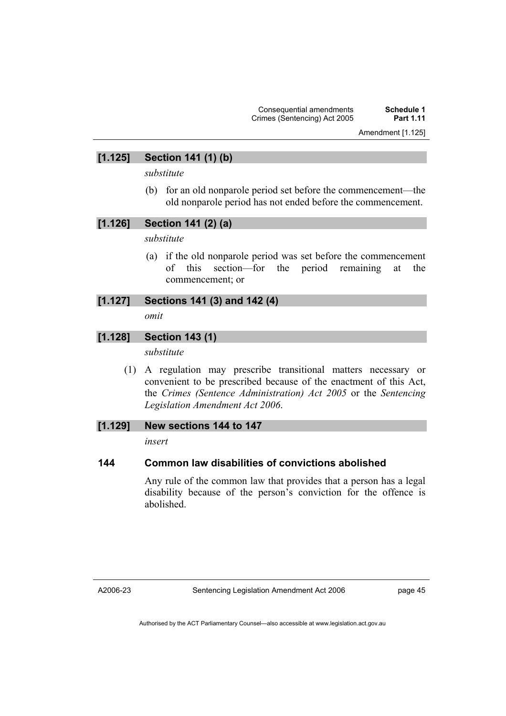# **[1.125] Section 141 (1) (b)**

*substitute* 

 (b) for an old nonparole period set before the commencement—the old nonparole period has not ended before the commencement.

# **[1.126] Section 141 (2) (a)**

*substitute* 

 (a) if the old nonparole period was set before the commencement of this section—for the period remaining at the commencement; or

#### **[1.127] Sections 141 (3) and 142 (4)**

*omit* 

# **[1.128] Section 143 (1)**

*substitute* 

 (1) A regulation may prescribe transitional matters necessary or convenient to be prescribed because of the enactment of this Act, the *Crimes (Sentence Administration) Act 2005* or the *Sentencing Legislation Amendment Act 2006*.

# **[1.129] New sections 144 to 147**

*insert* 

# **144 Common law disabilities of convictions abolished**

Any rule of the common law that provides that a person has a legal disability because of the person's conviction for the offence is abolished.

A2006-23

page 45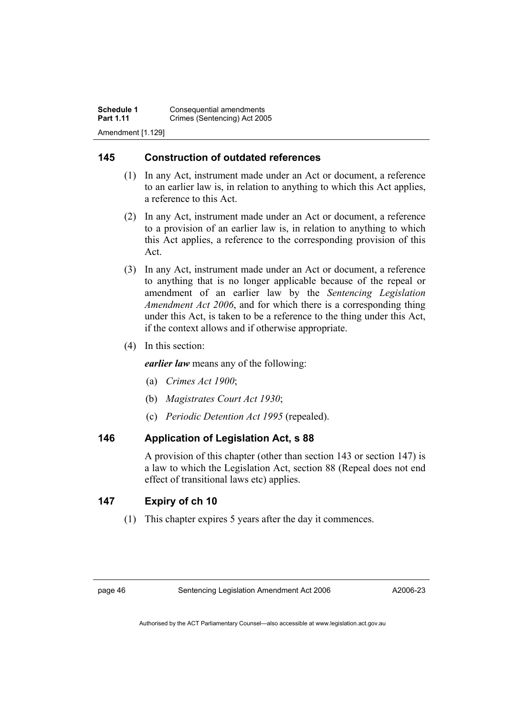# **145 Construction of outdated references**

- (1) In any Act, instrument made under an Act or document, a reference to an earlier law is, in relation to anything to which this Act applies, a reference to this Act.
- (2) In any Act, instrument made under an Act or document, a reference to a provision of an earlier law is, in relation to anything to which this Act applies, a reference to the corresponding provision of this Act.
- (3) In any Act, instrument made under an Act or document, a reference to anything that is no longer applicable because of the repeal or amendment of an earlier law by the *Sentencing Legislation Amendment Act 2006*, and for which there is a corresponding thing under this Act, is taken to be a reference to the thing under this Act, if the context allows and if otherwise appropriate.
- (4) In this section:

*earlier law* means any of the following:

- (a) *Crimes Act 1900*;
- (b) *Magistrates Court Act 1930*;
- (c) *Periodic Detention Act 1995* (repealed).

# **146 Application of Legislation Act, s 88**

A provision of this chapter (other than section 143 or section 147) is a law to which the Legislation Act, section 88 (Repeal does not end effect of transitional laws etc) applies.

# **147 Expiry of ch 10**

(1) This chapter expires 5 years after the day it commences.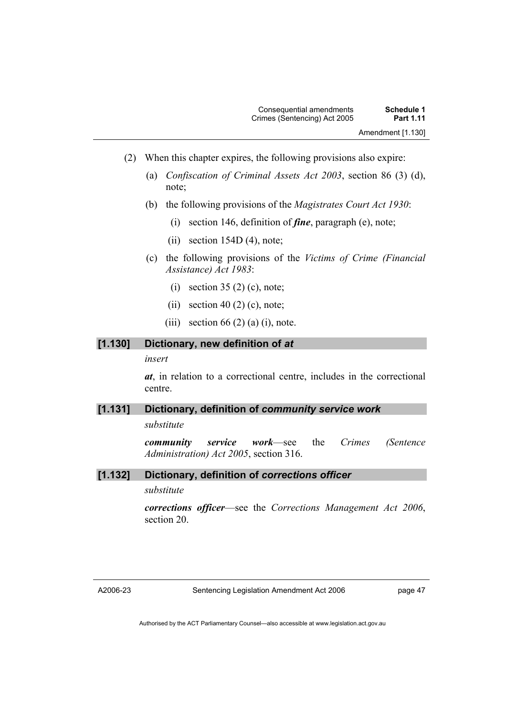- (2) When this chapter expires, the following provisions also expire:
	- (a) *Confiscation of Criminal Assets Act 2003*, section 86 (3) (d), note;
	- (b) the following provisions of the *Magistrates Court Act 1930*:
		- (i) section 146, definition of *fine*, paragraph (e), note;
		- $(ii)$  section 154D  $(4)$ , note;
	- (c) the following provisions of the *Victims of Crime (Financial Assistance) Act 1983*:
		- (i) section 35 (2) (c), note;
		- (ii) section 40 (2) (c), note;
		- (iii) section  $66(2)$  (a) (i), note.

### **[1.130] Dictionary, new definition of** *at*

*insert* 

*at*, in relation to a correctional centre, includes in the correctional centre.

#### **[1.131] Dictionary, definition of** *community service work*

*substitute* 

*community service work*—see the *Crimes (Sentence Administration) Act 2005*, section 316.

#### **[1.132] Dictionary, definition of** *corrections officer*

*substitute* 

*corrections officer*—see the *Corrections Management Act 2006*, section 20.

A2006-23

page 47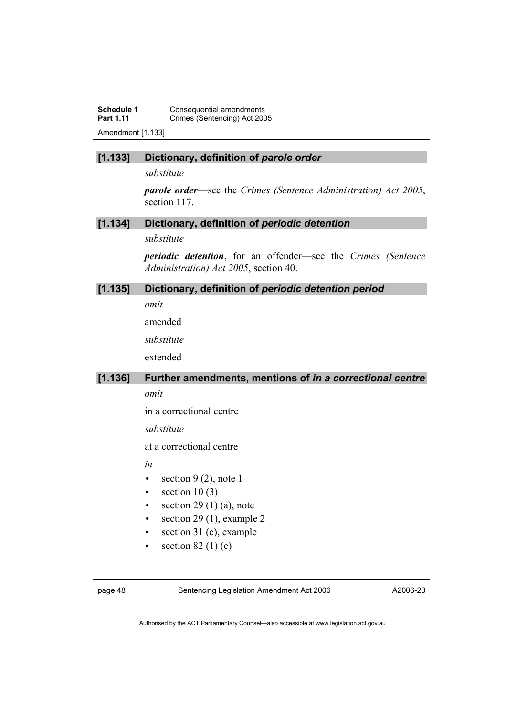**Schedule 1 Consequential amendments**<br>**Part 1.11 Crimes (Sentencing) Act 200** Crimes (Sentencing) Act 2005

Amendment [1.133]

#### **[1.133] Dictionary, definition of** *parole order*

*substitute* 

*parole order*—see the *Crimes (Sentence Administration) Act 2005*, section 117.

#### **[1.134] Dictionary, definition of** *periodic detention*

*substitute* 

*periodic detention*, for an offender—see the *Crimes (Sentence Administration) Act 2005*, section 40.

### **[1.135] Dictionary, definition of** *periodic detention period*

*omit* 

amended

*substitute* 

extended

# **[1.136] Further amendments, mentions of** *in a correctional centre*

*omit* 

in a correctional centre

*substitute* 

at a correctional centre

*in* 

- section  $9(2)$ , note 1
- section  $10(3)$
- section 29 (1) (a), note
- section 29 (1), example 2
- section 31 (c), example
- section  $82 \left( 1 \right)$  (c)

page 48 Sentencing Legislation Amendment Act 2006

A2006-23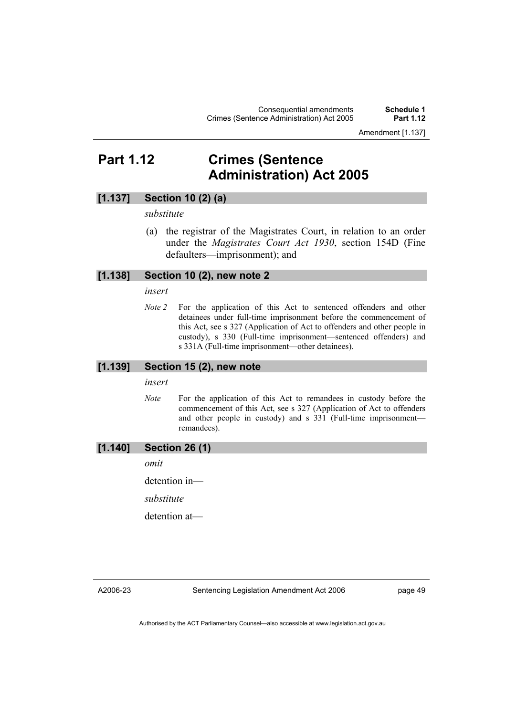# **Part 1.12 Crimes (Sentence Administration) Act 2005**

# **[1.137] Section 10 (2) (a)**

### *substitute*

 (a) the registrar of the Magistrates Court, in relation to an order under the *Magistrates Court Act 1930*, section 154D (Fine defaulters—imprisonment); and

#### **[1.138] Section 10 (2), new note 2**

#### *insert*

*Note 2* For the application of this Act to sentenced offenders and other detainees under full-time imprisonment before the commencement of this Act, see s 327 (Application of Act to offenders and other people in custody), s 330 (Full-time imprisonment—sentenced offenders) and s 331A (Full-time imprisonment—other detainees).

#### **[1.139] Section 15 (2), new note**

#### *insert*

*Note* For the application of this Act to remandees in custody before the commencement of this Act, see s 327 (Application of Act to offenders and other people in custody) and s 331 (Full-time imprisonmentremandees).

# **[1.140] Section 26 (1)**

*omit* 

detention in—

*substitute* 

detention at—

A2006-23

Sentencing Legislation Amendment Act 2006

page 49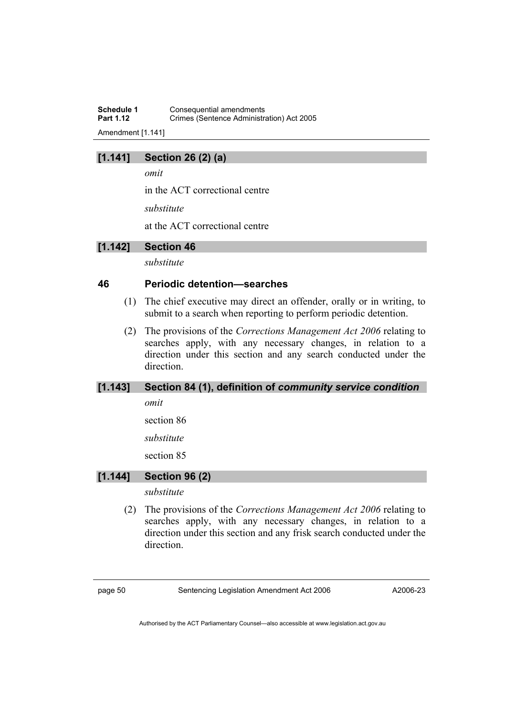**Schedule 1 Consequential amendments**<br>**Part 1.12 Crimes (Sentence Administry Crimes (Sentence Administration) Act 2005** Amendment [1.141]

# **[1.141] Section 26 (2) (a)**

*omit* 

in the ACT correctional centre

*substitute* 

at the ACT correctional centre

# **[1.142] Section 46**

*substitute* 

# **46 Periodic detention—searches**

- (1) The chief executive may direct an offender, orally or in writing, to submit to a search when reporting to perform periodic detention.
- (2) The provisions of the *Corrections Management Act 2006* relating to searches apply, with any necessary changes, in relation to a direction under this section and any search conducted under the direction.

#### **[1.143] Section 84 (1), definition of** *community service condition*

*omit* 

section 86

*substitute* 

section 85

# **[1.144] Section 96 (2)**

*substitute* 

 (2) The provisions of the *Corrections Management Act 2006* relating to searches apply, with any necessary changes, in relation to a direction under this section and any frisk search conducted under the direction.

page 50 Sentencing Legislation Amendment Act 2006

A2006-23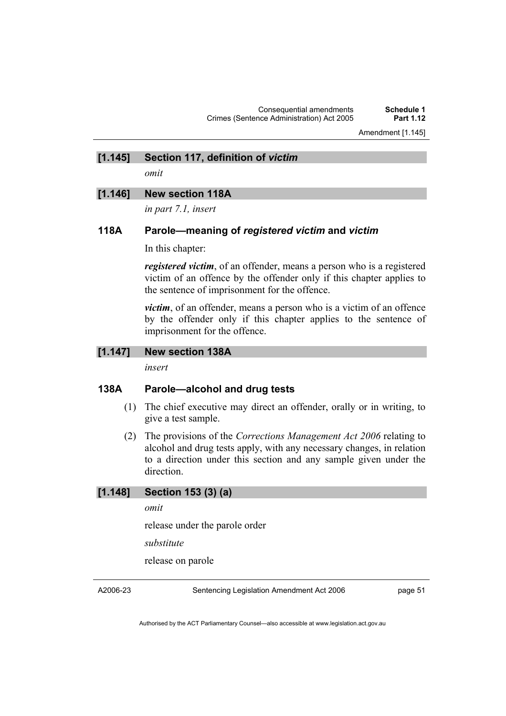Consequential amendments **Schedule 1**  Crimes (Sentence Administration) Act 2005

Amendment [1.145]

#### **[1.145] Section 117, definition of** *victim*

*omit* 

# **[1.146] New section 118A**

*in part 7.1, insert* 

# **118A Parole—meaning of** *registered victim* **and** *victim*

In this chapter:

*registered victim*, of an offender, means a person who is a registered victim of an offence by the offender only if this chapter applies to the sentence of imprisonment for the offence.

*victim*, of an offender, means a person who is a victim of an offence by the offender only if this chapter applies to the sentence of imprisonment for the offence.

# **[1.147] New section 138A**

*insert* 

# **138A Parole—alcohol and drug tests**

- (1) The chief executive may direct an offender, orally or in writing, to give a test sample.
- (2) The provisions of the *Corrections Management Act 2006* relating to alcohol and drug tests apply, with any necessary changes, in relation to a direction under this section and any sample given under the direction.

#### **[1.148] Section 153 (3) (a)**

*omit* 

release under the parole order

*substitute* 

release on parole

A2006-23

Sentencing Legislation Amendment Act 2006

page 51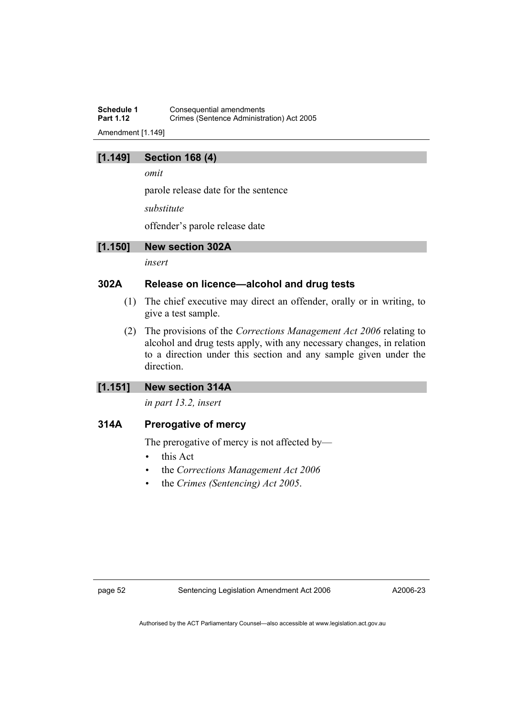**Schedule 1 Consequential amendments**<br>**Part 1.12 Crimes (Sentence Administry Crimes (Sentence Administration) Act 2005** Amendment [1.149]

# **[1.149] Section 168 (4)**

*omit* 

parole release date for the sentence

*substitute* 

offender's parole release date

# **[1.150] New section 302A**

*insert* 

# **302A Release on licence—alcohol and drug tests**

- (1) The chief executive may direct an offender, orally or in writing, to give a test sample.
- (2) The provisions of the *Corrections Management Act 2006* relating to alcohol and drug tests apply, with any necessary changes, in relation to a direction under this section and any sample given under the direction.

# **[1.151] New section 314A**

*in part 13.2, insert* 

# **314A Prerogative of mercy**

The prerogative of mercy is not affected by—

- this Act
- the *Corrections Management Act 2006*
- the *Crimes (Sentencing) Act 2005*.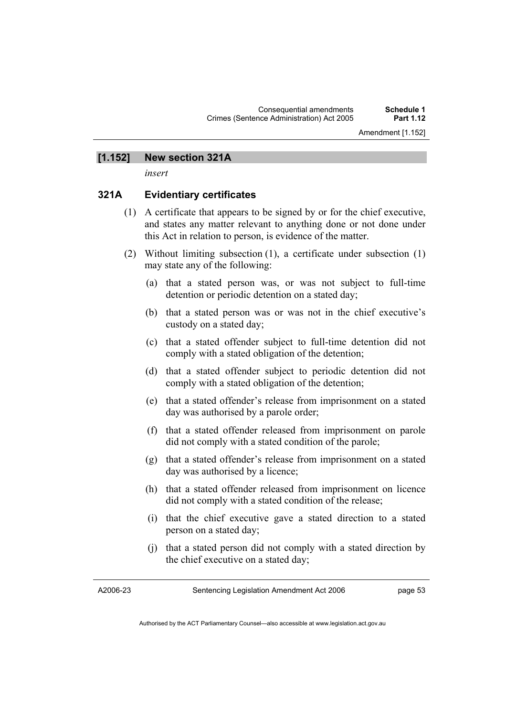Amendment [1.152]

#### **[1.152] New section 321A**

*insert* 

# **321A Evidentiary certificates**

- (1) A certificate that appears to be signed by or for the chief executive, and states any matter relevant to anything done or not done under this Act in relation to person, is evidence of the matter.
- (2) Without limiting subsection (1), a certificate under subsection (1) may state any of the following:
	- (a) that a stated person was, or was not subject to full-time detention or periodic detention on a stated day;
	- (b) that a stated person was or was not in the chief executive's custody on a stated day;
	- (c) that a stated offender subject to full-time detention did not comply with a stated obligation of the detention;
	- (d) that a stated offender subject to periodic detention did not comply with a stated obligation of the detention;
	- (e) that a stated offender's release from imprisonment on a stated day was authorised by a parole order;
	- (f) that a stated offender released from imprisonment on parole did not comply with a stated condition of the parole;
	- (g) that a stated offender's release from imprisonment on a stated day was authorised by a licence;
	- (h) that a stated offender released from imprisonment on licence did not comply with a stated condition of the release;
	- (i) that the chief executive gave a stated direction to a stated person on a stated day;
	- (j) that a stated person did not comply with a stated direction by the chief executive on a stated day;

A2006-23

Sentencing Legislation Amendment Act 2006

page 53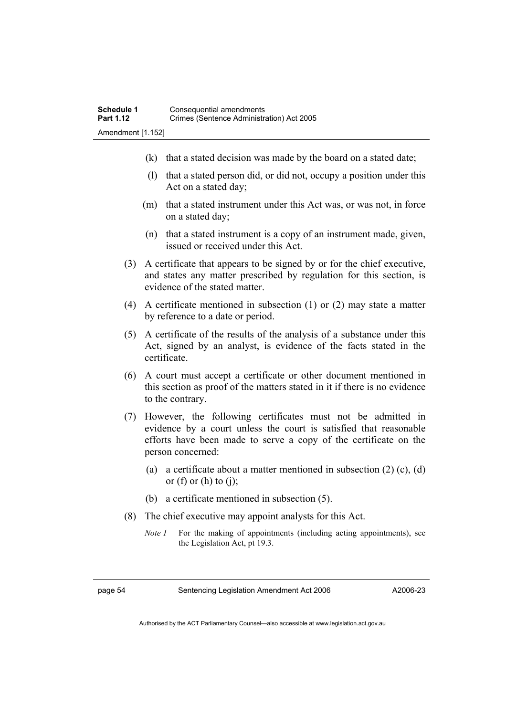- (k) that a stated decision was made by the board on a stated date;
- (l) that a stated person did, or did not, occupy a position under this Act on a stated day;
- (m) that a stated instrument under this Act was, or was not, in force on a stated day;
- (n) that a stated instrument is a copy of an instrument made, given, issued or received under this Act.
- (3) A certificate that appears to be signed by or for the chief executive, and states any matter prescribed by regulation for this section, is evidence of the stated matter.
- (4) A certificate mentioned in subsection (1) or (2) may state a matter by reference to a date or period.
- (5) A certificate of the results of the analysis of a substance under this Act, signed by an analyst, is evidence of the facts stated in the certificate.
- (6) A court must accept a certificate or other document mentioned in this section as proof of the matters stated in it if there is no evidence to the contrary.
- (7) However, the following certificates must not be admitted in evidence by a court unless the court is satisfied that reasonable efforts have been made to serve a copy of the certificate on the person concerned:
	- (a) a certificate about a matter mentioned in subsection (2) (c), (d) or (f) or (h) to (j);
	- (b) a certificate mentioned in subsection (5).
- (8) The chief executive may appoint analysts for this Act.
	- *Note 1* For the making of appointments (including acting appointments), see the Legislation Act, pt 19.3.

page 54 Sentencing Legislation Amendment Act 2006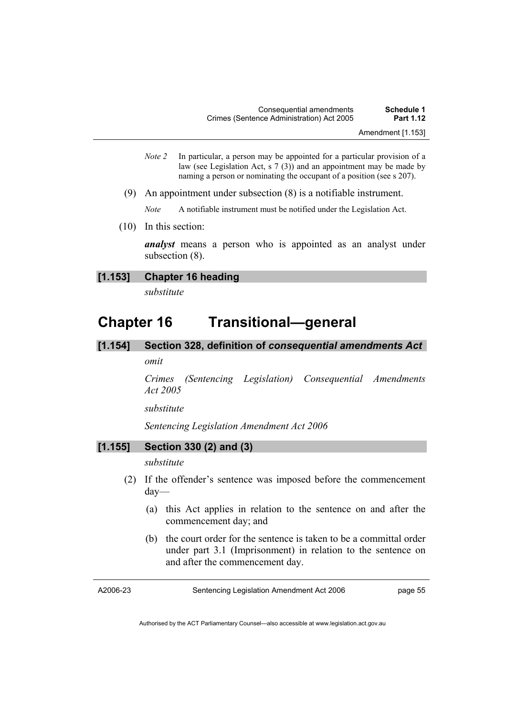- *Note 2* In particular, a person may be appointed for a particular provision of a law (see Legislation Act, s  $7(3)$ ) and an appointment may be made by naming a person or nominating the occupant of a position (see s 207).
- (9) An appointment under subsection (8) is a notifiable instrument.

*Note* A notifiable instrument must be notified under the Legislation Act.

(10) In this section:

*analyst* means a person who is appointed as an analyst under subsection (8).

**[1.153] Chapter 16 heading** 

*substitute* 

# **Chapter 16 Transitional—general**

# **[1.154] Section 328, definition of** *consequential amendments Act*

# *omit*

*Crimes (Sentencing Legislation) Consequential Amendments Act 2005* 

*substitute* 

*Sentencing Legislation Amendment Act 2006* 

# **[1.155] Section 330 (2) and (3)**

*substitute* 

- (2) If the offender's sentence was imposed before the commencement day—
	- (a) this Act applies in relation to the sentence on and after the commencement day; and
	- (b) the court order for the sentence is taken to be a committal order under part 3.1 (Imprisonment) in relation to the sentence on and after the commencement day.

A2006-23

Sentencing Legislation Amendment Act 2006

page 55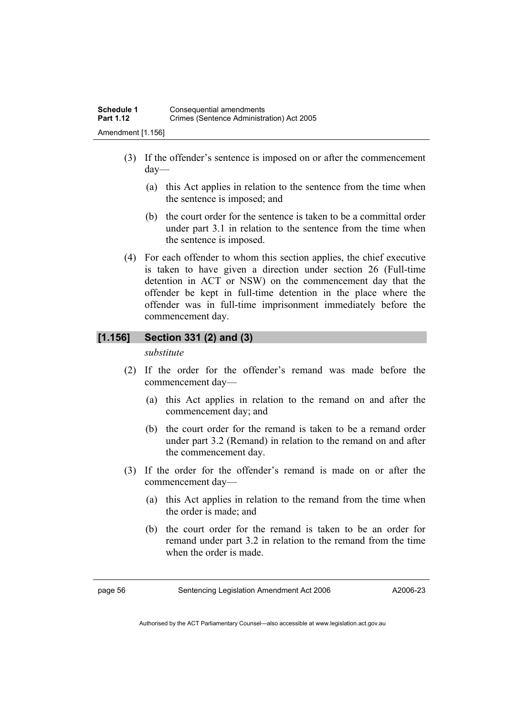- (3) If the offender's sentence is imposed on or after the commencement day—
	- (a) this Act applies in relation to the sentence from the time when the sentence is imposed; and
	- (b) the court order for the sentence is taken to be a committal order under part 3.1 in relation to the sentence from the time when the sentence is imposed.
- (4) For each offender to whom this section applies, the chief executive is taken to have given a direction under section 26 (Full-time detention in ACT or NSW) on the commencement day that the offender be kept in full-time detention in the place where the offender was in full-time imprisonment immediately before the commencement day.

# **[1.156] Section 331 (2) and (3)**

*substitute* 

- (2) If the order for the offender's remand was made before the commencement day—
	- (a) this Act applies in relation to the remand on and after the commencement day; and
	- (b) the court order for the remand is taken to be a remand order under part 3.2 (Remand) in relation to the remand on and after the commencement day.
- (3) If the order for the offender's remand is made on or after the commencement day—
	- (a) this Act applies in relation to the remand from the time when the order is made; and
	- (b) the court order for the remand is taken to be an order for remand under part 3.2 in relation to the remand from the time when the order is made.

page 56 Sentencing Legislation Amendment Act 2006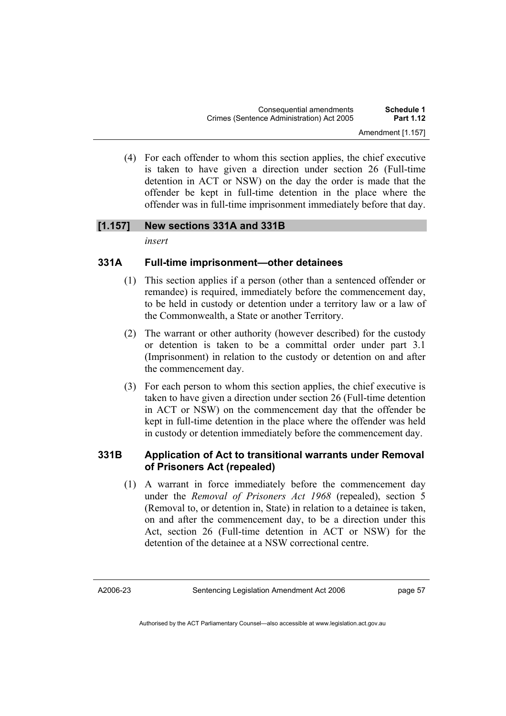(4) For each offender to whom this section applies, the chief executive is taken to have given a direction under section 26 (Full-time detention in ACT or NSW) on the day the order is made that the offender be kept in full-time detention in the place where the offender was in full-time imprisonment immediately before that day.

# **[1.157] New sections 331A and 331B**

*insert* 

# **331A Full-time imprisonment—other detainees**

- (1) This section applies if a person (other than a sentenced offender or remandee) is required, immediately before the commencement day, to be held in custody or detention under a territory law or a law of the Commonwealth, a State or another Territory.
- (2) The warrant or other authority (however described) for the custody or detention is taken to be a committal order under part 3.1 (Imprisonment) in relation to the custody or detention on and after the commencement day.
- (3) For each person to whom this section applies, the chief executive is taken to have given a direction under section 26 (Full-time detention in ACT or NSW) on the commencement day that the offender be kept in full-time detention in the place where the offender was held in custody or detention immediately before the commencement day.

# **331B Application of Act to transitional warrants under Removal of Prisoners Act (repealed)**

 (1) A warrant in force immediately before the commencement day under the *Removal of Prisoners Act 1968* (repealed), section 5 (Removal to, or detention in, State) in relation to a detainee is taken, on and after the commencement day, to be a direction under this Act, section 26 (Full-time detention in ACT or NSW) for the detention of the detainee at a NSW correctional centre.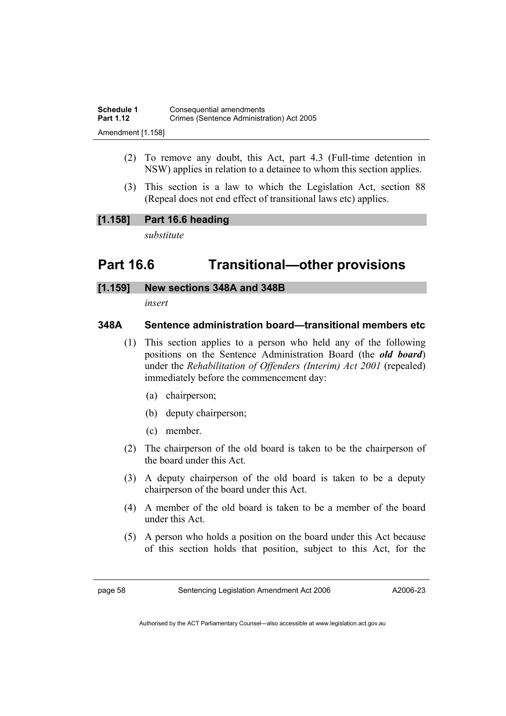- (2) To remove any doubt, this Act, part 4.3 (Full-time detention in NSW) applies in relation to a detainee to whom this section applies.
- (3) This section is a law to which the Legislation Act, section 88 (Repeal does not end effect of transitional laws etc) applies.

# **[1.158] Part 16.6 heading**

*substitute* 

# **Part 16.6 Transitional—other provisions**

# **[1.159] New sections 348A and 348B**

*insert* 

# **348A Sentence administration board—transitional members etc**

- (1) This section applies to a person who held any of the following positions on the Sentence Administration Board (the *old board*) under the *Rehabilitation of Offenders (Interim) Act 2001* (repealed) immediately before the commencement day:
	- (a) chairperson;
	- (b) deputy chairperson;
	- (c) member.
- (2) The chairperson of the old board is taken to be the chairperson of the board under this Act.
- (3) A deputy chairperson of the old board is taken to be a deputy chairperson of the board under this Act.
- (4) A member of the old board is taken to be a member of the board under this Act.
- (5) A person who holds a position on the board under this Act because of this section holds that position, subject to this Act, for the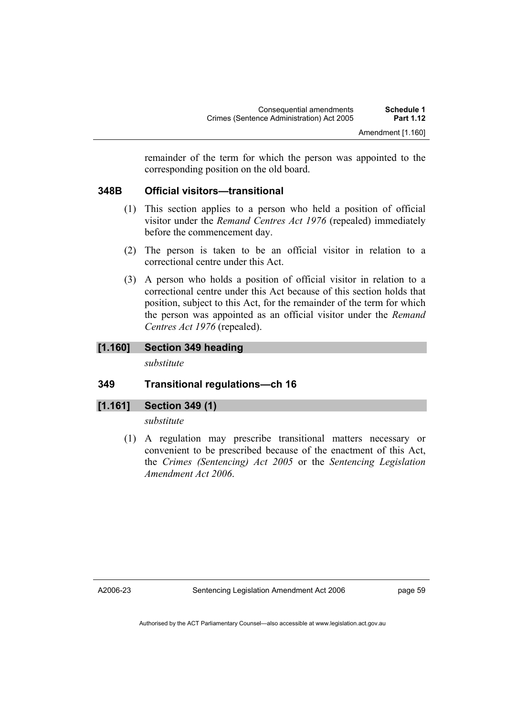remainder of the term for which the person was appointed to the corresponding position on the old board.

# **348B Official visitors—transitional**

- (1) This section applies to a person who held a position of official visitor under the *Remand Centres Act 1976* (repealed) immediately before the commencement day.
- (2) The person is taken to be an official visitor in relation to a correctional centre under this Act.
- (3) A person who holds a position of official visitor in relation to a correctional centre under this Act because of this section holds that position, subject to this Act, for the remainder of the term for which the person was appointed as an official visitor under the *Remand Centres Act 1976* (repealed).

# **[1.160] Section 349 heading**

*substitute* 

# **349 Transitional regulations—ch 16**

# **[1.161] Section 349 (1)**

*substitute* 

 (1) A regulation may prescribe transitional matters necessary or convenient to be prescribed because of the enactment of this Act, the *Crimes (Sentencing) Act 2005* or the *Sentencing Legislation Amendment Act 2006*.

A2006-23

page 59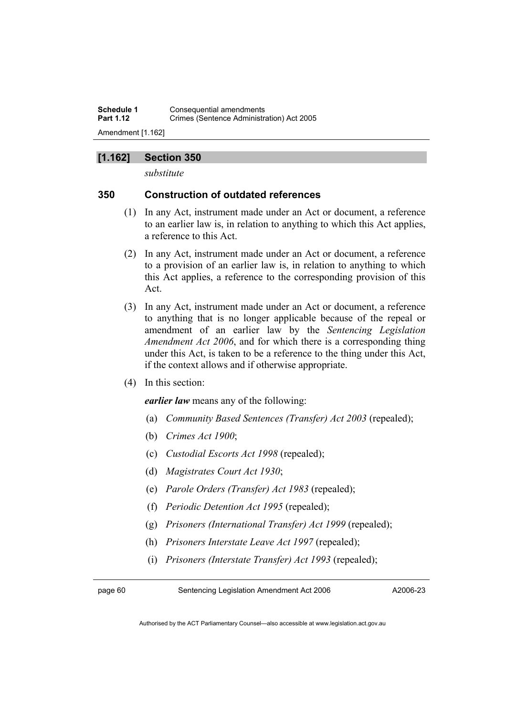**Schedule 1 Consequential amendments**<br>**Part 1.12 Crimes (Sentence Administry) Crimes (Sentence Administration) Act 2005** Amendment [1.162]

# **[1.162] Section 350**

*substitute* 

# **350 Construction of outdated references**

- (1) In any Act, instrument made under an Act or document, a reference to an earlier law is, in relation to anything to which this Act applies, a reference to this Act.
- (2) In any Act, instrument made under an Act or document, a reference to a provision of an earlier law is, in relation to anything to which this Act applies, a reference to the corresponding provision of this Act.
- (3) In any Act, instrument made under an Act or document, a reference to anything that is no longer applicable because of the repeal or amendment of an earlier law by the *Sentencing Legislation Amendment Act 2006*, and for which there is a corresponding thing under this Act, is taken to be a reference to the thing under this Act, if the context allows and if otherwise appropriate.
- (4) In this section:

*earlier law* means any of the following:

- (a) *Community Based Sentences (Transfer) Act 2003* (repealed);
- (b) *Crimes Act 1900*;
- (c) *Custodial Escorts Act 1998* (repealed);
- (d) *Magistrates Court Act 1930*;
- (e) *Parole Orders (Transfer) Act 1983* (repealed);
- (f) *Periodic Detention Act 1995* (repealed);
- (g) *Prisoners (International Transfer) Act 1999* (repealed);
- (h) *Prisoners Interstate Leave Act 1997* (repealed);
- (i) *Prisoners (Interstate Transfer) Act 1993* (repealed);

page 60 Sentencing Legislation Amendment Act 2006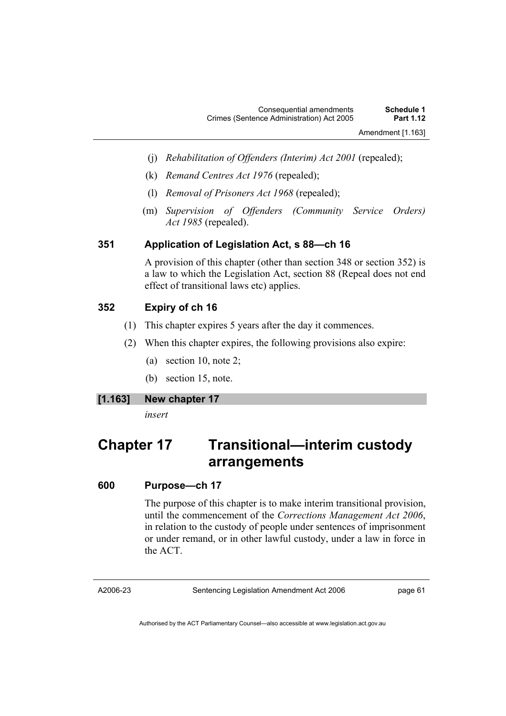- (j) *Rehabilitation of Offenders (Interim) Act 2001* (repealed);
- (k) *Remand Centres Act 1976* (repealed);
- (l) *Removal of Prisoners Act 1968* (repealed);
- (m) *Supervision of Offenders (Community Service Orders) Act 1985* (repealed).

### **351 Application of Legislation Act, s 88—ch 16**

A provision of this chapter (other than section 348 or section 352) is a law to which the Legislation Act, section 88 (Repeal does not end effect of transitional laws etc) applies.

# **352 Expiry of ch 16**

- (1) This chapter expires 5 years after the day it commences.
- (2) When this chapter expires, the following provisions also expire:
	- (a) section 10, note 2;
	- (b) section 15, note.

# **[1.163] New chapter 17**

*insert* 

# **Chapter 17 Transitional—interim custody arrangements**

**600 Purpose—ch 17** 

The purpose of this chapter is to make interim transitional provision, until the commencement of the *Corrections Management Act 2006*, in relation to the custody of people under sentences of imprisonment or under remand, or in other lawful custody, under a law in force in the ACT.

A2006-23

Sentencing Legislation Amendment Act 2006

page 61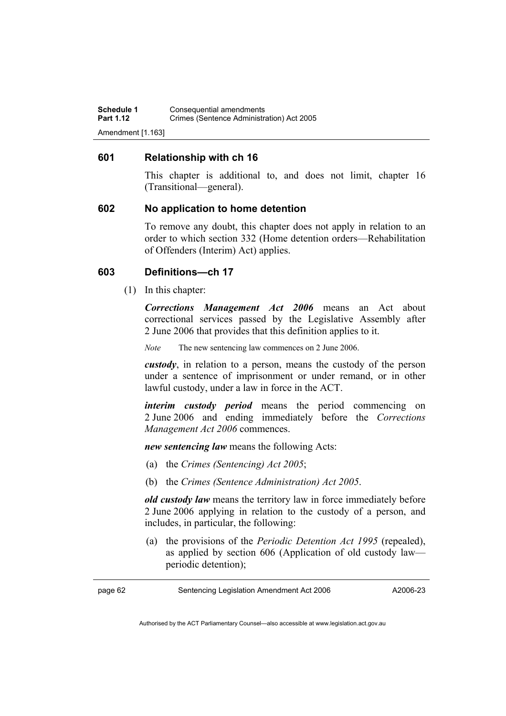**Schedule 1 Consequential amendments**<br>**Part 1.12 Crimes (Sentence Administry) Crimes (Sentence Administration) Act 2005** Amendment [1.163]

#### **601 Relationship with ch 16**

This chapter is additional to, and does not limit, chapter 16 (Transitional—general).

#### **602 No application to home detention**

To remove any doubt, this chapter does not apply in relation to an order to which section 332 (Home detention orders—Rehabilitation of Offenders (Interim) Act) applies.

#### **603 Definitions—ch 17**

(1) In this chapter:

*Corrections Management Act 2006* means an Act about correctional services passed by the Legislative Assembly after 2 June 2006 that provides that this definition applies to it.

*Note* The new sentencing law commences on 2 June 2006.

*custody*, in relation to a person, means the custody of the person under a sentence of imprisonment or under remand, or in other lawful custody, under a law in force in the ACT.

*interim custody period* means the period commencing on 2 June 2006 and ending immediately before the *Corrections Management Act 2006* commences.

*new sentencing law* means the following Acts:

- (a) the *Crimes (Sentencing) Act 2005*;
- (b) the *Crimes (Sentence Administration) Act 2005*.

*old custody law* means the territory law in force immediately before 2 June 2006 applying in relation to the custody of a person, and includes, in particular, the following:

 (a) the provisions of the *Periodic Detention Act 1995* (repealed), as applied by section 606 (Application of old custody law periodic detention);

page 62 Sentencing Legislation Amendment Act 2006

A2006-23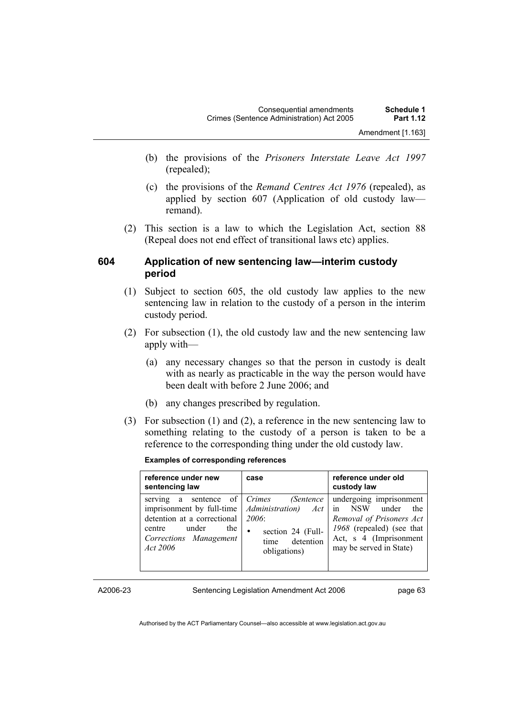- (b) the provisions of the *Prisoners Interstate Leave Act 1997*  (repealed);
- (c) the provisions of the *Remand Centres Act 1976* (repealed), as applied by section 607 (Application of old custody law remand).
- (2) This section is a law to which the Legislation Act, section 88 (Repeal does not end effect of transitional laws etc) applies.

# **604 Application of new sentencing law—interim custody period**

- (1) Subject to section 605, the old custody law applies to the new sentencing law in relation to the custody of a person in the interim custody period.
- (2) For subsection (1), the old custody law and the new sentencing law apply with—
	- (a) any necessary changes so that the person in custody is dealt with as nearly as practicable in the way the person would have been dealt with before 2 June 2006; and
	- (b) any changes prescribed by regulation.
- (3) For subsection (1) and (2), a reference in the new sentencing law to something relating to the custody of a person is taken to be a reference to the corresponding thing under the old custody law.

#### **Examples of corresponding references**

| reference under new<br>sentencing law                                                                                                                | case                                                                                                                                     | reference under old<br>custody law                                                                                                                               |
|------------------------------------------------------------------------------------------------------------------------------------------------------|------------------------------------------------------------------------------------------------------------------------------------------|------------------------------------------------------------------------------------------------------------------------------------------------------------------|
| sentence of<br>serving a<br>imprisonment by full-time<br>detention at a correctional<br>under<br>the<br>centre<br>Corrections Management<br>Act 2006 | Crimes<br>(Sentence<br><i>Administration</i> )<br>Act<br>$2006$ :<br>section 24 (Full-<br>$\bullet$<br>detention<br>time<br>obligations) | undergoing imprisonment<br>NSW under<br>the<br>in<br>Removal of Prisoners Act<br>1968 (repealed) (see that<br>Act, s 4 (Imprisonment)<br>may be served in State) |

A2006-23

Sentencing Legislation Amendment Act 2006

page 63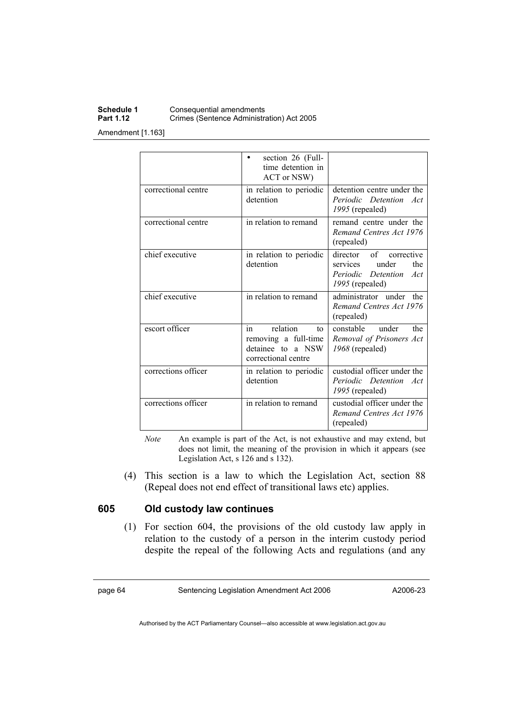# **Schedule 1 Consequential amendments**<br>**Part 1.12 Crimes (Sentence Administration Crimes (Sentence Administration) Act 2005**

Amendment [1.163]

|                     | section 26 (Full-<br>time detention in<br>ACT or NSW)                                                        |                                                                                                       |
|---------------------|--------------------------------------------------------------------------------------------------------------|-------------------------------------------------------------------------------------------------------|
| correctional centre | in relation to periodic<br>detention                                                                         | detention centre under the<br>Periodic Detention Act<br>1995 (repealed)                               |
| correctional centre | in relation to remand                                                                                        | remand centre under the<br>Remand Centres Act 1976<br>(repealed)                                      |
| chief executive     | in relation to periodic<br>detention                                                                         | director of<br>corrective<br>under<br>the<br>services<br>Periodic Detention<br>Act<br>1995 (repealed) |
| chief executive     | in relation to remand                                                                                        | administrator under the<br>Remand Centres Act 1976<br>(repealed)                                      |
| escort officer      | $\overline{\text{in}}$<br>relation<br>to<br>removing a full-time<br>detainee to a NSW<br>correctional centre | constable<br>under<br>the<br>Removal of Prisoners Act<br>$1968$ (repealed)                            |
| corrections officer | in relation to periodic<br>detention                                                                         | custodial officer under the<br>Periodic Detention<br>Act<br>1995 (repealed)                           |
| corrections officer | in relation to remand                                                                                        | custodial officer under the<br>Remand Centres Act 1976<br>(repealed)                                  |

*Note* An example is part of the Act, is not exhaustive and may extend, but does not limit, the meaning of the provision in which it appears (see Legislation Act, s 126 and s 132).

 (4) This section is a law to which the Legislation Act, section 88 (Repeal does not end effect of transitional laws etc) applies.

# **605 Old custody law continues**

 (1) For section 604, the provisions of the old custody law apply in relation to the custody of a person in the interim custody period despite the repeal of the following Acts and regulations (and any

page 64 Sentencing Legislation Amendment Act 2006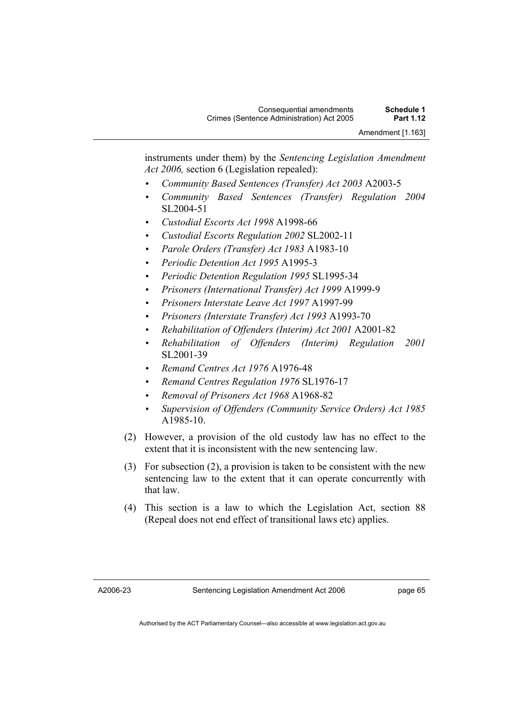instruments under them) by the *Sentencing Legislation Amendment Act 2006,* section 6 (Legislation repealed):

- *Community Based Sentences (Transfer) Act 2003* A2003-5
- *Community Based Sentences (Transfer) Regulation 2004* SL2004-51
- *Custodial Escorts Act 1998* A1998-66
- *Custodial Escorts Regulation 2002* SL2002-11
- *Parole Orders (Transfer) Act 1983* A1983-10
- *Periodic Detention Act 1995* A1995-3
- *Periodic Detention Regulation 1995* SL1995-34
- *Prisoners (International Transfer) Act 1999* A1999-9
- *Prisoners Interstate Leave Act 1997* A1997-99
- *Prisoners (Interstate Transfer) Act 1993* A1993-70
- *Rehabilitation of Offenders (Interim) Act 2001* A2001-82
- *Rehabilitation of Offenders (Interim) Regulation 2001* SL2001-39
- *Remand Centres Act 1976* A1976-48
- *Remand Centres Regulation 1976* SL1976-17
- *Removal of Prisoners Act 1968* A1968-82
- *Supervision of Offenders (Community Service Orders) Act 1985* A1985-10.
- (2) However, a provision of the old custody law has no effect to the extent that it is inconsistent with the new sentencing law.
- (3) For subsection (2), a provision is taken to be consistent with the new sentencing law to the extent that it can operate concurrently with that law.
- (4) This section is a law to which the Legislation Act, section 88 (Repeal does not end effect of transitional laws etc) applies.

A2006-23

page 65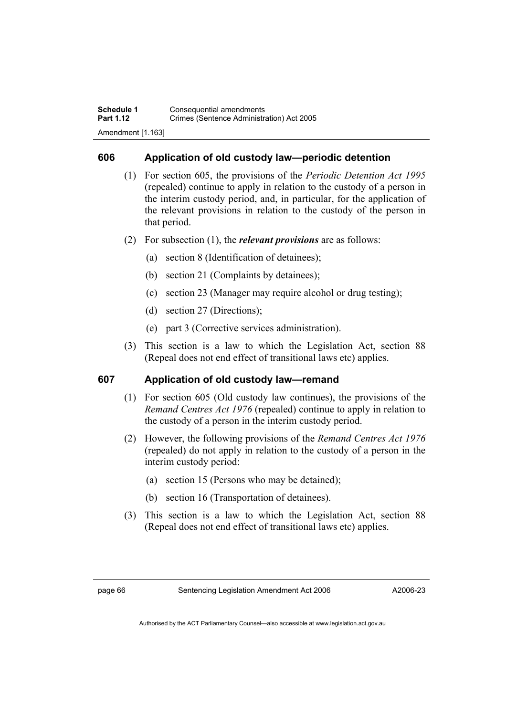# **606 Application of old custody law—periodic detention**

- (1) For section 605, the provisions of the *Periodic Detention Act 1995*  (repealed) continue to apply in relation to the custody of a person in the interim custody period, and, in particular, for the application of the relevant provisions in relation to the custody of the person in that period.
- (2) For subsection (1), the *relevant provisions* are as follows:
	- (a) section 8 (Identification of detainees);
	- (b) section 21 (Complaints by detainees);
	- (c) section 23 (Manager may require alcohol or drug testing);
	- (d) section 27 (Directions);
	- (e) part 3 (Corrective services administration).
- (3) This section is a law to which the Legislation Act, section 88 (Repeal does not end effect of transitional laws etc) applies.

# **607 Application of old custody law—remand**

- (1) For section 605 (Old custody law continues), the provisions of the *Remand Centres Act 1976* (repealed) continue to apply in relation to the custody of a person in the interim custody period.
- (2) However, the following provisions of the *Remand Centres Act 1976*  (repealed) do not apply in relation to the custody of a person in the interim custody period:
	- (a) section 15 (Persons who may be detained);
	- (b) section 16 (Transportation of detainees).
- (3) This section is a law to which the Legislation Act, section 88 (Repeal does not end effect of transitional laws etc) applies.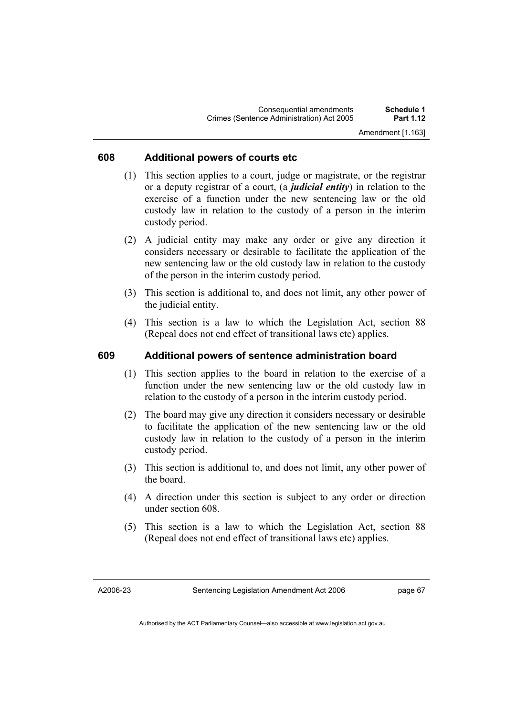# **608 Additional powers of courts etc**

- (1) This section applies to a court, judge or magistrate, or the registrar or a deputy registrar of a court, (a *judicial entity*) in relation to the exercise of a function under the new sentencing law or the old custody law in relation to the custody of a person in the interim custody period.
- (2) A judicial entity may make any order or give any direction it considers necessary or desirable to facilitate the application of the new sentencing law or the old custody law in relation to the custody of the person in the interim custody period.
- (3) This section is additional to, and does not limit, any other power of the judicial entity.
- (4) This section is a law to which the Legislation Act, section 88 (Repeal does not end effect of transitional laws etc) applies.

# **609 Additional powers of sentence administration board**

- (1) This section applies to the board in relation to the exercise of a function under the new sentencing law or the old custody law in relation to the custody of a person in the interim custody period.
- (2) The board may give any direction it considers necessary or desirable to facilitate the application of the new sentencing law or the old custody law in relation to the custody of a person in the interim custody period.
- (3) This section is additional to, and does not limit, any other power of the board.
- (4) A direction under this section is subject to any order or direction under section 608.
- (5) This section is a law to which the Legislation Act, section 88 (Repeal does not end effect of transitional laws etc) applies.

A2006-23

page 67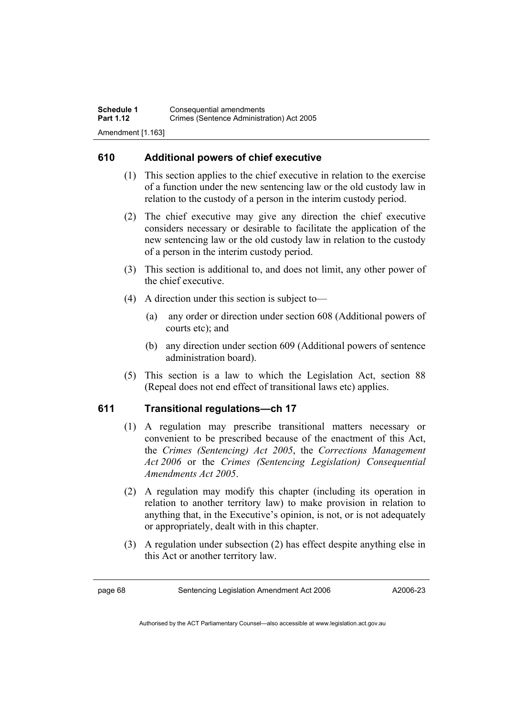# **610 Additional powers of chief executive**

- (1) This section applies to the chief executive in relation to the exercise of a function under the new sentencing law or the old custody law in relation to the custody of a person in the interim custody period.
- (2) The chief executive may give any direction the chief executive considers necessary or desirable to facilitate the application of the new sentencing law or the old custody law in relation to the custody of a person in the interim custody period.
- (3) This section is additional to, and does not limit, any other power of the chief executive.
- (4) A direction under this section is subject to—
	- (a) any order or direction under section 608 (Additional powers of courts etc); and
	- (b) any direction under section 609 (Additional powers of sentence administration board).
- (5) This section is a law to which the Legislation Act, section 88 (Repeal does not end effect of transitional laws etc) applies.

# **611 Transitional regulations—ch 17**

- (1) A regulation may prescribe transitional matters necessary or convenient to be prescribed because of the enactment of this Act, the *Crimes (Sentencing) Act 2005*, the *Corrections Management Act 2006* or the *Crimes (Sentencing Legislation) Consequential Amendments Act 2005*.
- (2) A regulation may modify this chapter (including its operation in relation to another territory law) to make provision in relation to anything that, in the Executive's opinion, is not, or is not adequately or appropriately, dealt with in this chapter.
- (3) A regulation under subsection (2) has effect despite anything else in this Act or another territory law.

page 68 Sentencing Legislation Amendment Act 2006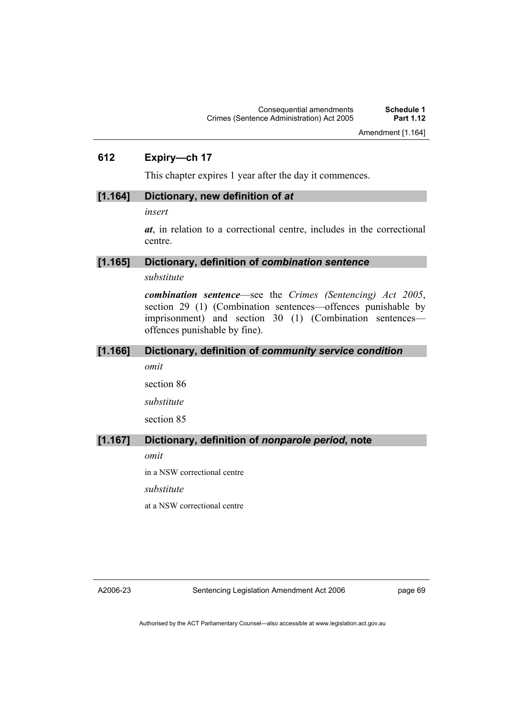### **612 Expiry—ch 17**

This chapter expires 1 year after the day it commences.

#### **[1.164] Dictionary, new definition of** *at*

*insert* 

*at*, in relation to a correctional centre, includes in the correctional centre.

#### **[1.165] Dictionary, definition of** *combination sentence*

#### *substitute*

*combination sentence*—see the *Crimes (Sentencing) Act 2005*, section 29 (1) (Combination sentences—offences punishable by imprisonment) and section 30 (1) (Combination sentences offences punishable by fine).

#### **[1.166] Dictionary, definition of** *community service condition*

*omit* 

section 86

*substitute* 

section 85

#### **[1.167] Dictionary, definition of** *nonparole period***, note**

*omit* 

in a NSW correctional centre

*substitute* 

at a NSW correctional centre

A2006-23

Sentencing Legislation Amendment Act 2006

page 69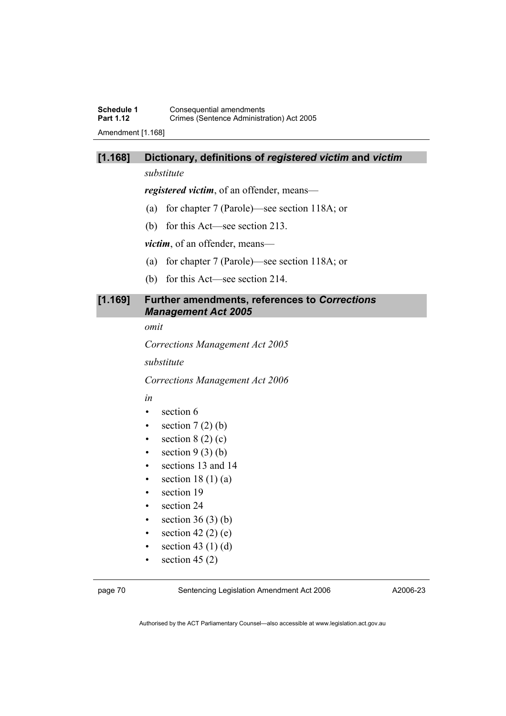## **[1.168] Dictionary, definitions of** *registered victim* **and** *victim*

*substitute* 

*registered victim*, of an offender, means—

- (a) for chapter 7 (Parole)—see section 118A; or
- (b) for this Act—see section 213.

*victim*, of an offender, means—

- (a) for chapter 7 (Parole)—see section 118A; or
- (b) for this Act—see section 214.

## **[1.169] Further amendments, references to** *Corrections Management Act 2005*

*omit* 

*Corrections Management Act 2005* 

*substitute* 

*Corrections Management Act 2006* 

*in* 

- section 6
- section  $7(2)(b)$
- section  $8(2)(c)$
- section  $9(3)(b)$
- sections 13 and 14
- section  $18(1)(a)$
- section 19
- section 24
- section  $36(3)(b)$
- section 42 $(2)$  $(e)$
- section 43 $(1)$  $(d)$
- section  $45(2)$

page 70 Sentencing Legislation Amendment Act 2006

A2006-23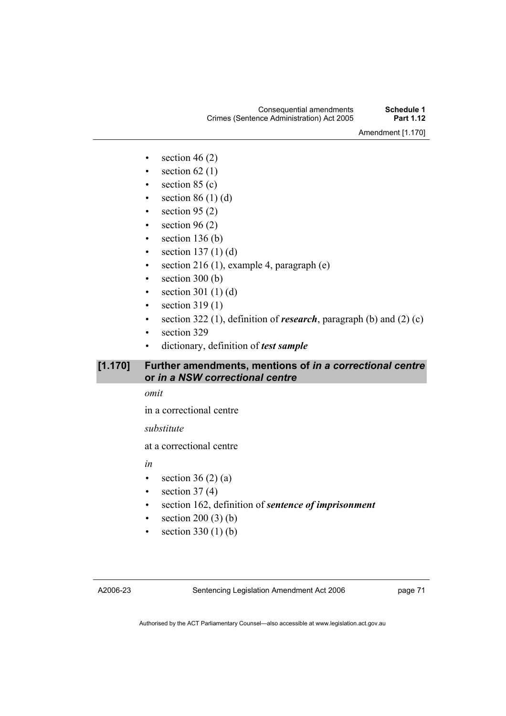- section  $46(2)$
- section  $62(1)$
- $\bullet$  section 85 (c)
- section  $86(1)(d)$
- section  $95(2)$
- section  $96(2)$
- $\bullet$  section 136 (b)
- section  $137(1)(d)$
- section  $216(1)$ , example 4, paragraph (e)
- $\bullet$  section 300 (b)
- section 301 $(1)$  $(d)$
- section  $319(1)$
- section 322 (1), definition of *research*, paragraph (b) and (2) (c)
- section 329
- dictionary, definition of *test sample*

## **[1.170] Further amendments, mentions of** *in a correctional centre*  **or** *in a NSW correctional centre*

*omit* 

in a correctional centre

*substitute* 

at a correctional centre

*in* 

- section  $36(2)(a)$
- section  $37(4)$
- section 162, definition of *sentence of imprisonment*
- section  $200(3)(b)$
- section  $330(1)(b)$

page 71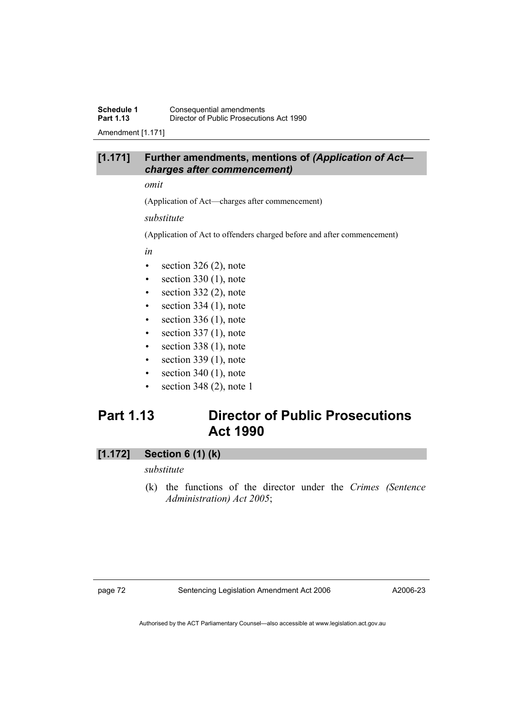**Schedule 1 Consequential amendments**<br>**Part 1.13 Director of Public Prosecution Director of Public Prosecutions Act 1990** 

Amendment [1.171]

## **[1.171] Further amendments, mentions of** *(Application of Act charges after commencement)*

*omit* 

(Application of Act—charges after commencement)

*substitute* 

(Application of Act to offenders charged before and after commencement)

*in* 

- $\bullet$  section 326 (2), note
- $\bullet$  section 330 (1), note
- $\bullet$  section 332 (2), note
- section  $334(1)$ , note
- $\bullet$  section 336 (1), note
- $\bullet$  section 337 (1), note
- section  $338(1)$ , note
- $\bullet$  section 339 (1), note
- $\bullet$  section 340 (1), note
- section 348  $(2)$ , note 1

## **Part 1.13 Director of Public Prosecutions Act 1990**

## **[1.172] Section 6 (1) (k)**

#### *substitute*

 (k) the functions of the director under the *Crimes (Sentence Administration) Act 2005*;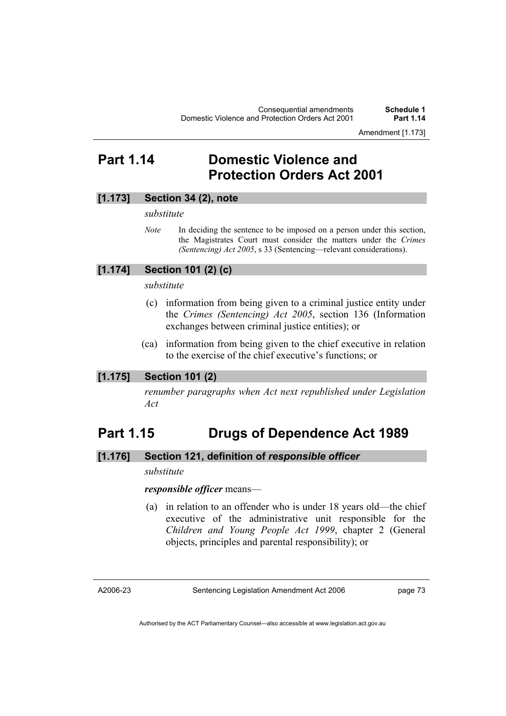Amendment [1.173]

## **Part 1.14 Domestic Violence and Protection Orders Act 2001**

## **[1.173] Section 34 (2), note**

#### *substitute*

*Note* In deciding the sentence to be imposed on a person under this section, the Magistrates Court must consider the matters under the *Crimes (Sentencing) Act 2005*, s 33 (Sentencing—relevant considerations).

## **[1.174] Section 101 (2) (c)**

#### *substitute*

- (c) information from being given to a criminal justice entity under the *Crimes (Sentencing) Act 2005*, section 136 (Information exchanges between criminal justice entities); or
- (ca) information from being given to the chief executive in relation to the exercise of the chief executive's functions; or

## **[1.175] Section 101 (2)**

*renumber paragraphs when Act next republished under Legislation Act* 

## **Part 1.15 Drugs of Dependence Act 1989**

## **[1.176] Section 121, definition of** *responsible officer*

#### *substitute*

*responsible officer* means—

 (a) in relation to an offender who is under 18 years old—the chief executive of the administrative unit responsible for the *Children and Young People Act 1999*, chapter 2 (General objects, principles and parental responsibility); or

A2006-23

Sentencing Legislation Amendment Act 2006

page 73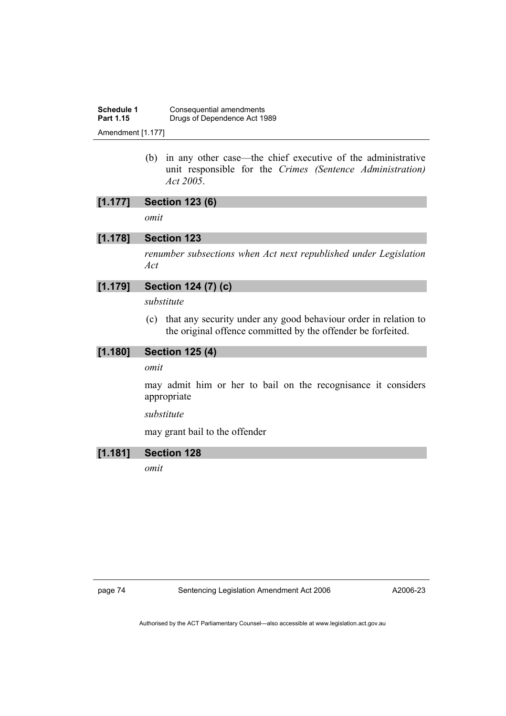**Schedule 1 Consequential amendments**<br>**Part 1.15 Drugs of Dependence Act 19 Prugs of Dependence Act 1989** Amendment [1.177]

> (b) in any other case—the chief executive of the administrative unit responsible for the *Crimes (Sentence Administration) Act 2005*.

## **[1.177] Section 123 (6)**

*omit* 

## **[1.178] Section 123**

*renumber subsections when Act next republished under Legislation Act* 

## **[1.179] Section 124 (7) (c)**

*substitute* 

 (c) that any security under any good behaviour order in relation to the original offence committed by the offender be forfeited.

## **[1.180] Section 125 (4)**

*omit* 

may admit him or her to bail on the recognisance it considers appropriate

#### *substitute*

may grant bail to the offender

## **[1.181] Section 128**

*omit*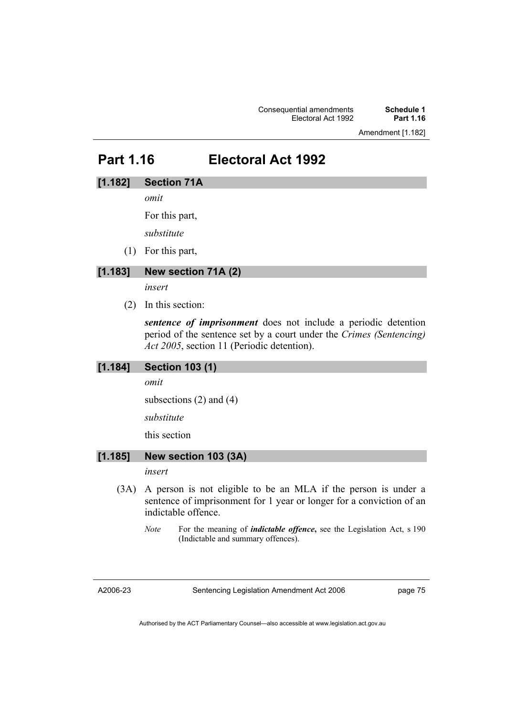Amendment [1.182]

## **Part 1.16 Electoral Act 1992**

## **[1.182] Section 71A**

*omit* 

For this part,

*substitute* 

(1) For this part,

## **[1.183] New section 71A (2)**

#### *insert*

(2) In this section:

*sentence of imprisonment* does not include a periodic detention period of the sentence set by a court under the *Crimes (Sentencing) Act 2005*, section 11 (Periodic detention).

## **[1.184] Section 103 (1)**

*omit* 

subsections (2) and (4)

*substitute* 

this section

## **[1.185] New section 103 (3A)**

*insert* 

- (3A) A person is not eligible to be an MLA if the person is under a sentence of imprisonment for 1 year or longer for a conviction of an indictable offence.
	- *Note* For the meaning of *indictable offence*, see the Legislation Act, s 190 (Indictable and summary offences).

A2006-23

Sentencing Legislation Amendment Act 2006

page 75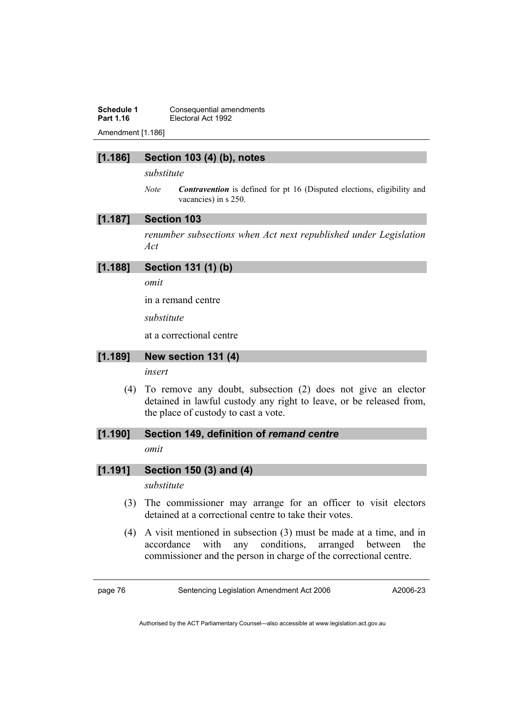**Schedule 1 Consequential amendments**<br>**Part 1.16 Electoral Act 1992 Electoral Act 1992** 

Amendment [1.186]

#### **[1.186] Section 103 (4) (b), notes**

*substitute* 

*Note Contravention* is defined for pt 16 (Disputed elections, eligibility and vacancies) in s 250.

## **[1.187] Section 103**

*renumber subsections when Act next republished under Legislation Act* 

## **[1.188] Section 131 (1) (b)**

*omit* 

in a remand centre

*substitute* 

at a correctional centre

#### **[1.189] New section 131 (4)**

*insert* 

 (4) To remove any doubt, subsection (2) does not give an elector detained in lawful custody any right to leave, or be released from, the place of custody to cast a vote.

## **[1.190] Section 149, definition of** *remand centre*

*omit* 

### **[1.191] Section 150 (3) and (4)**

*substitute* 

- (3) The commissioner may arrange for an officer to visit electors detained at a correctional centre to take their votes.
- (4) A visit mentioned in subsection (3) must be made at a time, and in accordance with any conditions, arranged between the commissioner and the person in charge of the correctional centre.

page 76 Sentencing Legislation Amendment Act 2006

A2006-23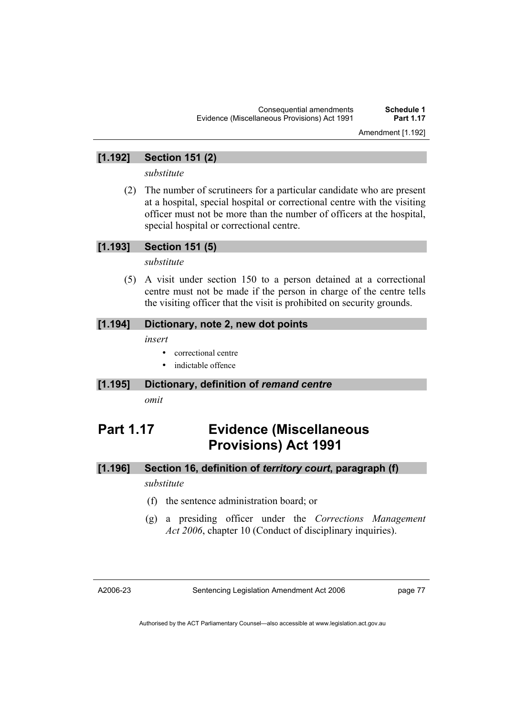Amendment [1.192]

## **[1.192] Section 151 (2)**

*substitute* 

 (2) The number of scrutineers for a particular candidate who are present at a hospital, special hospital or correctional centre with the visiting officer must not be more than the number of officers at the hospital, special hospital or correctional centre.

## **[1.193] Section 151 (5)**

*substitute* 

 (5) A visit under section 150 to a person detained at a correctional centre must not be made if the person in charge of the centre tells the visiting officer that the visit is prohibited on security grounds.

#### **[1.194] Dictionary, note 2, new dot points**

*insert* 

- correctional centre
- indictable offence
- **[1.195] Dictionary, definition of** *remand centre*

*omit* 

## **Part 1.17 Evidence (Miscellaneous Provisions) Act 1991**

## **[1.196] Section 16, definition of** *territory court***, paragraph (f)**

*substitute* 

- (f) the sentence administration board; or
- (g) a presiding officer under the *Corrections Management Act 2006*, chapter 10 (Conduct of disciplinary inquiries).

A2006-23

Sentencing Legislation Amendment Act 2006

page 77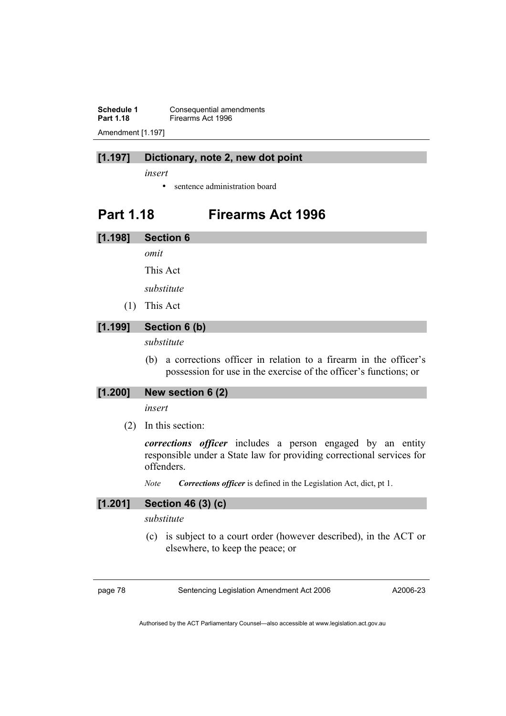**Schedule 1 Consequential amendments**<br>**Part 1.18 Expanse Except** Firearms Act 1996 **Firearms Act 1996** Amendment [1.197]

#### **[1.197] Dictionary, note 2, new dot point**

*insert* 

• sentence administration board

## **Part 1.18 Firearms Act 1996**

**[1.198] Section 6** 

*omit* 

This Act

*substitute* 

(1) This Act

## **[1.199] Section 6 (b)**

*substitute* 

 (b) a corrections officer in relation to a firearm in the officer's possession for use in the exercise of the officer's functions; or

## **[1.200] New section 6 (2)**

*insert* 

(2) In this section:

*corrections officer* includes a person engaged by an entity responsible under a State law for providing correctional services for offenders.

*Note Corrections officer* is defined in the Legislation Act, dict, pt 1.

## **[1.201] Section 46 (3) (c)**

*substitute* 

 (c) is subject to a court order (however described), in the ACT or elsewhere, to keep the peace; or

page 78 Sentencing Legislation Amendment Act 2006

A2006-23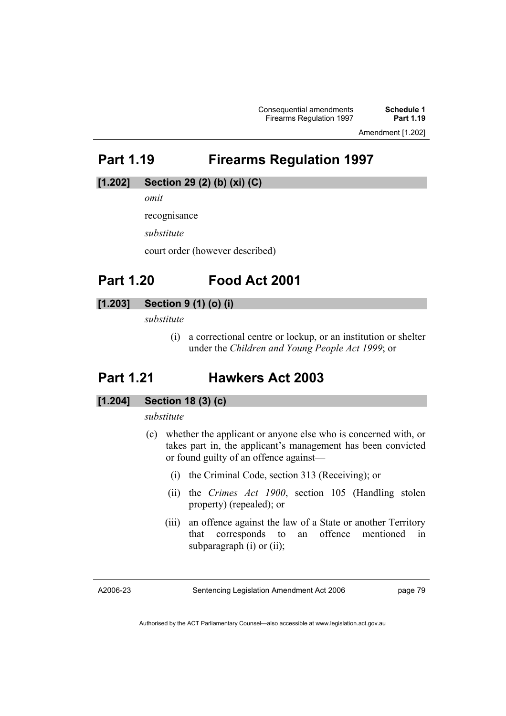## **Part 1.19 Firearms Regulation 1997**

## **[1.202] Section 29 (2) (b) (xi) (C)**

*omit* 

recognisance

*substitute* 

court order (however described)

## **Part 1.20 Food Act 2001**

## **[1.203] Section 9 (1) (o) (i)**

*substitute* 

 (i) a correctional centre or lockup, or an institution or shelter under the *Children and Young People Act 1999*; or

## **Part 1.21 Hawkers Act 2003**

## **[1.204] Section 18 (3) (c)**

#### *substitute*

- (c) whether the applicant or anyone else who is concerned with, or takes part in, the applicant's management has been convicted or found guilty of an offence against—
	- (i) the Criminal Code, section 313 (Receiving); or
	- (ii) the *Crimes Act 1900*, section 105 (Handling stolen property) (repealed); or
	- (iii) an offence against the law of a State or another Territory that corresponds to an offence mentioned in subparagraph (i) or (ii);

A2006-23

Sentencing Legislation Amendment Act 2006

page 79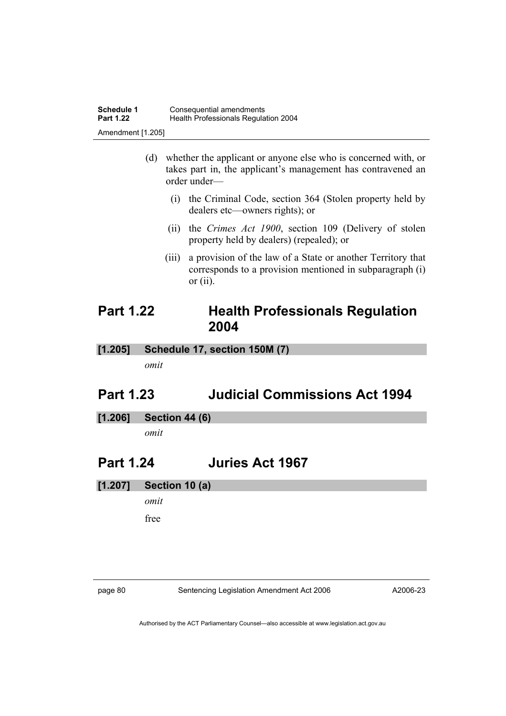- (d) whether the applicant or anyone else who is concerned with, or takes part in, the applicant's management has contravened an order under—
	- (i) the Criminal Code, section 364 (Stolen property held by dealers etc—owners rights); or
	- (ii) the *Crimes Act 1900*, section 109 (Delivery of stolen property held by dealers) (repealed); or
	- (iii) a provision of the law of a State or another Territory that corresponds to a provision mentioned in subparagraph (i) or  $(ii)$ .

## **Part 1.22 Health Professionals Regulation 2004**

# **[1.205] Schedule 17, section 150M (7)**

*omit* 

## **Part 1.23 Judicial Commissions Act 1994**

## **[1.206] Section 44 (6)**

*omit* 

## **Part 1.24 Juries Act 1967**

**[1.207] Section 10 (a)** 

*omit* 

free

page 80 Sentencing Legislation Amendment Act 2006

A2006-23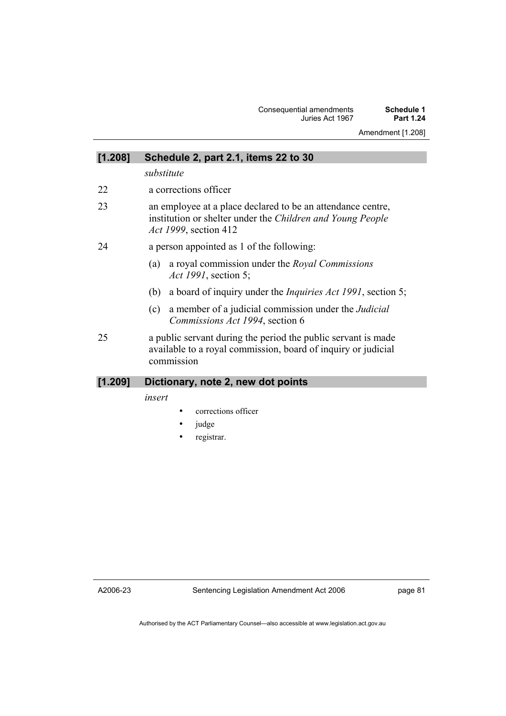| [1.208] | Schedule 2, part 2.1, items 22 to 30                                                                                                                       |
|---------|------------------------------------------------------------------------------------------------------------------------------------------------------------|
|         | substitute                                                                                                                                                 |
| 22      | a corrections officer                                                                                                                                      |
| 23      | an employee at a place declared to be an attendance centre,<br>institution or shelter under the Children and Young People<br><i>Act 1999</i> , section 412 |
| 24      | a person appointed as 1 of the following:                                                                                                                  |
|         | a royal commission under the <i>Royal Commissions</i><br>(a)<br>Act 1991, section 5;                                                                       |
|         | a board of inquiry under the <i>Inquiries Act 1991</i> , section 5;<br>(b)                                                                                 |
|         | a member of a judicial commission under the <i>Judicial</i><br>(c)<br>Commissions Act 1994, section 6                                                      |
| 25      | a public servant during the period the public servant is made<br>available to a royal commission, board of inquiry or judicial<br>commission               |
| [1.209] | Dictionary, note 2, new dot points                                                                                                                         |
|         | insert                                                                                                                                                     |

- corrections officer
- judge
- registrar.

A2006-23

page 81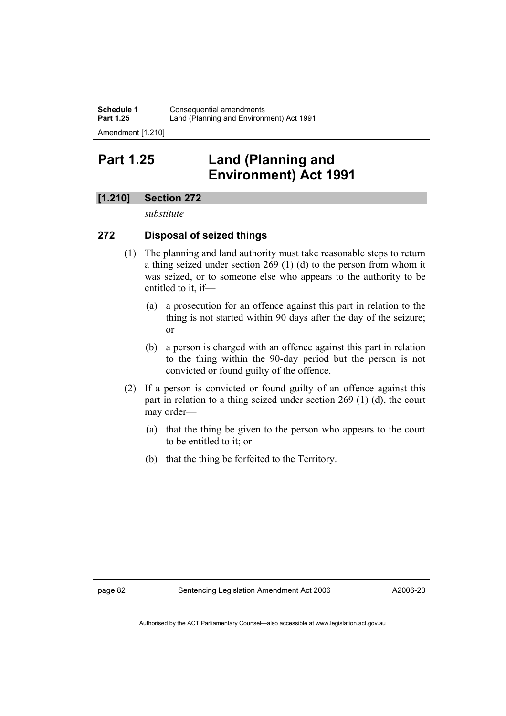**Schedule 1 Consequential amendments**<br>**Part 1.25 Land (Planning and Environi Part 1.25** Land (Planning and Environment) Act 1991

Amendment [1.210]

## **Part 1.25 Land (Planning and Environment) Act 1991**

## **[1.210] Section 272**

*substitute* 

## **272 Disposal of seized things**

- (1) The planning and land authority must take reasonable steps to return a thing seized under section 269 (1) (d) to the person from whom it was seized, or to someone else who appears to the authority to be entitled to it, if—
	- (a) a prosecution for an offence against this part in relation to the thing is not started within 90 days after the day of the seizure; or
	- (b) a person is charged with an offence against this part in relation to the thing within the 90-day period but the person is not convicted or found guilty of the offence.
- (2) If a person is convicted or found guilty of an offence against this part in relation to a thing seized under section 269 (1) (d), the court may order—
	- (a) that the thing be given to the person who appears to the court to be entitled to it; or
	- (b) that the thing be forfeited to the Territory.

A2006-23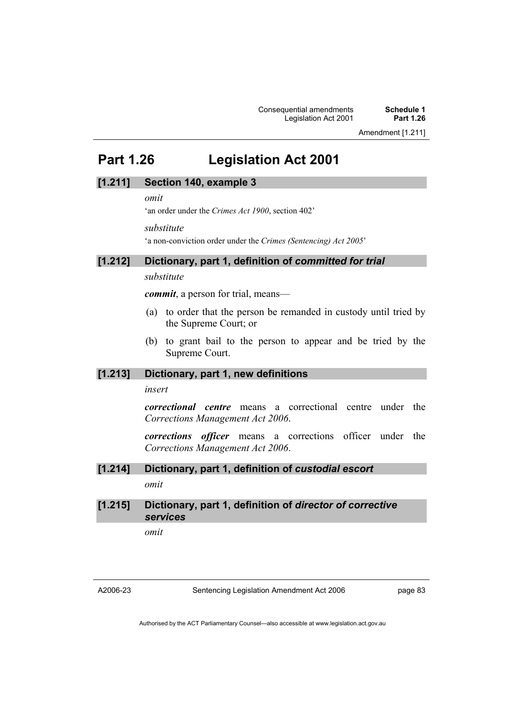Amendment [1.211]

## **Part 1.26 Legislation Act 2001**

#### **[1.211] Section 140, example 3**

#### *omit*

'an order under the *Crimes Act 1900*, section 402'

*substitute* 

'a non-conviction order under the *Crimes (Sentencing) Act 2005*'

#### **[1.212] Dictionary, part 1, definition of** *committed for trial*

#### *substitute*

*commit*, a person for trial, means—

- (a) to order that the person be remanded in custody until tried by the Supreme Court; or
- (b) to grant bail to the person to appear and be tried by the Supreme Court.

## **[1.213] Dictionary, part 1, new definitions**

#### *insert*

*correctional centre* means a correctional centre under the *Corrections Management Act 2006*.

*corrections officer* means a corrections officer under the *Corrections Management Act 2006*.

#### **[1.214] Dictionary, part 1, definition of** *custodial escort*

*omit* 

**[1.215] Dictionary, part 1, definition of** *director of corrective services*

*omit* 

A2006-23

page 83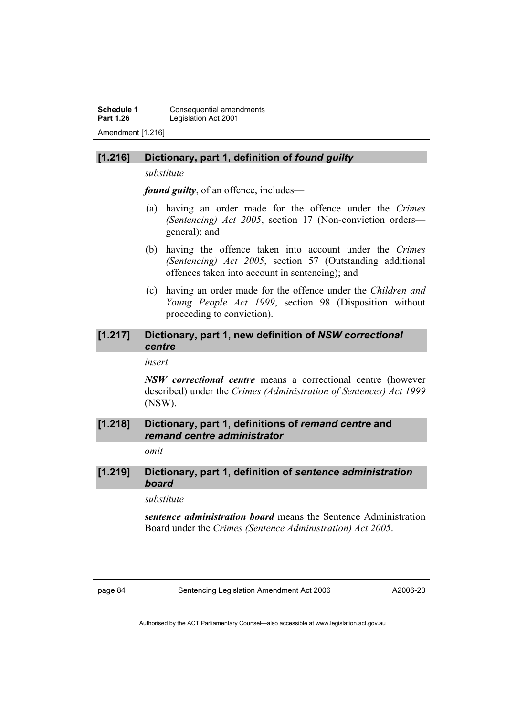**Schedule 1 Consequential amendments**<br>**Part 1.26 Legislation Act 2001** Legislation Act 2001 Amendment [1.216]

## **[1.216] Dictionary, part 1, definition of** *found guilty*

*substitute* 

*found guilty*, of an offence, includes—

- (a) having an order made for the offence under the *Crimes (Sentencing) Act 2005*, section 17 (Non-conviction orders general); and
- (b) having the offence taken into account under the *Crimes (Sentencing) Act 2005*, section 57 (Outstanding additional offences taken into account in sentencing); and
- (c) having an order made for the offence under the *Children and Young People Act 1999*, section 98 (Disposition without proceeding to conviction).

## **[1.217] Dictionary, part 1, new definition of** *NSW correctional centre*

#### *insert*

*NSW correctional centre* means a correctional centre (however described) under the *Crimes (Administration of Sentences) Act 1999* (NSW).

## **[1.218] Dictionary, part 1, definitions of** *remand centre* **and**  *remand centre administrator*

*omit* 

## **[1.219] Dictionary, part 1, definition of** *sentence administration board*

#### *substitute*

*sentence administration board* means the Sentence Administration Board under the *Crimes (Sentence Administration) Act 2005*.

page 84 Sentencing Legislation Amendment Act 2006

A2006-23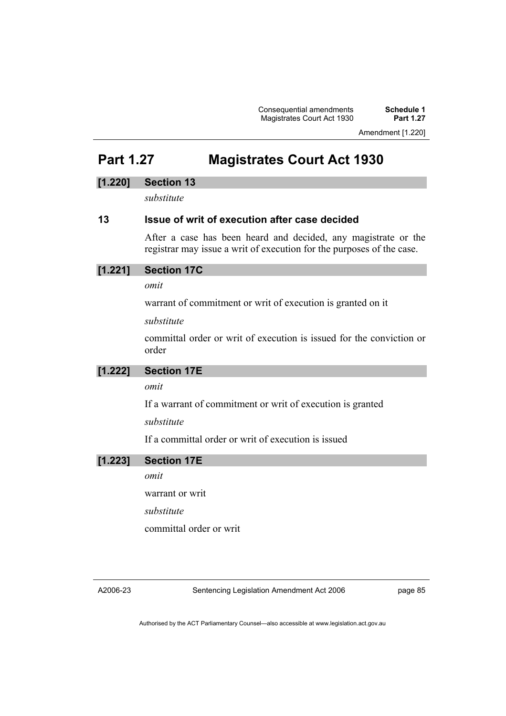## **Part 1.27 Magistrates Court Act 1930**

## **[1.220] Section 13**

*substitute* 

## **13 Issue of writ of execution after case decided**

After a case has been heard and decided, any magistrate or the registrar may issue a writ of execution for the purposes of the case.

## **[1.221] Section 17C**

*omit* 

warrant of commitment or writ of execution is granted on it

*substitute* 

committal order or writ of execution is issued for the conviction or order

## **[1.222] Section 17E**

*omit* 

If a warrant of commitment or writ of execution is granted

*substitute* 

If a committal order or writ of execution is issued

| $[1.223]$ | <b>Section 17E</b> |
|-----------|--------------------|
|-----------|--------------------|

*omit* 

warrant or writ

*substitute* 

committal order or writ

A2006-23

Sentencing Legislation Amendment Act 2006

page 85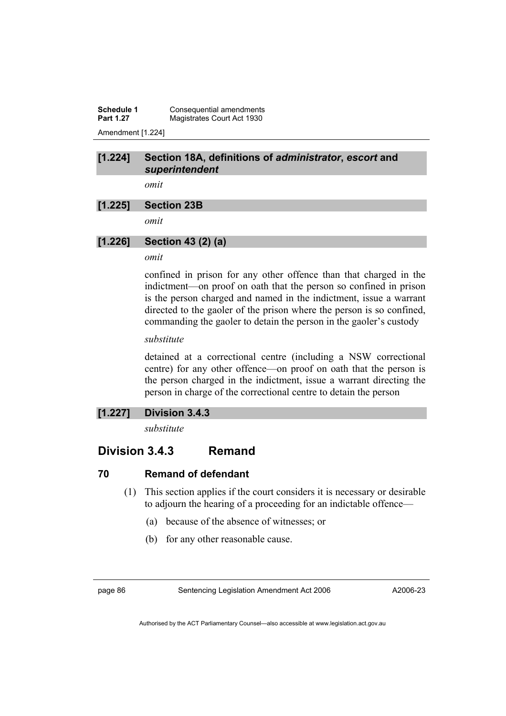**Schedule 1 Consequential amendments**<br>**Part 1.27 Magistrates Court Act 1930 Magistrates Court Act 1930** Amendment [1.224]

## **[1.224] Section 18A, definitions of** *administrator***,** *escort* **and**  *superintendent*

*omit* 

## **[1.225] Section 23B**

*omit* 

## **[1.226] Section 43 (2) (a)**

## *omit*

confined in prison for any other offence than that charged in the indictment—on proof on oath that the person so confined in prison is the person charged and named in the indictment, issue a warrant directed to the gaoler of the prison where the person is so confined, commanding the gaoler to detain the person in the gaoler's custody

#### *substitute*

detained at a correctional centre (including a NSW correctional centre) for any other offence—on proof on oath that the person is the person charged in the indictment, issue a warrant directing the person in charge of the correctional centre to detain the person

## **[1.227] Division 3.4.3**

*substitute* 

## **Division 3.4.3 Remand**

## **70 Remand of defendant**

- (1) This section applies if the court considers it is necessary or desirable to adjourn the hearing of a proceeding for an indictable offence—
	- (a) because of the absence of witnesses; or
	- (b) for any other reasonable cause.

page 86 Sentencing Legislation Amendment Act 2006

A2006-23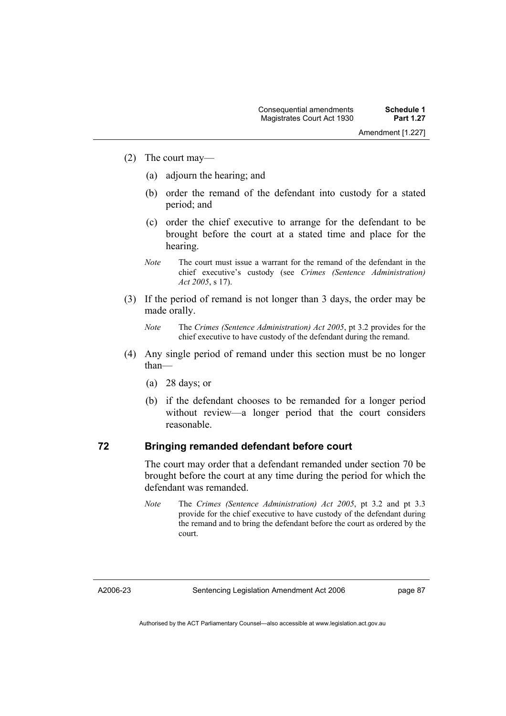Amendment [1.227]

- (2) The court may—
	- (a) adjourn the hearing; and
	- (b) order the remand of the defendant into custody for a stated period; and
	- (c) order the chief executive to arrange for the defendant to be brought before the court at a stated time and place for the hearing.
	- *Note* The court must issue a warrant for the remand of the defendant in the chief executive's custody (see *Crimes (Sentence Administration) Act 2005*, s 17).
- (3) If the period of remand is not longer than 3 days, the order may be made orally.
	- *Note* The *Crimes (Sentence Administration) Act 2005*, pt 3.2 provides for the chief executive to have custody of the defendant during the remand.
- (4) Any single period of remand under this section must be no longer than—
	- (a) 28 days; or
	- (b) if the defendant chooses to be remanded for a longer period without review—a longer period that the court considers reasonable.

#### **72 Bringing remanded defendant before court**

The court may order that a defendant remanded under section 70 be brought before the court at any time during the period for which the defendant was remanded.

*Note* The *Crimes (Sentence Administration) Act 2005*, pt 3.2 and pt 3.3 provide for the chief executive to have custody of the defendant during the remand and to bring the defendant before the court as ordered by the court.

A2006-23

page 87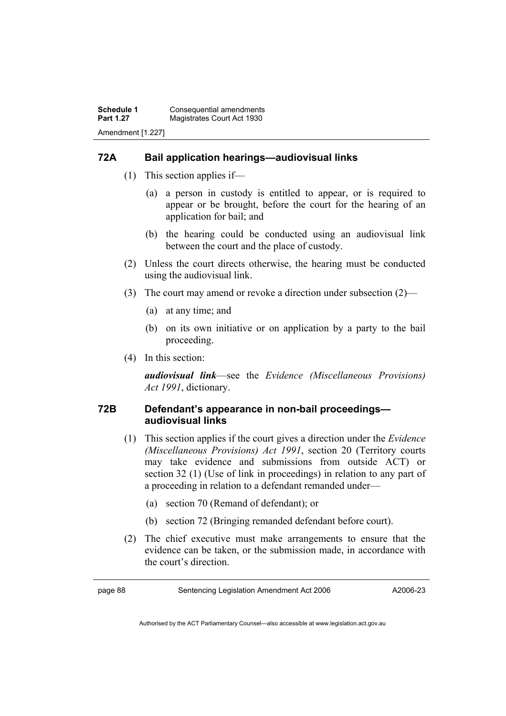## **72A Bail application hearings—audiovisual links**

- (1) This section applies if—
	- (a) a person in custody is entitled to appear, or is required to appear or be brought, before the court for the hearing of an application for bail; and
	- (b) the hearing could be conducted using an audiovisual link between the court and the place of custody.
- (2) Unless the court directs otherwise, the hearing must be conducted using the audiovisual link.
- (3) The court may amend or revoke a direction under subsection (2)—
	- (a) at any time; and
	- (b) on its own initiative or on application by a party to the bail proceeding.
- (4) In this section:

*audiovisual link*—see the *Evidence (Miscellaneous Provisions) Act 1991*, dictionary.

## **72B Defendant's appearance in non-bail proceedings audiovisual links**

- (1) This section applies if the court gives a direction under the *Evidence (Miscellaneous Provisions) Act 1991*, section 20 (Territory courts may take evidence and submissions from outside ACT) or section 32 (1) (Use of link in proceedings) in relation to any part of a proceeding in relation to a defendant remanded under—
	- (a) section 70 (Remand of defendant); or
	- (b) section 72 (Bringing remanded defendant before court).
- (2) The chief executive must make arrangements to ensure that the evidence can be taken, or the submission made, in accordance with the court's direction.

A2006-23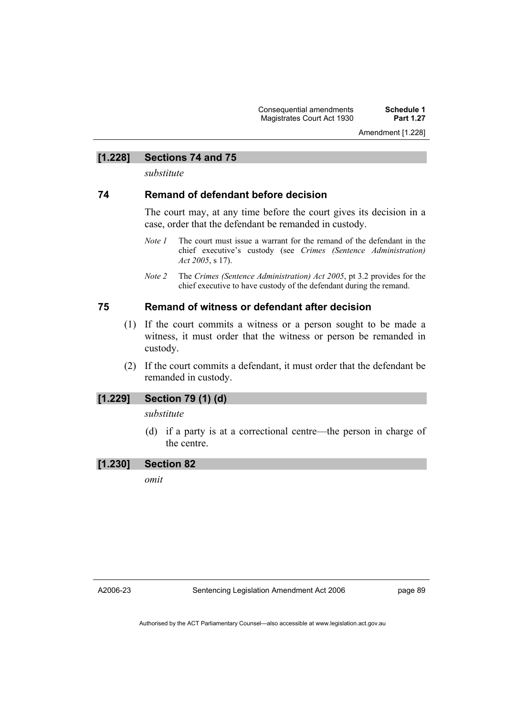Amendment [1.228]

## **[1.228] Sections 74 and 75**

*substitute* 

## **74 Remand of defendant before decision**

The court may, at any time before the court gives its decision in a case, order that the defendant be remanded in custody.

- *Note 1* The court must issue a warrant for the remand of the defendant in the chief executive's custody (see *Crimes (Sentence Administration) Act 2005*, s 17).
- *Note 2* The *Crimes (Sentence Administration) Act 2005*, pt 3.2 provides for the chief executive to have custody of the defendant during the remand.

#### **75 Remand of witness or defendant after decision**

- (1) If the court commits a witness or a person sought to be made a witness, it must order that the witness or person be remanded in custody.
- (2) If the court commits a defendant, it must order that the defendant be remanded in custody.

#### **[1.229] Section 79 (1) (d)**

#### *substitute*

 (d) if a party is at a correctional centre—the person in charge of the centre.

## **[1.230] Section 82**

*omit* 

A2006-23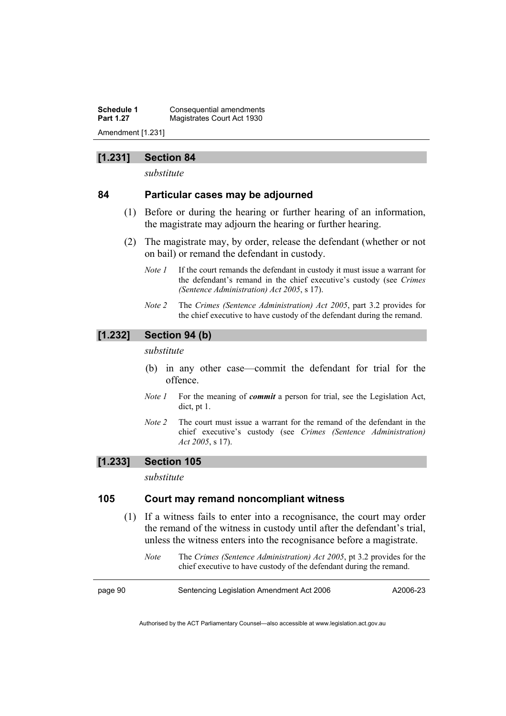**Schedule 1 Consequential amendments**<br>**Part 1.27 Magistrates Court Act 1930 Magistrates Court Act 1930** Amendment [1.231]

## **[1.231] Section 84**

*substitute* 

## **84 Particular cases may be adjourned**

- (1) Before or during the hearing or further hearing of an information, the magistrate may adjourn the hearing or further hearing.
- (2) The magistrate may, by order, release the defendant (whether or not on bail) or remand the defendant in custody.
	- *Note 1* If the court remands the defendant in custody it must issue a warrant for the defendant's remand in the chief executive's custody (see *Crimes (Sentence Administration) Act 2005*, s 17).
	- *Note 2* The *Crimes (Sentence Administration) Act 2005*, part 3.2 provides for the chief executive to have custody of the defendant during the remand.

#### **[1.232] Section 94 (b)**

#### *substitute*

- (b) in any other case—commit the defendant for trial for the offence.
- *Note 1* For the meaning of *commit* a person for trial, see the Legislation Act, dict, pt 1.
- *Note 2* The court must issue a warrant for the remand of the defendant in the chief executive's custody (see *Crimes (Sentence Administration) Act 2005*, s 17).

#### **[1.233] Section 105**

*substitute* 

#### **105 Court may remand noncompliant witness**

- (1) If a witness fails to enter into a recognisance, the court may order the remand of the witness in custody until after the defendant's trial, unless the witness enters into the recognisance before a magistrate.
	- *Note* The *Crimes (Sentence Administration) Act 2005*, pt 3.2 provides for the chief executive to have custody of the defendant during the remand.

| page 90 | Sentencing Legislation Amendment Act 2006 | A2006-23 |
|---------|-------------------------------------------|----------|
|---------|-------------------------------------------|----------|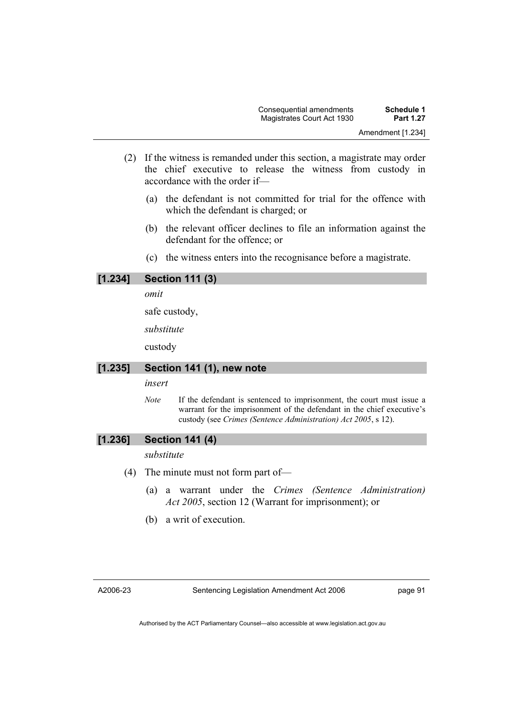- (2) If the witness is remanded under this section, a magistrate may order the chief executive to release the witness from custody in accordance with the order if—
	- (a) the defendant is not committed for trial for the offence with which the defendant is charged; or
	- (b) the relevant officer declines to file an information against the defendant for the offence; or
	- (c) the witness enters into the recognisance before a magistrate.

## **[1.234] Section 111 (3)**

*omit* 

safe custody,

*substitute* 

custody

## **[1.235] Section 141 (1), new note**

#### *insert*

*Note* If the defendant is sentenced to imprisonment, the court must issue a warrant for the imprisonment of the defendant in the chief executive's custody (see *Crimes (Sentence Administration) Act 2005*, s 12).

## **[1.236] Section 141 (4)**

#### *substitute*

- (4) The minute must not form part of—
	- (a) a warrant under the *Crimes (Sentence Administration) Act 2005*, section 12 (Warrant for imprisonment); or
	- (b) a writ of execution.

page 91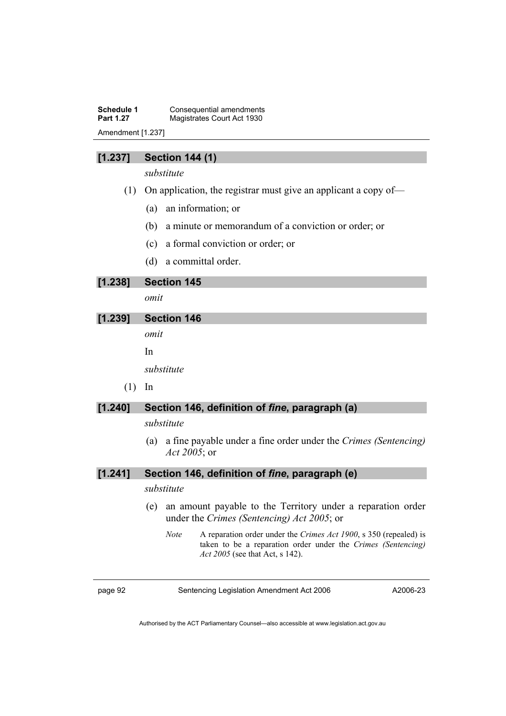**Schedule 1 Consequential amendments**<br>**Part 1.27 Magistrates Court Act 1930 Magistrates Court Act 1930** Amendment [1.237]

### **[1.237] Section 144 (1)**

*substitute* 

- (1) On application, the registrar must give an applicant a copy of—
	- (a) an information; or
	- (b) a minute or memorandum of a conviction or order; or
	- (c) a formal conviction or order; or
	- (d) a committal order.

#### **[1.238] Section 145**

*omit* 

### **[1.239] Section 146**

*omit* 

In

*substitute* 

(1) In

## **[1.240] Section 146, definition of** *fine***, paragraph (a)**

#### *substitute*

 (a) a fine payable under a fine order under the *Crimes (Sentencing) Act 2005*; or

#### **[1.241] Section 146, definition of** *fine***, paragraph (e)**

#### *substitute*

- (e) an amount payable to the Territory under a reparation order under the *Crimes (Sentencing) Act 2005*; or
	- *Note* A reparation order under the *Crimes Act 1900*, s 350 (repealed) is taken to be a reparation order under the *Crimes (Sentencing) Act 2005* (see that Act, s 142).

| ю<br>r<br>⊶<br>ı<br>m |  |
|-----------------------|--|
|-----------------------|--|

Sentencing Legislation Amendment Act 2006

A2006-23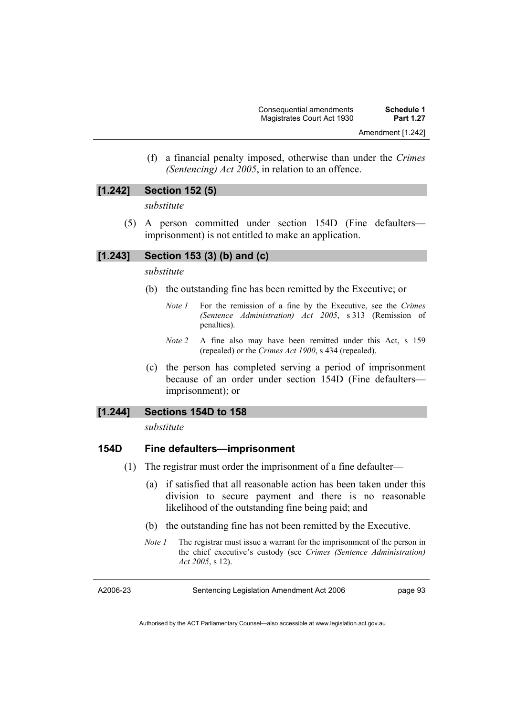(f) a financial penalty imposed, otherwise than under the *Crimes (Sentencing) Act 2005*, in relation to an offence.

## **[1.242] Section 152 (5)**

*substitute* 

 (5) A person committed under section 154D (Fine defaulters imprisonment) is not entitled to make an application.

## **[1.243] Section 153 (3) (b) and (c)**

#### *substitute*

- (b) the outstanding fine has been remitted by the Executive; or
	- *Note 1* For the remission of a fine by the Executive, see the *Crimes (Sentence Administration) Act 2005*, s 313 (Remission of penalties).
	- *Note 2* A fine also may have been remitted under this Act, s 159 (repealed) or the *Crimes Act 1900*, s 434 (repealed).
- (c) the person has completed serving a period of imprisonment because of an order under section 154D (Fine defaulters imprisonment); or

## **[1.244] Sections 154D to 158**

*substitute* 

## **154D Fine defaulters—imprisonment**

- (1) The registrar must order the imprisonment of a fine defaulter—
	- (a) if satisfied that all reasonable action has been taken under this division to secure payment and there is no reasonable likelihood of the outstanding fine being paid; and
	- (b) the outstanding fine has not been remitted by the Executive.
	- *Note 1* The registrar must issue a warrant for the imprisonment of the person in the chief executive's custody (see *Crimes (Sentence Administration) Act 2005*, s 12).

A2006-23

page 93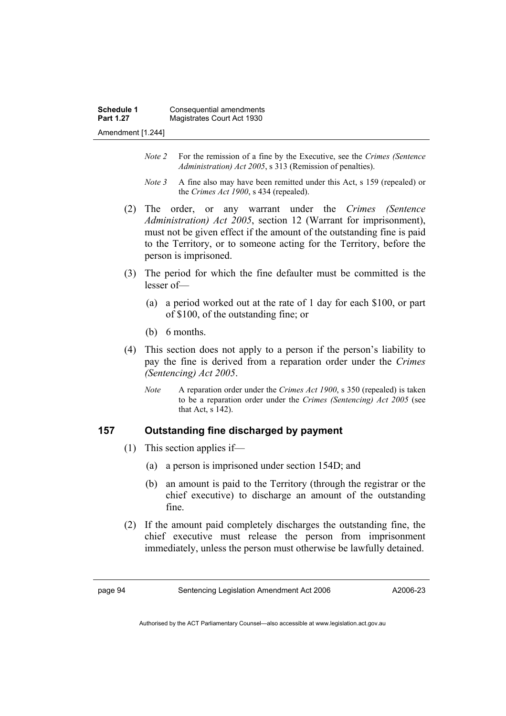- *Note 2* For the remission of a fine by the Executive, see the *Crimes (Sentence Administration) Act 2005*, s 313 (Remission of penalties).
- *Note* 3 A fine also may have been remitted under this Act, s 159 (repealed) or the *Crimes Act 1900*, s 434 (repealed).
- (2) The order, or any warrant under the *Crimes (Sentence Administration) Act 2005*, section 12 (Warrant for imprisonment), must not be given effect if the amount of the outstanding fine is paid to the Territory, or to someone acting for the Territory, before the person is imprisoned.
- (3) The period for which the fine defaulter must be committed is the lesser of—
	- (a) a period worked out at the rate of 1 day for each \$100, or part of \$100, of the outstanding fine; or
	- (b) 6 months.
- (4) This section does not apply to a person if the person's liability to pay the fine is derived from a reparation order under the *Crimes (Sentencing) Act 2005*.
	- *Note* A reparation order under the *Crimes Act 1900*, s 350 (repealed) is taken to be a reparation order under the *Crimes (Sentencing) Act 2005* (see that Act, s 142).

## **157 Outstanding fine discharged by payment**

- (1) This section applies if—
	- (a) a person is imprisoned under section 154D; and
	- (b) an amount is paid to the Territory (through the registrar or the chief executive) to discharge an amount of the outstanding fine.
- (2) If the amount paid completely discharges the outstanding fine, the chief executive must release the person from imprisonment immediately, unless the person must otherwise be lawfully detained.

A2006-23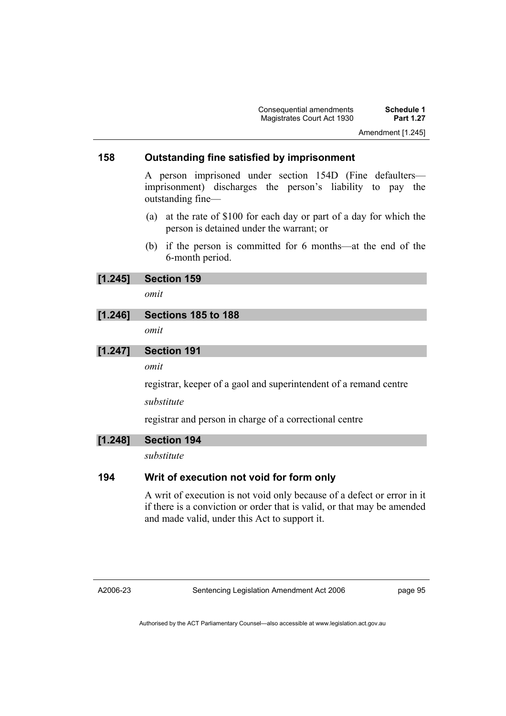## **158 Outstanding fine satisfied by imprisonment**

A person imprisoned under section 154D (Fine defaulters imprisonment) discharges the person's liability to pay the outstanding fine—

- (a) at the rate of \$100 for each day or part of a day for which the person is detained under the warrant; or
- (b) if the person is committed for 6 months—at the end of the 6-month period.

| [1.245] | <b>Section 159</b> |  |
|---------|--------------------|--|
|         |                    |  |

*omit* 

## **[1.246] Sections 185 to 188**

*omit* 

#### **[1.247] Section 191**

*omit* 

registrar, keeper of a gaol and superintendent of a remand centre

*substitute* 

registrar and person in charge of a correctional centre

#### **[1.248] Section 194**

*substitute* 

## **194 Writ of execution not void for form only**

A writ of execution is not void only because of a defect or error in it if there is a conviction or order that is valid, or that may be amended and made valid, under this Act to support it.

page 95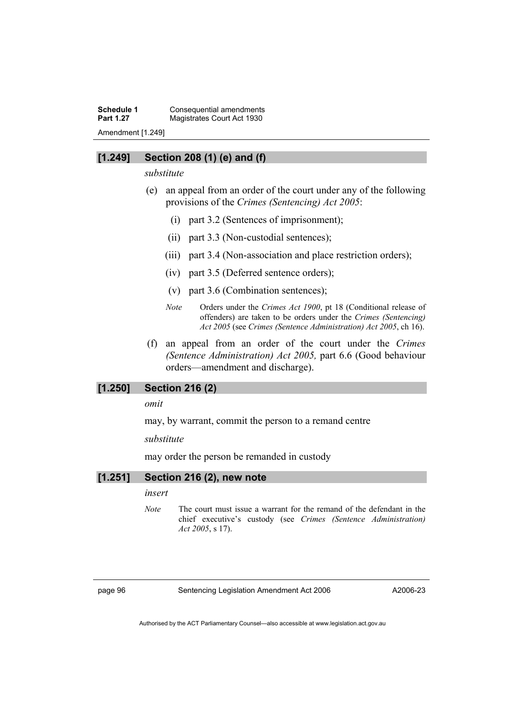**Schedule 1 Consequential amendments**<br>**Part 1.27 Magistrates Court Act 1930 Magistrates Court Act 1930** Amendment [1.249]

#### **[1.249] Section 208 (1) (e) and (f)**

*substitute* 

- (e) an appeal from an order of the court under any of the following provisions of the *Crimes (Sentencing) Act 2005*:
	- (i) part 3.2 (Sentences of imprisonment);
	- (ii) part 3.3 (Non-custodial sentences);
	- (iii) part 3.4 (Non-association and place restriction orders);
	- (iv) part 3.5 (Deferred sentence orders);
	- (v) part 3.6 (Combination sentences);
	- *Note* Orders under the *Crimes Act 1900*, pt 18 (Conditional release of offenders) are taken to be orders under the *Crimes (Sentencing) Act 2005* (see *Crimes (Sentence Administration) Act 2005*, ch 16).
- (f) an appeal from an order of the court under the *Crimes (Sentence Administration) Act 2005,* part 6.6 (Good behaviour orders—amendment and discharge).

## **[1.250] Section 216 (2)**

*omit* 

may, by warrant, commit the person to a remand centre

*substitute* 

may order the person be remanded in custody

## **[1.251] Section 216 (2), new note**

#### *insert*

*Note* The court must issue a warrant for the remand of the defendant in the chief executive's custody (see *Crimes (Sentence Administration) Act 2005*, s 17).

page 96 Sentencing Legislation Amendment Act 2006

A2006-23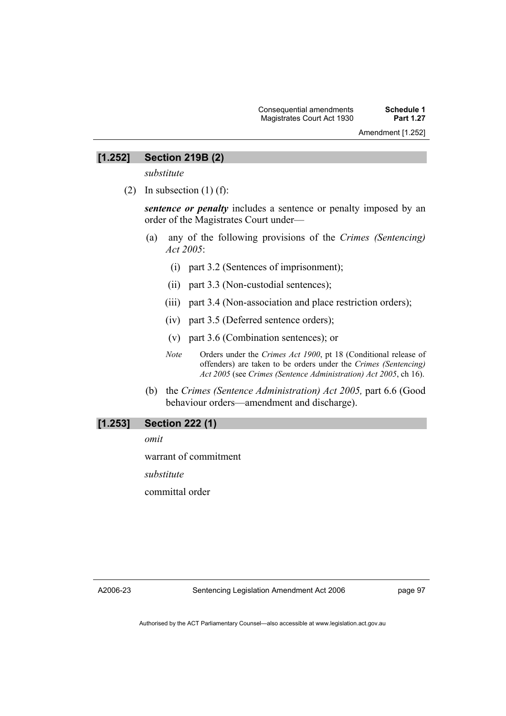Amendment [1.252]

#### **[1.252] Section 219B (2)**

*substitute* 

(2) In subsection  $(1)$  (f):

*sentence or penalty* includes a sentence or penalty imposed by an order of the Magistrates Court under—

- (a) any of the following provisions of the *Crimes (Sentencing) Act 2005*:
	- (i) part 3.2 (Sentences of imprisonment);
	- (ii) part 3.3 (Non-custodial sentences);
	- (iii) part 3.4 (Non-association and place restriction orders);
	- (iv) part 3.5 (Deferred sentence orders);
	- (v) part 3.6 (Combination sentences); or
	- *Note* Orders under the *Crimes Act 1900*, pt 18 (Conditional release of offenders) are taken to be orders under the *Crimes (Sentencing) Act 2005* (see *Crimes (Sentence Administration) Act 2005*, ch 16).
- (b) the *Crimes (Sentence Administration) Act 2005,* part 6.6 (Good behaviour orders—amendment and discharge).

## **[1.253] Section 222 (1)**

*omit* 

warrant of commitment

*substitute* 

committal order

A2006-23

page 97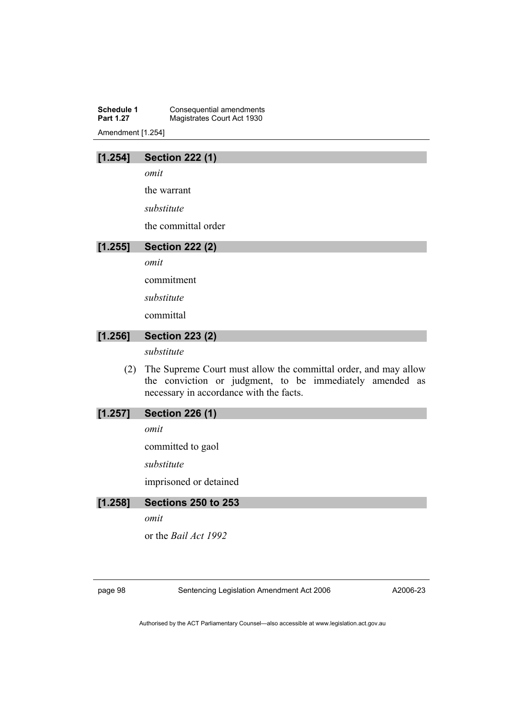**Schedule 1 Consequential amendments**<br>**Part 1.27 Magistrates Court Act 1930 Magistrates Court Act 1930** Amendment [1.254]

## **[1.254] Section 222 (1)**

*omit* 

the warrant

*substitute* 

the committal order

## **[1.255] Section 222 (2)**

*omit* 

commitment

*substitute* 

committal

## **[1.256] Section 223 (2)**

*substitute* 

 (2) The Supreme Court must allow the committal order, and may allow the conviction or judgment, to be immediately amended as necessary in accordance with the facts.

#### **[1.257] Section 226 (1)**

*omit* 

committed to gaol

*substitute* 

imprisoned or detained

#### **[1.258] Sections 250 to 253**

*omit* 

or the *Bail Act 1992*

page 98 Sentencing Legislation Amendment Act 2006

A2006-23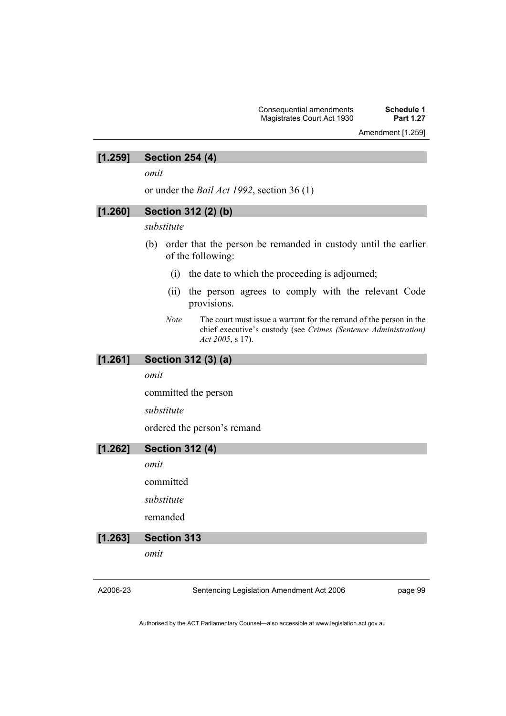Amendment [1.259]

## **[1.259] Section 254 (4)**

*omit* 

or under the *Bail Act 1992*, section 36 (1)

## **[1.260] Section 312 (2) (b)**

#### *substitute*

- (b) order that the person be remanded in custody until the earlier of the following:
	- (i) the date to which the proceeding is adjourned;
	- (ii) the person agrees to comply with the relevant Code provisions.
	- *Note* The court must issue a warrant for the remand of the person in the chief executive's custody (see *Crimes (Sentence Administration) Act 2005*, s 17).

## **[1.261] Section 312 (3) (a)**

*omit* 

committed the person

*substitute* 

ordered the person's remand

## **[1.262] Section 312 (4)**

*omit* 

committed

*substitute* 

remanded

## **[1.263] Section 313**

*omit* 

A2006-23

Sentencing Legislation Amendment Act 2006

page 99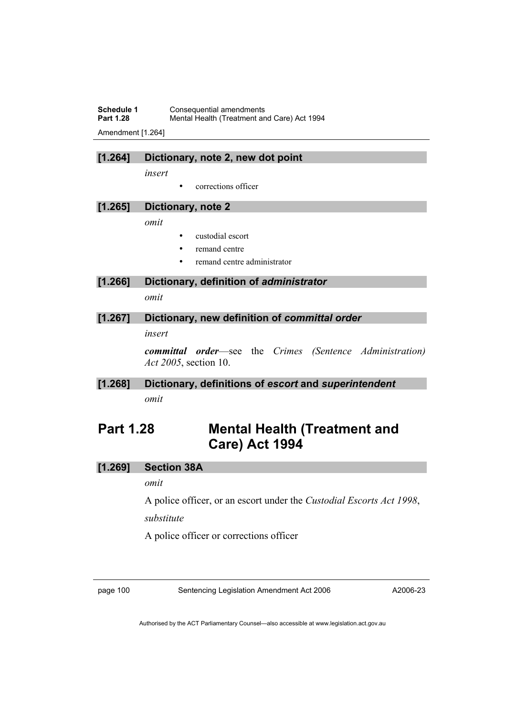**Schedule 1 Consequential amendments**<br>**Part 1.28 Mental Health (Treatment and** Mental Health (Treatment and Care) Act 1994

Amendment [1.264]

## **[1.264] Dictionary, note 2, new dot point**

*insert* 

• corrections officer

#### **[1.265] Dictionary, note 2**

*omit* 

- custodial escort
- remand centre
- remand centre administrator
- **[1.266] Dictionary, definition of** *administrator omit*

#### **[1.267] Dictionary, new definition of** *committal order*

*insert* 

*committal order*—see the *Crimes (Sentence Administration) Act 2005*, section 10.

## **[1.268] Dictionary, definitions of** *escort* **and** *superintendent omit*

## **Part 1.28 Mental Health (Treatment and Care) Act 1994**

## **[1.269] Section 38A**

## *omit*

A police officer, or an escort under the *Custodial Escorts Act 1998*,

*substitute* 

A police officer or corrections officer

page 100 Sentencing Legislation Amendment Act 2006

A2006-23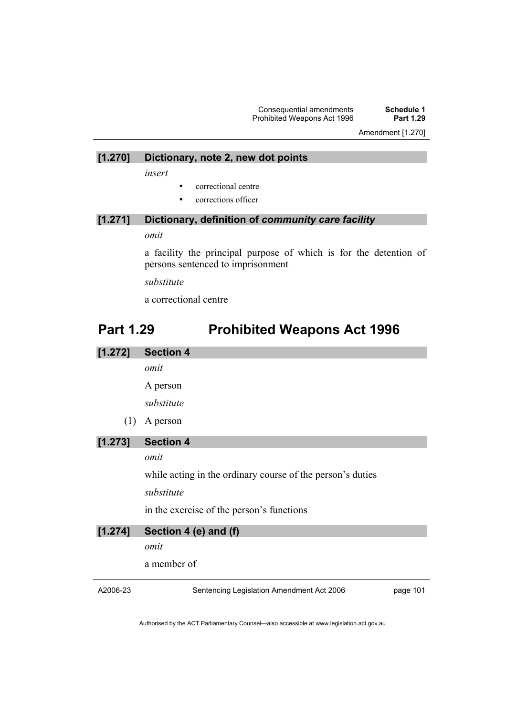Consequential amendments **Schedule 1**  Prohibited Weapons Act 1996 **Part 1.29** 

Amendment [1.270]

| [1.270] | Dictionary, note 2, new dot points                |
|---------|---------------------------------------------------|
|         | insert                                            |
|         | correctional centre<br>$\bullet$                  |
|         | corrections officer<br>$\bullet$                  |
| [1.271] | Dictionary, definition of community care facility |
|         | $\alpha$ mit                                      |

#### *omit*

a facility the principal purpose of which is for the detention of persons sentenced to imprisonment

*substitute* 

a correctional centre

## **Part 1.29 Prohibited Weapons Act 1996**

| [1.272]  | <b>Section 4</b>                                           |          |
|----------|------------------------------------------------------------|----------|
|          | omit                                                       |          |
|          | A person                                                   |          |
|          | substitute                                                 |          |
| (1)      | A person                                                   |          |
| [1.273]  | <b>Section 4</b>                                           |          |
|          | omit                                                       |          |
|          | while acting in the ordinary course of the person's duties |          |
|          | substitute                                                 |          |
|          | in the exercise of the person's functions                  |          |
| [1.274]  | Section 4 (e) and (f)                                      |          |
|          | omit                                                       |          |
|          | a member of                                                |          |
| A2006-23 | Sentencing Legislation Amendment Act 2006                  | page 101 |
|          |                                                            |          |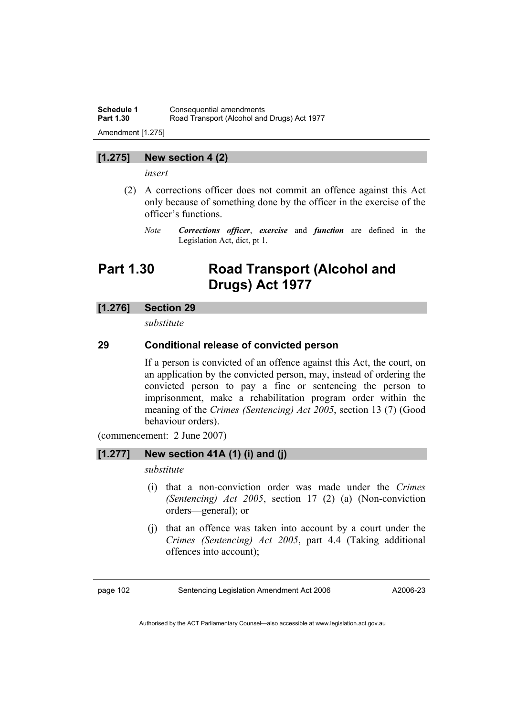**Schedule 1 Consequential amendments**<br>**Part 1.30 Road Transport (Alcohol and** Road Transport (Alcohol and Drugs) Act 1977 Amendment [1.275]

## **[1.275] New section 4 (2)**

*insert* 

- (2) A corrections officer does not commit an offence against this Act only because of something done by the officer in the exercise of the officer's functions.
	- *Note Corrections officer*, *exercise* and *function* are defined in the Legislation Act, dict, pt 1.

## **Part 1.30 Road Transport (Alcohol and Drugs) Act 1977**

## **[1.276] Section 29**

*substitute* 

## **29 Conditional release of convicted person**

If a person is convicted of an offence against this Act, the court, on an application by the convicted person, may, instead of ordering the convicted person to pay a fine or sentencing the person to imprisonment, make a rehabilitation program order within the meaning of the *Crimes (Sentencing) Act 2005*, section 13 (7) (Good behaviour orders).

(commencement: 2 June 2007)

## **[1.277] New section 41A (1) (i) and (j)**

#### *substitute*

- (i) that a non-conviction order was made under the *Crimes (Sentencing) Act 2005*, section 17 (2) (a) (Non-conviction orders—general); or
- (j) that an offence was taken into account by a court under the *Crimes (Sentencing) Act 2005*, part 4.4 (Taking additional offences into account);

page 102 Sentencing Legislation Amendment Act 2006

A2006-23

Authorised by the ACT Parliamentary Counsel—also accessible at www.legislation.act.gov.au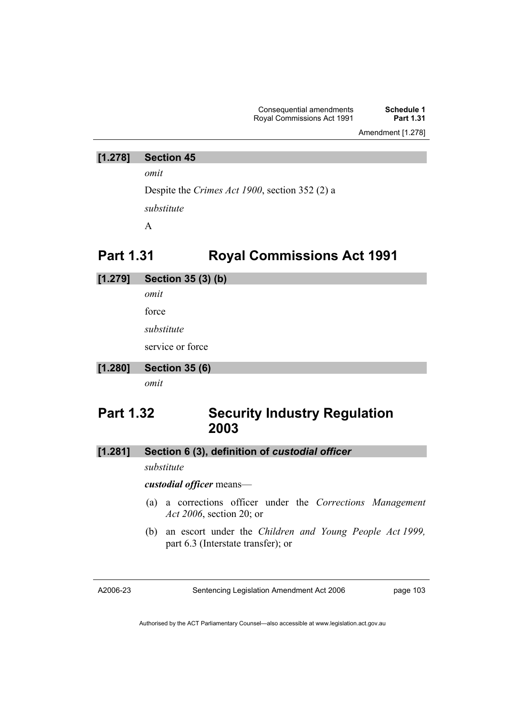Amendment [1.278]

## **[1.278] Section 45**

*omit* 

Despite the *Crimes Act 1900*, section 352 (2) a *substitute* 

A

## **Part 1.31 Royal Commissions Act 1991**

- **[1.279] Section 35 (3) (b)**  *omit*  force *substitute*  service or force
- **[1.280] Section 35 (6)**

*omit* 

## **Part 1.32 Security Industry Regulation 2003**

## **[1.281] Section 6 (3), definition of** *custodial officer*

#### *substitute*

*custodial officer* means—

- (a) a corrections officer under the *Corrections Management Act 2006*, section 20; or
- (b) an escort under the *Children and Young People Act 1999,*  part 6.3 (Interstate transfer); or

A2006-23

Sentencing Legislation Amendment Act 2006

page 103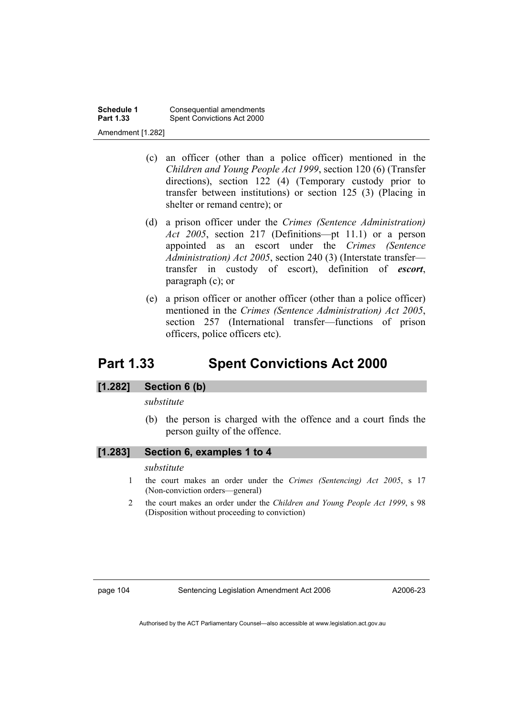- (c) an officer (other than a police officer) mentioned in the *Children and Young People Act 1999*, section 120 (6) (Transfer directions), section 122 (4) (Temporary custody prior to transfer between institutions) or section 125 (3) (Placing in shelter or remand centre); or
- (d) a prison officer under the *Crimes (Sentence Administration) Act 2005*, section 217 (Definitions—pt 11.1) or a person appointed as an escort under the *Crimes (Sentence Administration) Act 2005*, section 240 (3) (Interstate transfer transfer in custody of escort), definition of *escort*, paragraph (c); or
- (e) a prison officer or another officer (other than a police officer) mentioned in the *Crimes (Sentence Administration) Act 2005*, section 257 (International transfer—functions of prison officers, police officers etc).

## **Part 1.33 Spent Convictions Act 2000**

## **[1.282] Section 6 (b)**

#### *substitute*

 (b) the person is charged with the offence and a court finds the person guilty of the offence.

## **[1.283] Section 6, examples 1 to 4**

#### *substitute*

- 1 the court makes an order under the *Crimes (Sentencing) Act 2005*, s 17 (Non-conviction orders—general)
- 2 the court makes an order under the *Children and Young People Act 1999*, s 98 (Disposition without proceeding to conviction)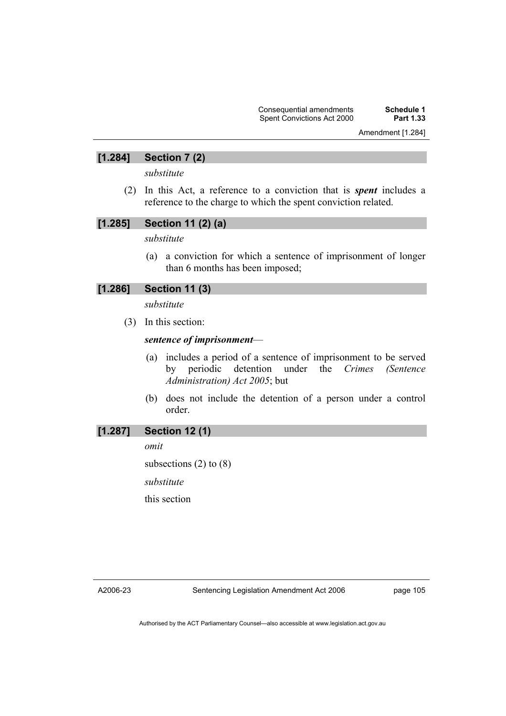Amendment [1.284]

# **[1.284] Section 7 (2)**

*substitute* 

 (2) In this Act, a reference to a conviction that is *spent* includes a reference to the charge to which the spent conviction related.

# **[1.285] Section 11 (2) (a)**

*substitute* 

 (a) a conviction for which a sentence of imprisonment of longer than 6 months has been imposed;

# **[1.286] Section 11 (3)**

*substitute* 

(3) In this section:

### *sentence of imprisonment*—

- (a) includes a period of a sentence of imprisonment to be served by periodic detention under the *Crimes (Sentence Administration) Act 2005*; but
- (b) does not include the detention of a person under a control order.

#### **[1.287] Section 12 (1)**

*omit* 

subsections (2) to (8)

*substitute* 

this section

A2006-23

page 105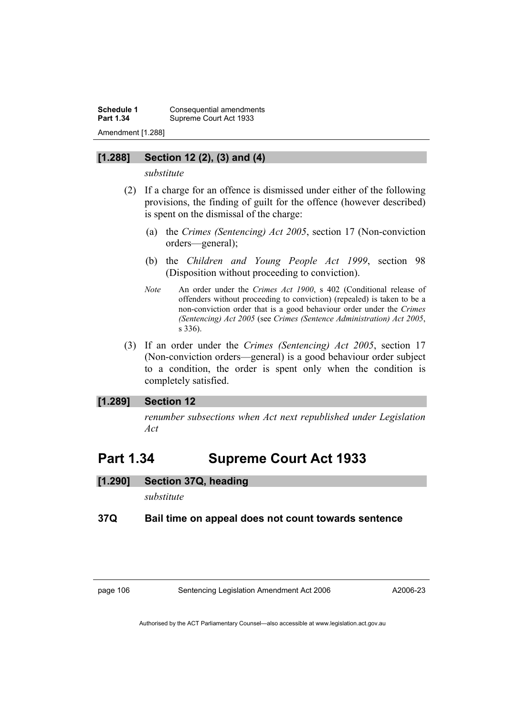**Schedule 1 Consequential amendments** Part 1.34 **Supreme Court Act 1933** Amendment [1.288]

# **[1.288] Section 12 (2), (3) and (4)**

*substitute* 

- (2) If a charge for an offence is dismissed under either of the following provisions, the finding of guilt for the offence (however described) is spent on the dismissal of the charge:
	- (a) the *Crimes (Sentencing) Act 2005*, section 17 (Non-conviction orders—general);
	- (b) the *Children and Young People Act 1999*, section 98 (Disposition without proceeding to conviction).
	- *Note* An order under the *Crimes Act 1900*, s 402 (Conditional release of offenders without proceeding to conviction) (repealed) is taken to be a non-conviction order that is a good behaviour order under the *Crimes (Sentencing) Act 2005* (see *Crimes (Sentence Administration) Act 2005*, s 336).
- (3) If an order under the *Crimes (Sentencing) Act 2005*, section 17 (Non-conviction orders—general) is a good behaviour order subject to a condition, the order is spent only when the condition is completely satisfied.

#### **[1.289] Section 12**

*renumber subsections when Act next republished under Legislation Act* 

# **Part 1.34 Supreme Court Act 1933**

#### **[1.290] Section 37Q, heading**

*substitute* 

**37Q Bail time on appeal does not count towards sentence** 

page 106 Sentencing Legislation Amendment Act 2006

A2006-23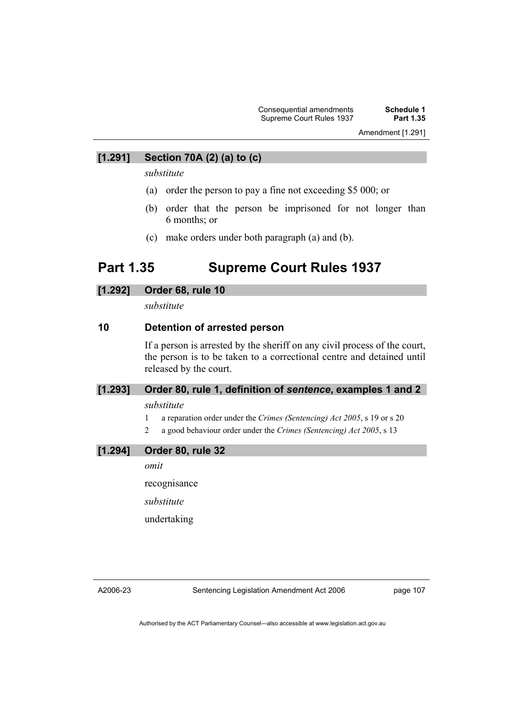Amendment [1.291]

# **[1.291] Section 70A (2) (a) to (c)**

*substitute* 

- (a) order the person to pay a fine not exceeding \$5 000; or
- (b) order that the person be imprisoned for not longer than 6 months; or
- (c) make orders under both paragraph (a) and (b).

# **Part 1.35 Supreme Court Rules 1937**

# **[1.292] Order 68, rule 10**

*substitute* 

# **10 Detention of arrested person**

If a person is arrested by the sheriff on any civil process of the court, the person is to be taken to a correctional centre and detained until released by the court.

# **[1.293] Order 80, rule 1, definition of** *sentence***, examples 1 and 2**

# *substitute*

- 1 a reparation order under the *Crimes (Sentencing) Act 2005*, s 19 or s 20
- 2 a good behaviour order under the *Crimes (Sentencing) Act 2005*, s 13

# **[1.294] Order 80, rule 32**

*omit* 

recognisance

*substitute* 

undertaking

A2006-23

Sentencing Legislation Amendment Act 2006

page 107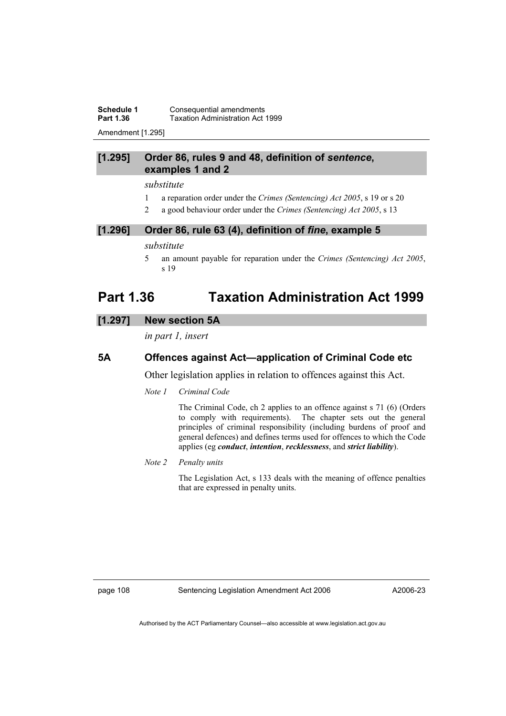**Schedule 1 Consequential amendments**<br>**Part 1.36 Example 1.36 CONS CONS CONS CONS CONS CONS CONS CONS CONS CONS CONS CONS CONS CONS CONS CONS CONS CONS CONS CONS CONS CONS Part 1.36** Taxation Administration Act 1999

Amendment [1.295]

# **[1.295] Order 86, rules 9 and 48, definition of** *sentence***, examples 1 and 2**

#### *substitute*

- 1 a reparation order under the *Crimes (Sentencing) Act 2005*, s 19 or s 20
- 2 a good behaviour order under the *Crimes (Sentencing) Act 2005*, s 13

#### **[1.296] Order 86, rule 63 (4), definition of** *fine***, example 5**

#### *substitute*

5 an amount payable for reparation under the *Crimes (Sentencing) Act 2005*, s 19

# **Part 1.36 Taxation Administration Act 1999**

# **[1.297] New section 5A**

*in part 1, insert* 

# **5A Offences against Act—application of Criminal Code etc**

Other legislation applies in relation to offences against this Act.

*Note 1 Criminal Code* 

 The Criminal Code, ch 2 applies to an offence against s 71 (6) (Orders to comply with requirements). The chapter sets out the general principles of criminal responsibility (including burdens of proof and general defences) and defines terms used for offences to which the Code applies (eg *conduct*, *intention*, *recklessness*, and *strict liability*).

#### *Note 2 Penalty units*

The Legislation Act, s 133 deals with the meaning of offence penalties that are expressed in penalty units.

page 108 Sentencing Legislation Amendment Act 2006

A2006-23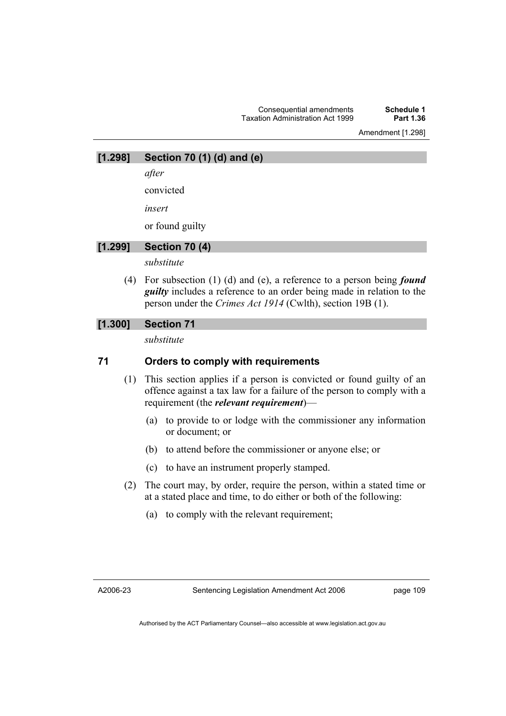# Consequential amendments **Schedule 1 Taxation Administration Act 1999**

Amendment [1.298]

# **[1.298] Section 70 (1) (d) and (e)**

*after* 

convicted

*insert* 

or found guilty

# **[1.299] Section 70 (4)**

*substitute* 

 (4) For subsection (1) (d) and (e), a reference to a person being *found guilty* includes a reference to an order being made in relation to the person under the *Crimes Act 1914* (Cwlth), section 19B (1).

# **[1.300] Section 71**

*substitute* 

# **71 Orders to comply with requirements**

- (1) This section applies if a person is convicted or found guilty of an offence against a tax law for a failure of the person to comply with a requirement (the *relevant requirement*)—
	- (a) to provide to or lodge with the commissioner any information or document; or
	- (b) to attend before the commissioner or anyone else; or
	- (c) to have an instrument properly stamped.
- (2) The court may, by order, require the person, within a stated time or at a stated place and time, to do either or both of the following:
	- (a) to comply with the relevant requirement;

A2006-23

page 109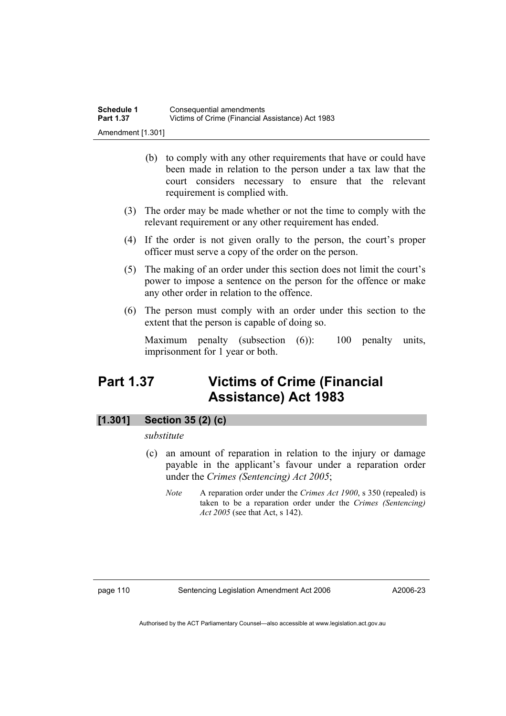- (b) to comply with any other requirements that have or could have been made in relation to the person under a tax law that the court considers necessary to ensure that the relevant requirement is complied with.
- (3) The order may be made whether or not the time to comply with the relevant requirement or any other requirement has ended.
- (4) If the order is not given orally to the person, the court's proper officer must serve a copy of the order on the person.
- (5) The making of an order under this section does not limit the court's power to impose a sentence on the person for the offence or make any other order in relation to the offence.
- (6) The person must comply with an order under this section to the extent that the person is capable of doing so.

Maximum penalty (subsection (6)): 100 penalty units, imprisonment for 1 year or both.

# **Part 1.37 Victims of Crime (Financial Assistance) Act 1983**

# **[1.301] Section 35 (2) (c)**

#### *substitute*

- (c) an amount of reparation in relation to the injury or damage payable in the applicant's favour under a reparation order under the *Crimes (Sentencing) Act 2005*;
	- *Note* A reparation order under the *Crimes Act 1900*, s 350 (repealed) is taken to be a reparation order under the *Crimes (Sentencing) Act 2005* (see that Act, s 142).

page 110 Sentencing Legislation Amendment Act 2006

A2006-23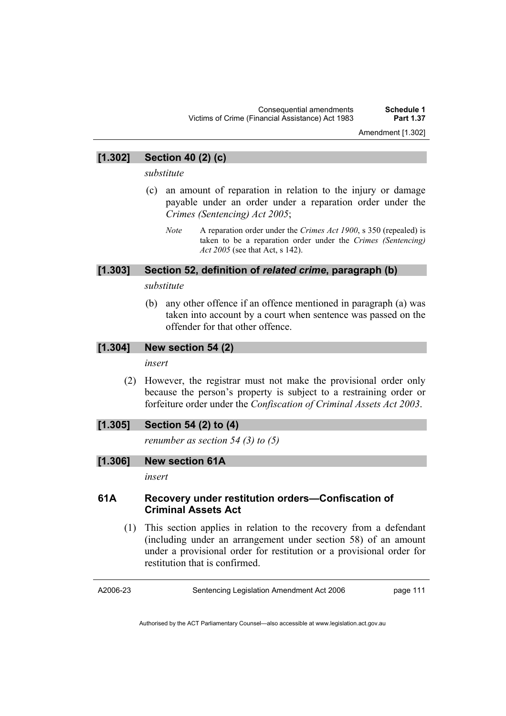# **[1.302] Section 40 (2) (c)**

*substitute* 

- (c) an amount of reparation in relation to the injury or damage payable under an order under a reparation order under the *Crimes (Sentencing) Act 2005*;
	- *Note* A reparation order under the *Crimes Act 1900*, s 350 (repealed) is taken to be a reparation order under the *Crimes (Sentencing) Act 2005* (see that Act, s 142).

# **[1.303] Section 52, definition of** *related crime***, paragraph (b)**

# *substitute*

 (b) any other offence if an offence mentioned in paragraph (a) was taken into account by a court when sentence was passed on the offender for that other offence.

# **[1.304] New section 54 (2)**

*insert* 

 (2) However, the registrar must not make the provisional order only because the person's property is subject to a restraining order or forfeiture order under the *Confiscation of Criminal Assets Act 2003*.

# **[1.305] Section 54 (2) to (4)**

*renumber as section 54 (3) to (5)* 

**[1.306] New section 61A** 

*insert* 

# **61A Recovery under restitution orders—Confiscation of Criminal Assets Act**

 (1) This section applies in relation to the recovery from a defendant (including under an arrangement under section 58) of an amount under a provisional order for restitution or a provisional order for restitution that is confirmed.

A2006-23

Sentencing Legislation Amendment Act 2006

page 111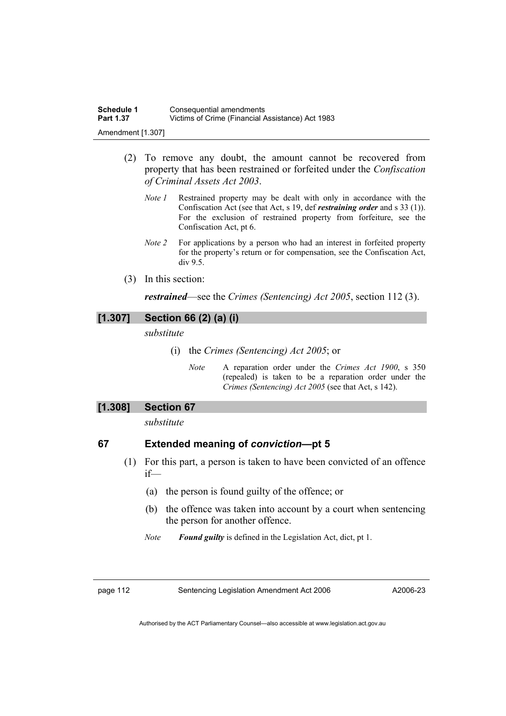- (2) To remove any doubt, the amount cannot be recovered from property that has been restrained or forfeited under the *Confiscation of Criminal Assets Act 2003*.
	- *Note 1* Restrained property may be dealt with only in accordance with the Confiscation Act (see that Act, s 19, def *restraining order* and s 33 (1)). For the exclusion of restrained property from forfeiture, see the Confiscation Act, pt 6.
	- *Note 2* For applications by a person who had an interest in forfeited property for the property's return or for compensation, see the Confiscation Act, div 9.5.
- (3) In this section:

*restrained*—see the *Crimes (Sentencing) Act 2005*, section 112 (3).

# **[1.307] Section 66 (2) (a) (i)**

*substitute* 

(i) the *Crimes (Sentencing) Act 2005*; or

*Note* A reparation order under the *Crimes Act 1900*, s 350 (repealed) is taken to be a reparation order under the *Crimes (Sentencing) Act 2005* (see that Act, s 142).

# **[1.308] Section 67**

*substitute* 

# **67 Extended meaning of** *conviction***—pt 5**

- (1) For this part, a person is taken to have been convicted of an offence if—
	- (a) the person is found guilty of the offence; or
	- (b) the offence was taken into account by a court when sentencing the person for another offence.
	- *Note Found guilty* is defined in the Legislation Act, dict, pt 1.

page 112 Sentencing Legislation Amendment Act 2006

A2006-23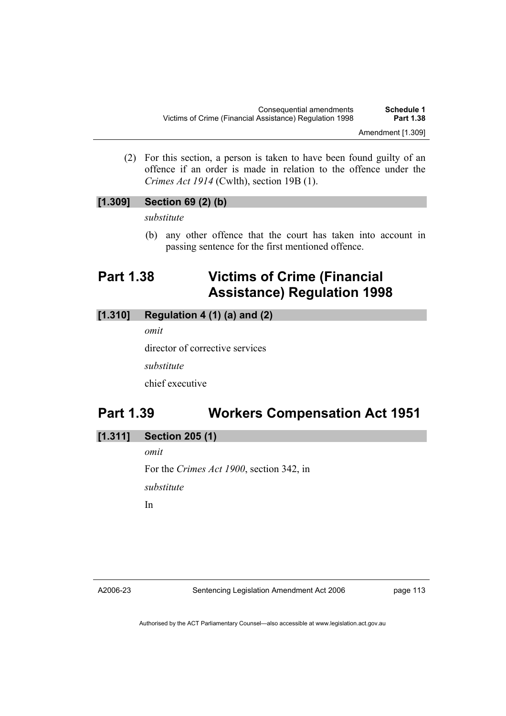(2) For this section, a person is taken to have been found guilty of an offence if an order is made in relation to the offence under the *Crimes Act 1914* (Cwlth), section 19B (1).

# **[1.309] Section 69 (2) (b)**

*substitute* 

 (b) any other offence that the court has taken into account in passing sentence for the first mentioned offence.

# **Part 1.38 Victims of Crime (Financial Assistance) Regulation 1998**

# **[1.310] Regulation 4 (1) (a) and (2)**

*omit* 

director of corrective services

*substitute* 

chief executive

# **Part 1.39 Workers Compensation Act 1951**

# **[1.311] Section 205 (1)**

*omit* 

For the *Crimes Act 1900*, section 342, in

*substitute* 

In

A2006-23

Sentencing Legislation Amendment Act 2006

page 113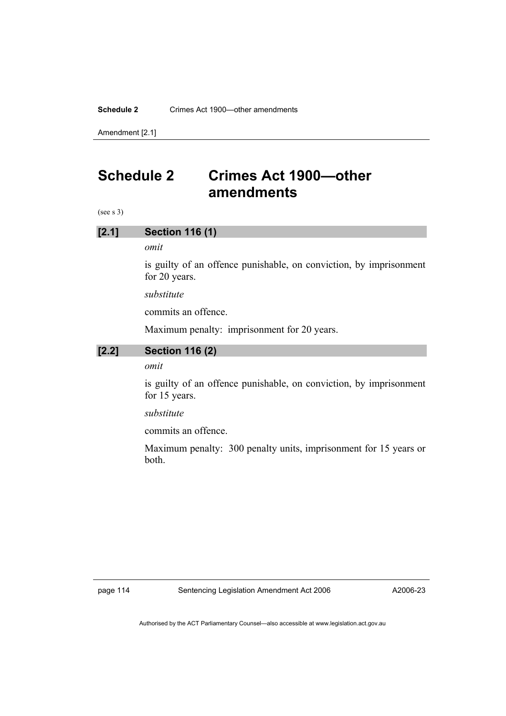Amendment [2.1]

# **Schedule 2 Crimes Act 1900—other amendments**

(see s 3)

### **[2.1] Section 116 (1)**

### *omit*

is guilty of an offence punishable, on conviction, by imprisonment for 20 years.

#### *substitute*

commits an offence.

Maximum penalty: imprisonment for 20 years.

#### **[2.2] Section 116 (2)**

#### *omit*

is guilty of an offence punishable, on conviction, by imprisonment for 15 years.

#### *substitute*

commits an offence.

Maximum penalty: 300 penalty units, imprisonment for 15 years or both.

A2006-23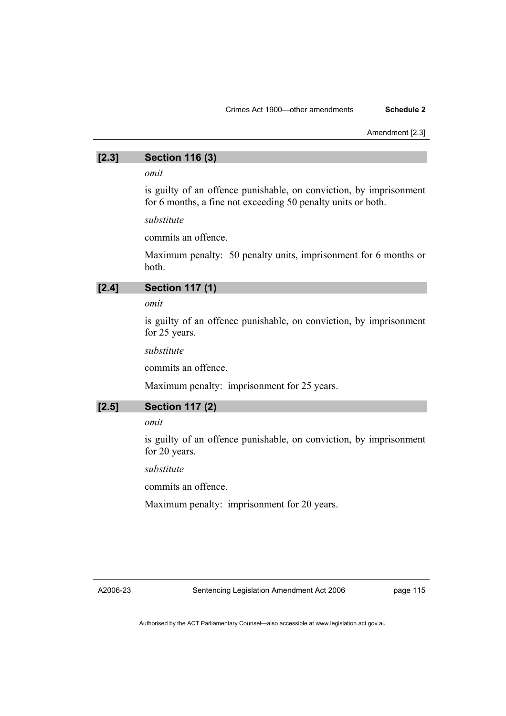Amendment [2.3]

# **[2.3] Section 116 (3)**

# *omit*

is guilty of an offence punishable, on conviction, by imprisonment for 6 months, a fine not exceeding 50 penalty units or both.

#### *substitute*

commits an offence.

Maximum penalty: 50 penalty units, imprisonment for 6 months or both.

### **[2.4] Section 117 (1)**

# *omit*

is guilty of an offence punishable, on conviction, by imprisonment for 25 years.

*substitute* 

commits an offence.

Maximum penalty: imprisonment for 25 years.

#### **[2.5] Section 117 (2)**

#### *omit*

is guilty of an offence punishable, on conviction, by imprisonment for 20 years.

*substitute* 

commits an offence.

Maximum penalty: imprisonment for 20 years.

A2006-23

page 115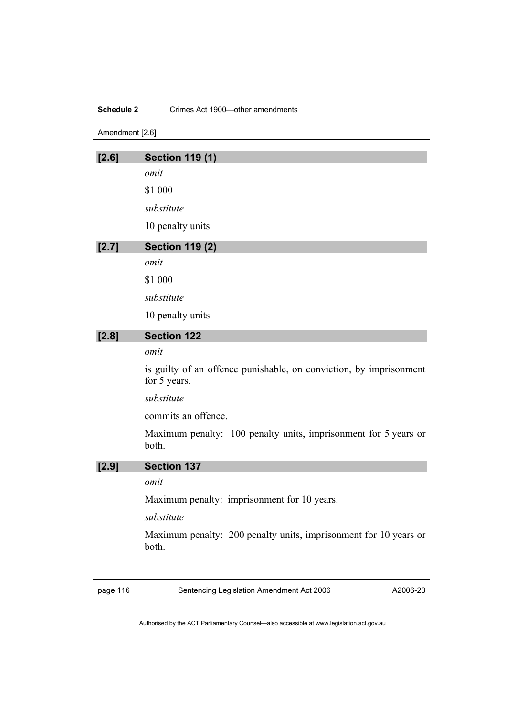#### **Schedule 2** Crimes Act 1900—other amendments

Amendment [2.6]

| [2.6] | <b>Section 119 (1)</b>                                                             |
|-------|------------------------------------------------------------------------------------|
|       | omit                                                                               |
|       | \$1 000                                                                            |
|       | substitute                                                                         |
|       | 10 penalty units                                                                   |
| [2.7] | <b>Section 119 (2)</b>                                                             |
|       | omit                                                                               |
|       | \$1 000                                                                            |
|       | substitute                                                                         |
|       | 10 penalty units                                                                   |
| [2.8] | <b>Section 122</b>                                                                 |
|       | omit                                                                               |
|       | is guilty of an offence punishable, on conviction, by imprisonment<br>for 5 years. |
|       | substitute                                                                         |
|       | commits an offence.                                                                |
|       | Maximum penalty: 100 penalty units, imprisonment for 5 years or<br>both.           |
| [2.9] | <b>Section 137</b>                                                                 |
|       | omit                                                                               |
|       | Maximum penalty: imprisonment for 10 years.                                        |
|       | substitute                                                                         |
|       | Maximum penalty: 200 penalty units, imprisonment for 10 years or<br>both.          |
|       |                                                                                    |

page 116 Sentencing Legislation Amendment Act 2006

A2006-23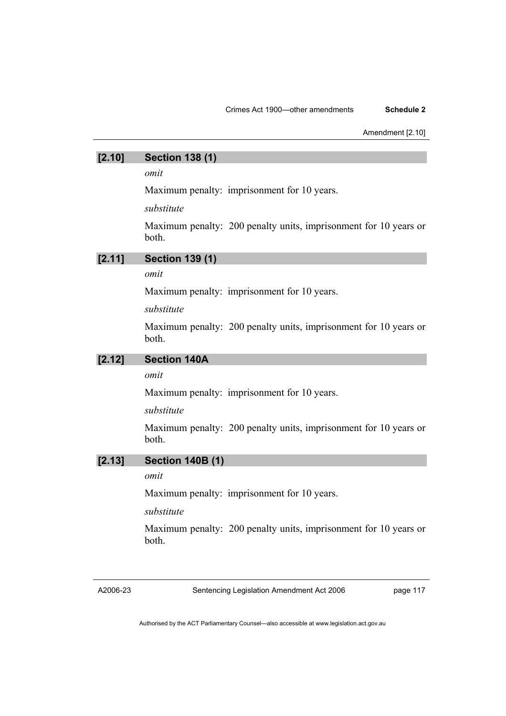Amendment [2.10]

# **[2.10] Section 138 (1)**

*omit* 

Maximum penalty: imprisonment for 10 years.

*substitute* 

Maximum penalty: 200 penalty units, imprisonment for 10 years or both.

# **[2.11] Section 139 (1)**

# *omit*

Maximum penalty: imprisonment for 10 years.

#### *substitute*

Maximum penalty: 200 penalty units, imprisonment for 10 years or both.

# **[2.12] Section 140A**

### *omit*

Maximum penalty: imprisonment for 10 years.

#### *substitute*

Maximum penalty: 200 penalty units, imprisonment for 10 years or both.

# **[2.13] Section 140B (1)**

#### *omit*

Maximum penalty: imprisonment for 10 years.

#### *substitute*

Maximum penalty: 200 penalty units, imprisonment for 10 years or both.

A2006-23

Sentencing Legislation Amendment Act 2006

page 117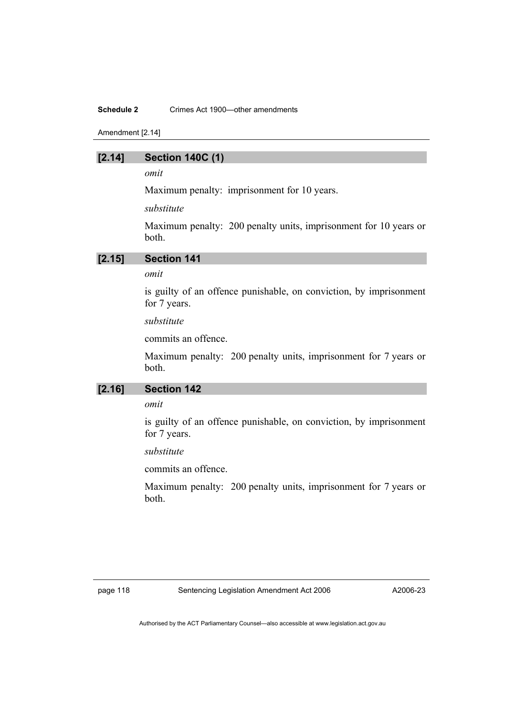#### **Schedule 2** Crimes Act 1900—other amendments

Amendment [2.14]

#### **[2.14] Section 140C (1)**

*omit* 

Maximum penalty: imprisonment for 10 years.

*substitute* 

Maximum penalty: 200 penalty units, imprisonment for 10 years or both.

# **[2.15] Section 141**

# *omit*

is guilty of an offence punishable, on conviction, by imprisonment for 7 years.

*substitute* 

commits an offence.

Maximum penalty: 200 penalty units, imprisonment for 7 years or both.

# **[2.16] Section 142**

#### *omit*

is guilty of an offence punishable, on conviction, by imprisonment for 7 years.

*substitute* 

commits an offence.

Maximum penalty: 200 penalty units, imprisonment for 7 years or both.

A2006-23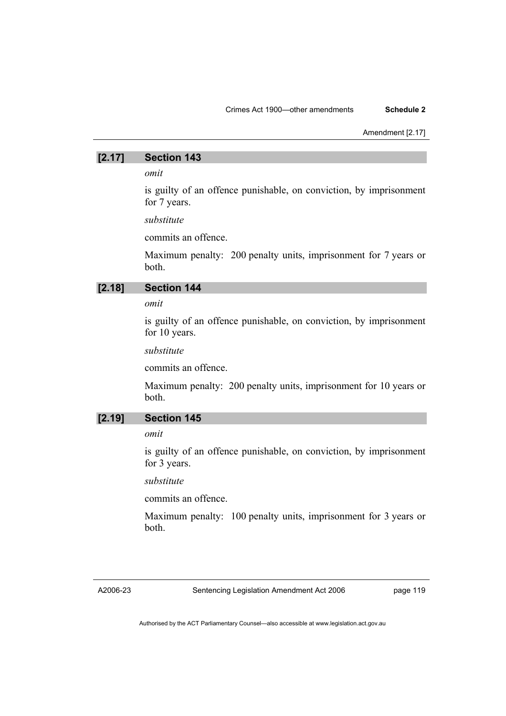#### Amendment [2.17]

# **[2.17] Section 143**

#### *omit*

is guilty of an offence punishable, on conviction, by imprisonment for 7 years.

#### *substitute*

commits an offence.

Maximum penalty: 200 penalty units, imprisonment for 7 years or both.

# **[2.18] Section 144**

# *omit*

is guilty of an offence punishable, on conviction, by imprisonment for 10 years.

*substitute* 

commits an offence.

Maximum penalty: 200 penalty units, imprisonment for 10 years or both.

# **[2.19] Section 145**

# *omit*

is guilty of an offence punishable, on conviction, by imprisonment for 3 years.

#### *substitute*

commits an offence.

Maximum penalty: 100 penalty units, imprisonment for 3 years or both.

A2006-23

Sentencing Legislation Amendment Act 2006

page 119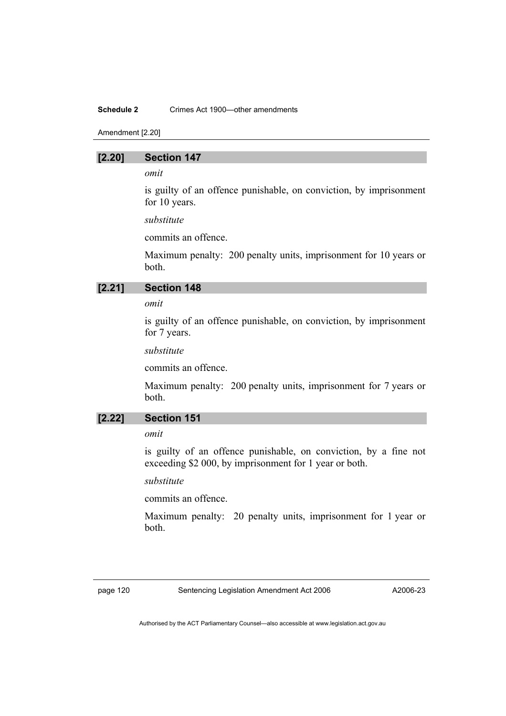#### **Schedule 2** Crimes Act 1900—other amendments

Amendment [2.20]

#### **[2.20] Section 147**

*omit* 

is guilty of an offence punishable, on conviction, by imprisonment for 10 years.

*substitute* 

commits an offence.

Maximum penalty: 200 penalty units, imprisonment for 10 years or both.

# **[2.21] Section 148**

*omit* 

is guilty of an offence punishable, on conviction, by imprisonment for 7 years.

*substitute* 

commits an offence.

Maximum penalty: 200 penalty units, imprisonment for 7 years or both.

# **[2.22] Section 151**

*omit* 

is guilty of an offence punishable, on conviction, by a fine not exceeding \$2 000, by imprisonment for 1 year or both.

*substitute* 

commits an offence.

Maximum penalty: 20 penalty units, imprisonment for 1 year or both.

page 120 Sentencing Legislation Amendment Act 2006

A2006-23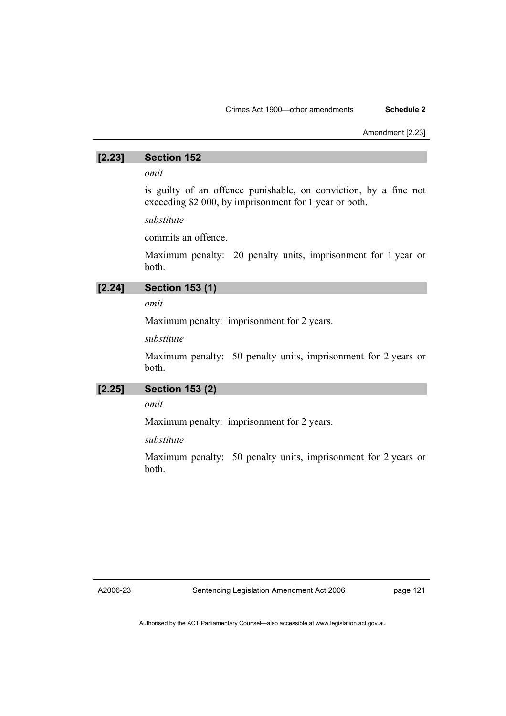Amendment [2.23]

### **[2.23] Section 152**

*omit* 

is guilty of an offence punishable, on conviction, by a fine not exceeding \$2 000, by imprisonment for 1 year or both.

*substitute* 

commits an offence.

Maximum penalty: 20 penalty units, imprisonment for 1 year or both.

# **[2.24] Section 153 (1)**

*omit* 

Maximum penalty: imprisonment for 2 years.

*substitute* 

Maximum penalty: 50 penalty units, imprisonment for 2 years or both.

#### **[2.25] Section 153 (2)**

*omit* 

Maximum penalty: imprisonment for 2 years.

*substitute* 

Maximum penalty: 50 penalty units, imprisonment for 2 years or both.

A2006-23

page 121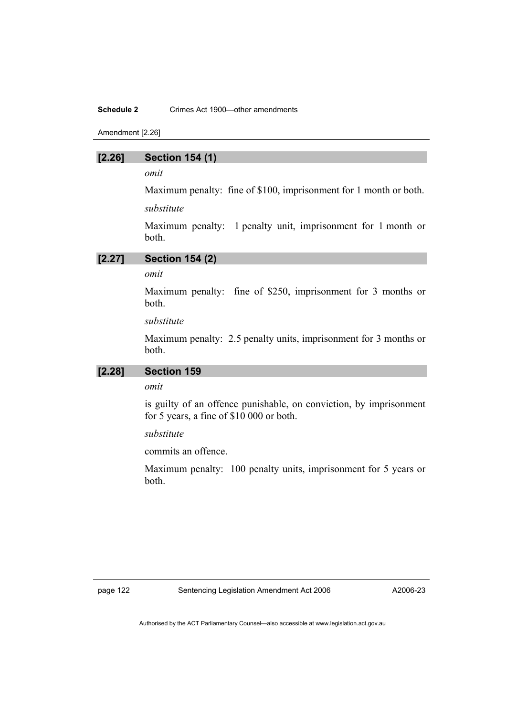#### **Schedule 2** Crimes Act 1900—other amendments

Amendment [2.26]

#### **[2.26] Section 154 (1)**

*omit* 

Maximum penalty: fine of \$100, imprisonment for 1 month or both. *substitute* 

Maximum penalty: 1 penalty unit, imprisonment for 1 month or both.

# **[2.27] Section 154 (2)**

# *omit*

Maximum penalty: fine of \$250, imprisonment for 3 months or both.

*substitute* 

Maximum penalty: 2.5 penalty units, imprisonment for 3 months or both.

# **[2.28] Section 159**

*omit* 

is guilty of an offence punishable, on conviction, by imprisonment for 5 years, a fine of \$10 000 or both.

*substitute* 

commits an offence.

Maximum penalty: 100 penalty units, imprisonment for 5 years or both.

A2006-23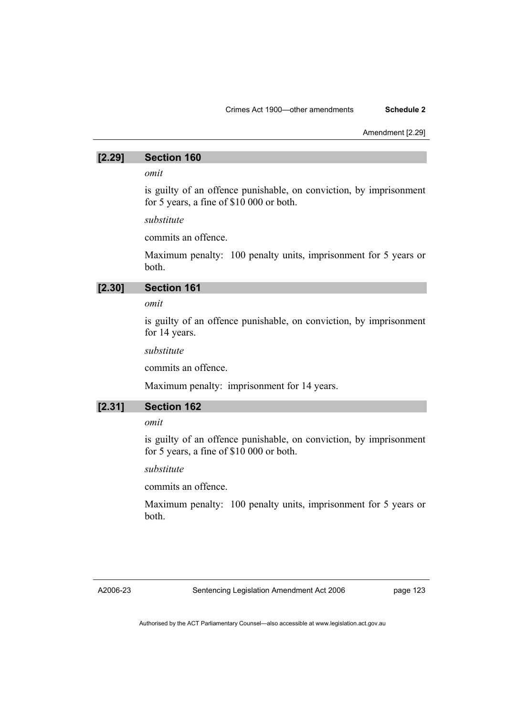Amendment [2.29]

### **[2.29] Section 160**

#### *omit*

is guilty of an offence punishable, on conviction, by imprisonment for 5 years, a fine of \$10 000 or both.

### *substitute*

commits an offence.

Maximum penalty: 100 penalty units, imprisonment for 5 years or both.

# **[2.30] Section 161**

# *omit*

is guilty of an offence punishable, on conviction, by imprisonment for 14 years.

*substitute* 

commits an offence.

Maximum penalty: imprisonment for 14 years.

# **[2.31] Section 162**

#### *omit*

is guilty of an offence punishable, on conviction, by imprisonment for 5 years, a fine of \$10 000 or both.

*substitute* 

commits an offence.

Maximum penalty: 100 penalty units, imprisonment for 5 years or both.

A2006-23

Sentencing Legislation Amendment Act 2006

page 123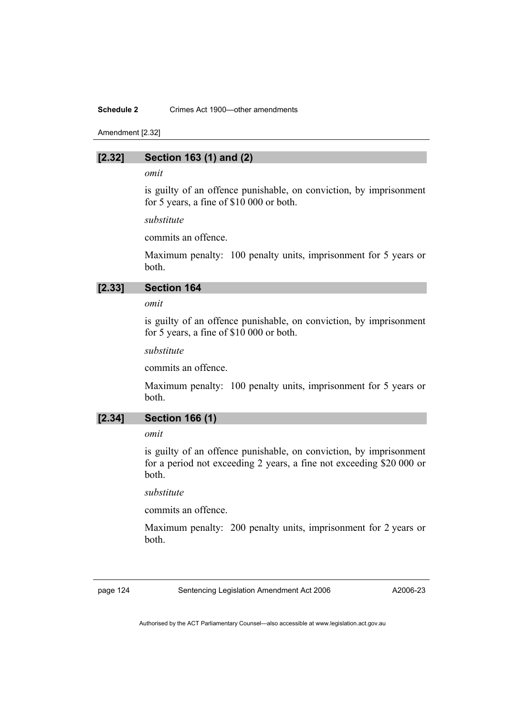#### **Schedule 2** Crimes Act 1900—other amendments

Amendment [2.32]

# **[2.32] Section 163 (1) and (2)**

#### *omit*

is guilty of an offence punishable, on conviction, by imprisonment for 5 years, a fine of \$10 000 or both.

#### *substitute*

commits an offence.

Maximum penalty: 100 penalty units, imprisonment for 5 years or both.

# **[2.33] Section 164**

### *omit*

is guilty of an offence punishable, on conviction, by imprisonment for 5 years, a fine of \$10 000 or both.

*substitute* 

commits an offence.

Maximum penalty: 100 penalty units, imprisonment for 5 years or both.

# **[2.34] Section 166 (1)**

# *omit*

is guilty of an offence punishable, on conviction, by imprisonment for a period not exceeding 2 years, a fine not exceeding \$20 000 or both.

*substitute* 

commits an offence.

Maximum penalty: 200 penalty units, imprisonment for 2 years or both.

page 124 Sentencing Legislation Amendment Act 2006

A2006-23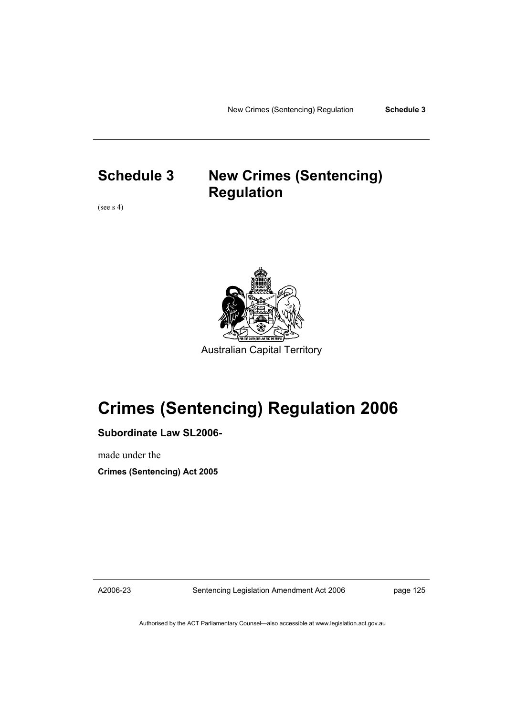New Crimes (Sentencing) Regulation **Schedule 3** 

# **Schedule 3 New Crimes (Sentencing) Regulation**

(see s 4)



Australian Capital Territory

# **Crimes (Sentencing) Regulation 2006**

# **Subordinate Law SL2006-**

made under the

**Crimes (Sentencing) Act 2005** 

A2006-23

Sentencing Legislation Amendment Act 2006

page 125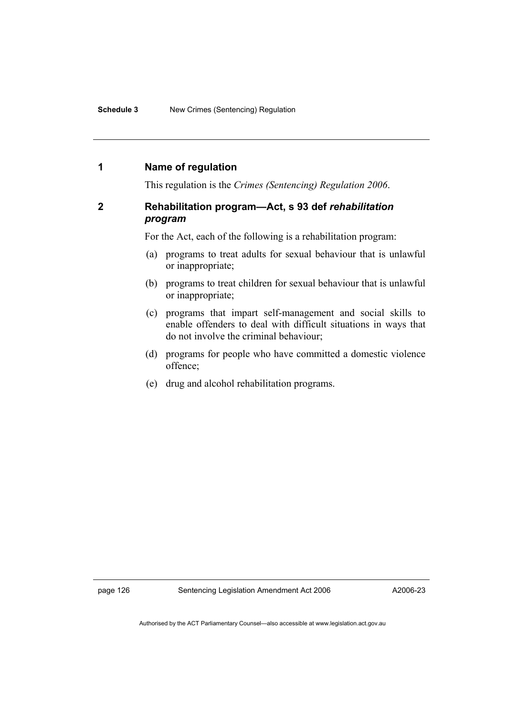# **1 Name of regulation**

This regulation is the *Crimes (Sentencing) Regulation 2006*.

# **2 Rehabilitation program—Act, s 93 def** *rehabilitation program*

For the Act, each of the following is a rehabilitation program:

- (a) programs to treat adults for sexual behaviour that is unlawful or inappropriate;
- (b) programs to treat children for sexual behaviour that is unlawful or inappropriate;
- (c) programs that impart self-management and social skills to enable offenders to deal with difficult situations in ways that do not involve the criminal behaviour;
- (d) programs for people who have committed a domestic violence offence;
- (e) drug and alcohol rehabilitation programs.

A2006-23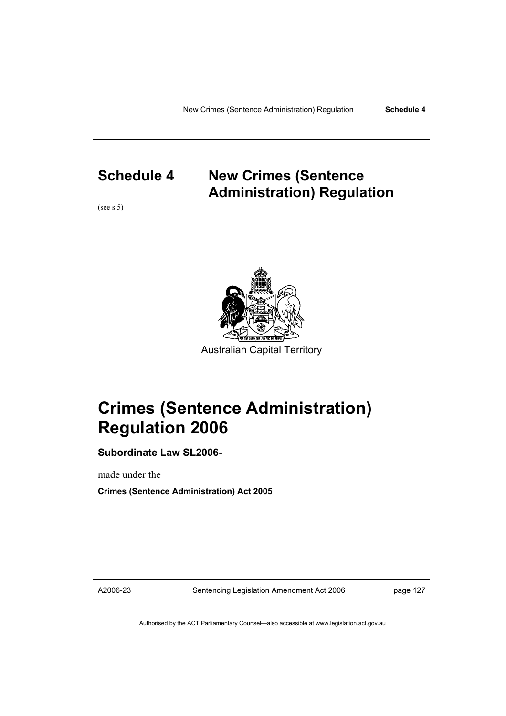# **Schedule 4 New Crimes (Sentence Administration) Regulation**

(see s 5)



Australian Capital Territory

# **Crimes (Sentence Administration) Regulation 2006**

**Subordinate Law SL2006-** 

made under the

**Crimes (Sentence Administration) Act 2005** 

A2006-23

Sentencing Legislation Amendment Act 2006

page 127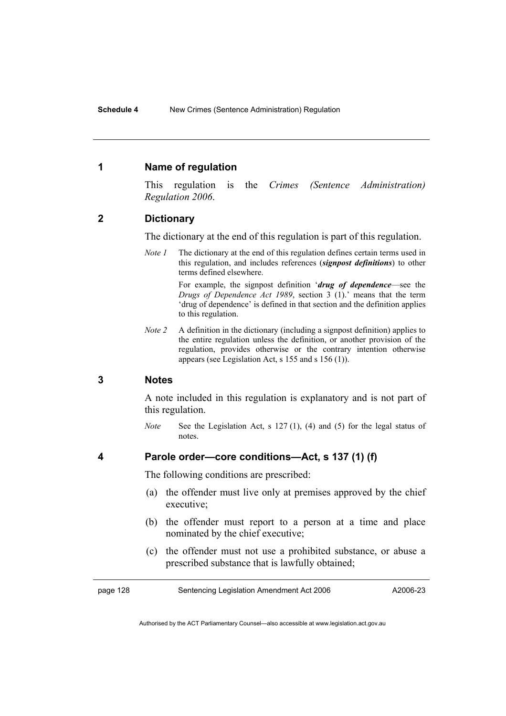# **1 Name of regulation**

This regulation is the *Crimes (Sentence Administration) Regulation 2006*.

# **2 Dictionary**

The dictionary at the end of this regulation is part of this regulation.

*Note 1* The dictionary at the end of this regulation defines certain terms used in this regulation, and includes references (*signpost definitions*) to other terms defined elsewhere.

> For example, the signpost definition '*drug of dependence*—see the *Drugs of Dependence Act 1989*, section 3 (1).' means that the term 'drug of dependence' is defined in that section and the definition applies to this regulation.

*Note 2* A definition in the dictionary (including a signpost definition) applies to the entire regulation unless the definition, or another provision of the regulation, provides otherwise or the contrary intention otherwise appears (see Legislation Act, s 155 and s 156 (1)).

#### **3 Notes**

A note included in this regulation is explanatory and is not part of this regulation.

*Note* See the Legislation Act, s 127 (1), (4) and (5) for the legal status of notes.

#### **4 Parole order—core conditions—Act, s 137 (1) (f)**

The following conditions are prescribed:

- (a) the offender must live only at premises approved by the chief executive;
- (b) the offender must report to a person at a time and place nominated by the chief executive;
- (c) the offender must not use a prohibited substance, or abuse a prescribed substance that is lawfully obtained;

page 128 Sentencing Legislation Amendment Act 2006

A2006-23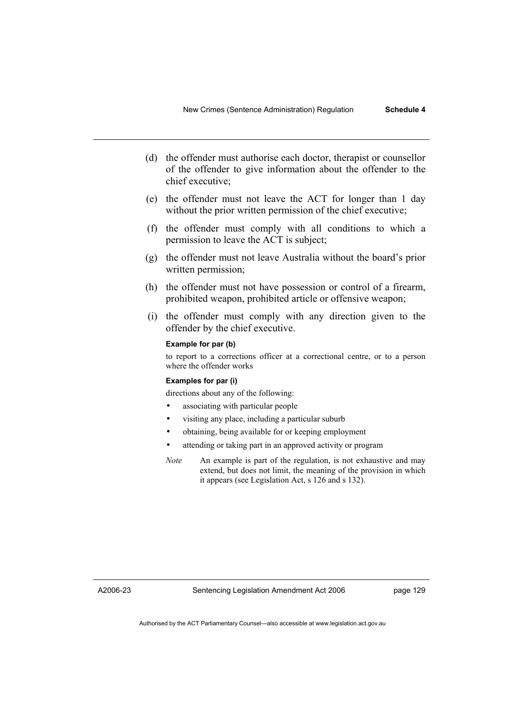- (d) the offender must authorise each doctor, therapist or counsellor of the offender to give information about the offender to the chief executive;
- (e) the offender must not leave the ACT for longer than 1 day without the prior written permission of the chief executive;
- (f) the offender must comply with all conditions to which a permission to leave the ACT is subject;
- (g) the offender must not leave Australia without the board's prior written permission;
- (h) the offender must not have possession or control of a firearm, prohibited weapon, prohibited article or offensive weapon;
- (i) the offender must comply with any direction given to the offender by the chief executive.

#### **Example for par (b)**

to report to a corrections officer at a correctional centre, or to a person where the offender works

#### **Examples for par (i)**

directions about any of the following:

- associating with particular people
- visiting any place, including a particular suburb
- obtaining, being available for or keeping employment
- attending or taking part in an approved activity or program
- *Note* An example is part of the regulation, is not exhaustive and may extend, but does not limit, the meaning of the provision in which it appears (see Legislation Act, s 126 and s 132).

A2006-23

page 129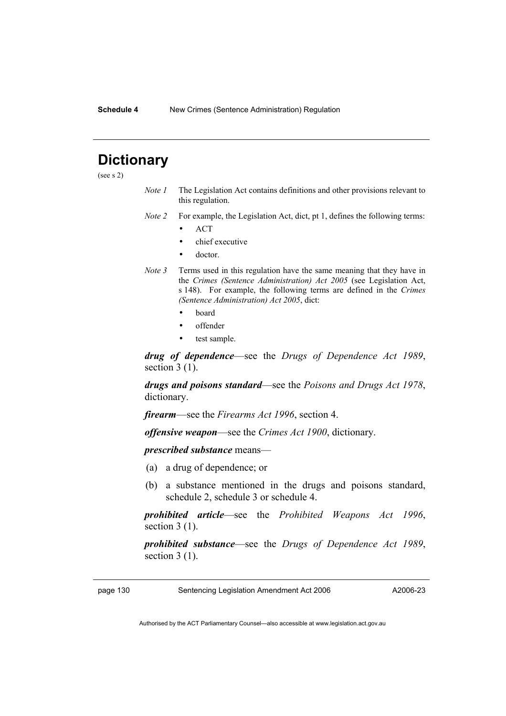# **Dictionary**

(see s 2)

- *Note 1* The Legislation Act contains definitions and other provisions relevant to this regulation.
- *Note 2* For example, the Legislation Act, dict, pt 1, defines the following terms:
	- ACT
	- chief executive
	- doctor.
- *Note 3* Terms used in this regulation have the same meaning that they have in the *Crimes (Sentence Administration) Act 2005* (see Legislation Act, s 148). For example, the following terms are defined in the *Crimes (Sentence Administration) Act 2005*, dict:
	- board
	- offender
	- test sample.

*drug of dependence*—see the *Drugs of Dependence Act 1989*, section  $3(1)$ .

*drugs and poisons standard*—see the *Poisons and Drugs Act 1978*, dictionary.

*firearm*—see the *Firearms Act 1996*, section 4.

*offensive weapon*—see the *Crimes Act 1900*, dictionary.

*prescribed substance* means—

- (a) a drug of dependence; or
- (b) a substance mentioned in the drugs and poisons standard, schedule 2, schedule 3 or schedule 4.

*prohibited article*—see the *Prohibited Weapons Act 1996*, section  $3(1)$ .

*prohibited substance*—see the *Drugs of Dependence Act 1989*, section  $3(1)$ .